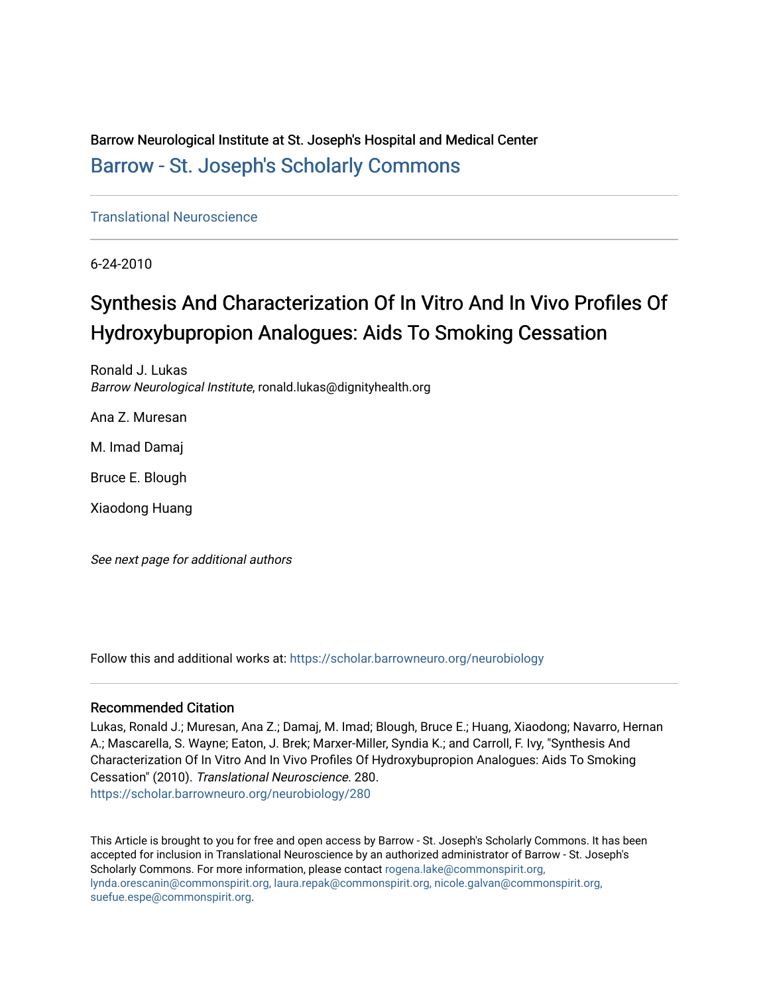Barrow Neurological Institute at St. Joseph's Hospital and Medical Center [Barrow - St. Joseph's Scholarly Commons](https://scholar.barrowneuro.org/) 

[Translational Neuroscience](https://scholar.barrowneuro.org/neurobiology)

6-24-2010

# Synthesis And Characterization Of In Vitro And In Vivo Profiles Of Hydroxybupropion Analogues: Aids To Smoking Cessation

Ronald J. Lukas Barrow Neurological Institute, ronald.lukas@dignityhealth.org

Ana Z. Muresan

M. Imad Damaj

Bruce E. Blough

Xiaodong Huang

See next page for additional authors

Follow this and additional works at: [https://scholar.barrowneuro.org/neurobiology](https://scholar.barrowneuro.org/neurobiology?utm_source=scholar.barrowneuro.org%2Fneurobiology%2F280&utm_medium=PDF&utm_campaign=PDFCoverPages)

### Recommended Citation

Lukas, Ronald J.; Muresan, Ana Z.; Damaj, M. Imad; Blough, Bruce E.; Huang, Xiaodong; Navarro, Hernan A.; Mascarella, S. Wayne; Eaton, J. Brek; Marxer-Miller, Syndia K.; and Carroll, F. Ivy, "Synthesis And Characterization Of In Vitro And In Vivo Profiles Of Hydroxybupropion Analogues: Aids To Smoking Cessation" (2010). Translational Neuroscience. 280. [https://scholar.barrowneuro.org/neurobiology/280](https://scholar.barrowneuro.org/neurobiology/280?utm_source=scholar.barrowneuro.org%2Fneurobiology%2F280&utm_medium=PDF&utm_campaign=PDFCoverPages)

This Article is brought to you for free and open access by Barrow - St. Joseph's Scholarly Commons. It has been accepted for inclusion in Translational Neuroscience by an authorized administrator of Barrow - St. Joseph's Scholarly Commons. For more information, please contact [rogena.lake@commonspirit.org,](mailto:rogena.lake@commonspirit.org,%20lynda.orescanin@commonspirit.org,%20laura.repak@commonspirit.org,%20nicole.galvan@commonspirit.org,%20suefue.espe@commonspirit.org) [lynda.orescanin@commonspirit.org, laura.repak@commonspirit.org, nicole.galvan@commonspirit.org,](mailto:rogena.lake@commonspirit.org,%20lynda.orescanin@commonspirit.org,%20laura.repak@commonspirit.org,%20nicole.galvan@commonspirit.org,%20suefue.espe@commonspirit.org)  [suefue.espe@commonspirit.org](mailto:rogena.lake@commonspirit.org,%20lynda.orescanin@commonspirit.org,%20laura.repak@commonspirit.org,%20nicole.galvan@commonspirit.org,%20suefue.espe@commonspirit.org).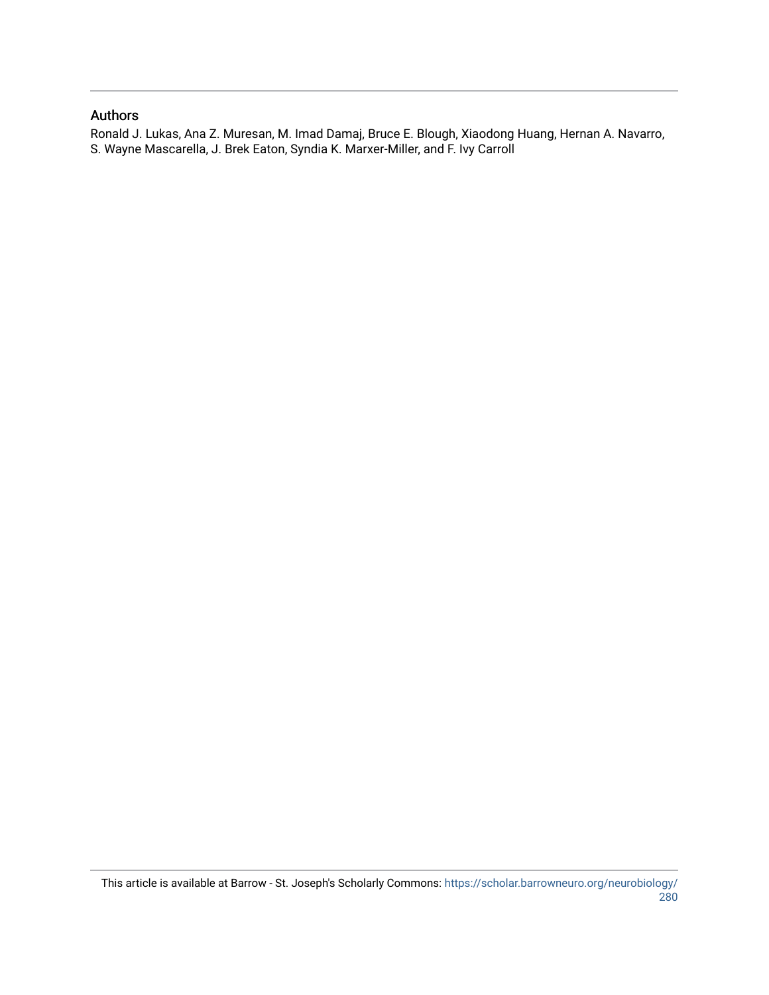## Authors

Ronald J. Lukas, Ana Z. Muresan, M. Imad Damaj, Bruce E. Blough, Xiaodong Huang, Hernan A. Navarro, S. Wayne Mascarella, J. Brek Eaton, Syndia K. Marxer-Miller, and F. Ivy Carroll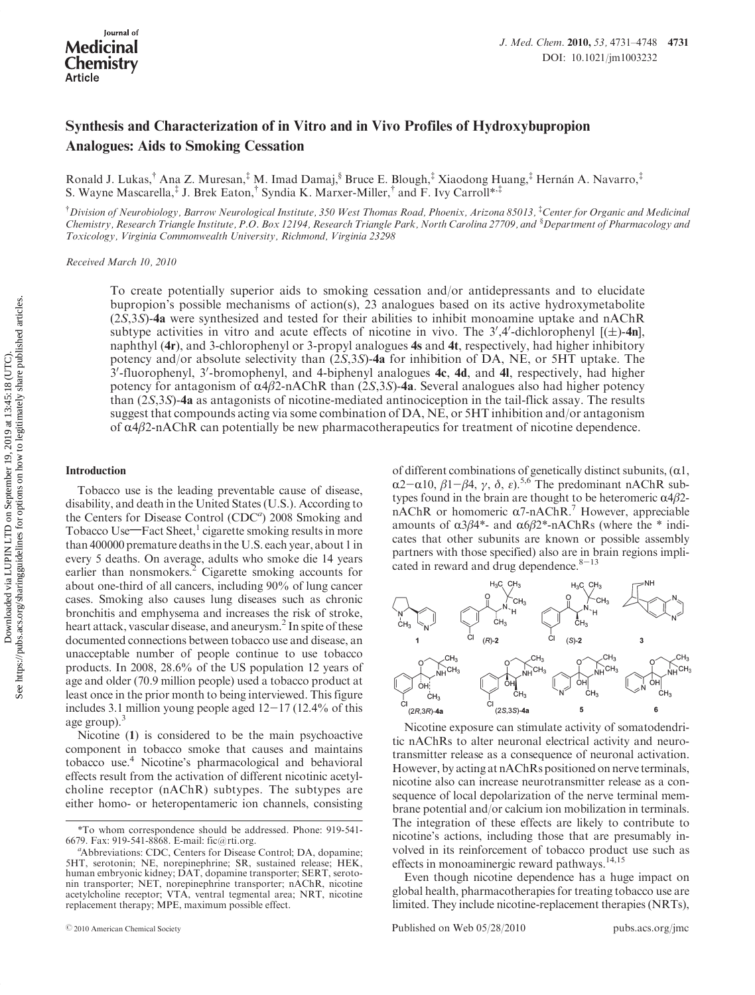# Synthesis and Characterization of in Vitro and in Vivo Profiles of Hydroxybupropion Analogues: Aids to Smoking Cessation

Ronald J. Lukas,<sup>†</sup> Ana Z. Muresan,<sup>‡</sup> M. Imad Damaj,<sup>§</sup> Bruce E. Blough,<sup>‡</sup> Xiaodong Huang,<sup>‡</sup> Hernán A. Navarro,<sup>‡</sup> S. Wayne Mascarella,<sup>‡</sup> J. Brek Eaton,<sup>†</sup> Syndia K. Marxer-Miller,<sup>†</sup> and F. Ivy Carroll\*<sup>,‡</sup>

† Division of Neurobiology, Barrow Neurological Institute, 350 West Thomas Road, Phoenix, Arizona 85013, ‡ Center for Organic and Medicinal Chemistry, Research Triangle Institute, P.O. Box 12194, Research Triangle Park, North Carolina 27709, and <sup>§</sup>Department of Pharmacology and Toxicology, Virginia Commonwealth University, Richmond, Virginia 23298

Received March 10, 2010

To create potentially superior aids to smoking cessation and/or antidepressants and to elucidate bupropion's possible mechanisms of action(s), 23 analogues based on its active hydroxymetabolite (2S,3S)-4a were synthesized and tested for their abilities to inhibit monoamine uptake and nAChR subtype activities in vitro and acute effects of nicotine in vivo. The 3',4'-dichlorophenyl  $[(\pm)$ -4n], naphthyl (4r), and 3-chlorophenyl or 3-propyl analogues 4s and 4t, respectively, had higher inhibitory potency and/or absolute selectivity than  $(2S,3S)$ -4a for inhibition of DA, NE, or 5HT uptake. The 3'-fluorophenyl, 3'-bromophenyl, and 4-biphenyl analogues 4c, 4d, and 4l, respectively, had higher potency for antagonism of  $α/β2$ -nAChR than (2S,3S)-4a. Several analogues also had higher potency than (2S,3S)-4a as antagonists of nicotine-mediated antinociception in the tail-flick assay. The results suggest that compounds acting via some combination of DA, NE, or 5HT inhibition and/or antagonism of  $α4β2-nAChR$  can potentially be new pharmacotherapeutics for treatment of nicotine dependence.

#### Introduction

Tobacco use is the leading preventable cause of disease, disability, and death in the United States (U.S.). According to the Centers for Disease Control (CDC<sup>a</sup>) 2008 Smoking and Tobacco Use—Fact Sheet,<sup>1</sup> cigarette smoking results in more than 400000 premature deaths in the U.S. each year, about 1 in every 5 deaths. On average, adults who smoke die 14 years earlier than nonsmokers.<sup>2</sup> Cigarette smoking accounts for about one-third of all cancers, including 90% of lung cancer cases. Smoking also causes lung diseases such as chronic bronchitis and emphysema and increases the risk of stroke, heart attack, vascular disease, and aneurysm.<sup>2</sup> In spite of these documented connections between tobacco use and disease, an unacceptable number of people continue to use tobacco products. In 2008, 28.6% of the US population 12 years of age and older (70.9 million people) used a tobacco product at least once in the prior month to being interviewed. This figure includes 3.1 million young people aged  $12-17$  (12.4% of this age group).<sup>3</sup>

Nicotine (1) is considered to be the main psychoactive component in tobacco smoke that causes and maintains tobacco use.4 Nicotine's pharmacological and behavioral effects result from the activation of different nicotinic acetylcholine receptor (nAChR) subtypes. The subtypes are either homo- or heteropentameric ion channels, consisting

of different combinations of genetically distinct subunits,  $(\alpha1,$  $\alpha$ 2- $\alpha$ 10,  $\beta$ 1- $\beta$ 4,  $\gamma$ ,  $\delta$ ,  $\varepsilon$ ).<sup>5,6</sup> The predominant nAChR subtypes found in the brain are thought to be heteromeric  $\alpha$ 4 $\beta$ 2nAChR or homomeric  $\alpha$ 7-nAChR.<sup>7</sup> However, appreciable amounts of  $α3β4*-$  and  $α6β2*-nAChRs$  (where the \* indicates that other subunits are known or possible assembly partners with those specified) also are in brain regions implicated in reward and drug dependence. $8-13$ 



Nicotine exposure can stimulate activity of somatodendritic nAChRs to alter neuronal electrical activity and neurotransmitter release as a consequence of neuronal activation. However, by acting at nAChRs positioned on nerve terminals, nicotine also can increase neurotransmitter release as a consequence of local depolarization of the nerve terminal membrane potential and/or calcium ion mobilization in terminals. The integration of these effects are likely to contribute to nicotine's actions, including those that are presumably involved in its reinforcement of tobacco product use such as effects in monoaminergic reward pathways.<sup>14,15</sup>

Even though nicotine dependence has a huge impact on global health, pharmacotherapies for treating tobacco use are limited. They include nicotine-replacement therapies (NRTs),

r2010 American Chemical Society Published on Web 05/28/2010 pubs.acs.org/jmc

<sup>\*</sup>To whom correspondence should be addressed. Phone: 919-541- 6679. Fax: 919-541-8868. E-mail: fic@rti.org. <sup>a</sup>

Abbreviations: CDC, Centers for Disease Control; DA, dopamine; 5HT, serotonin; NE, norepinephrine; SR, sustained release; HEK, human embryonic kidney; DAT, dopamine transporter; SERT, serotonin transporter; NET, norepinephrine transporter; nAChR, nicotine acetylcholine receptor; VTA, ventral tegmental area; NRT, nicotine replacement therapy; MPE, maximum possible effect.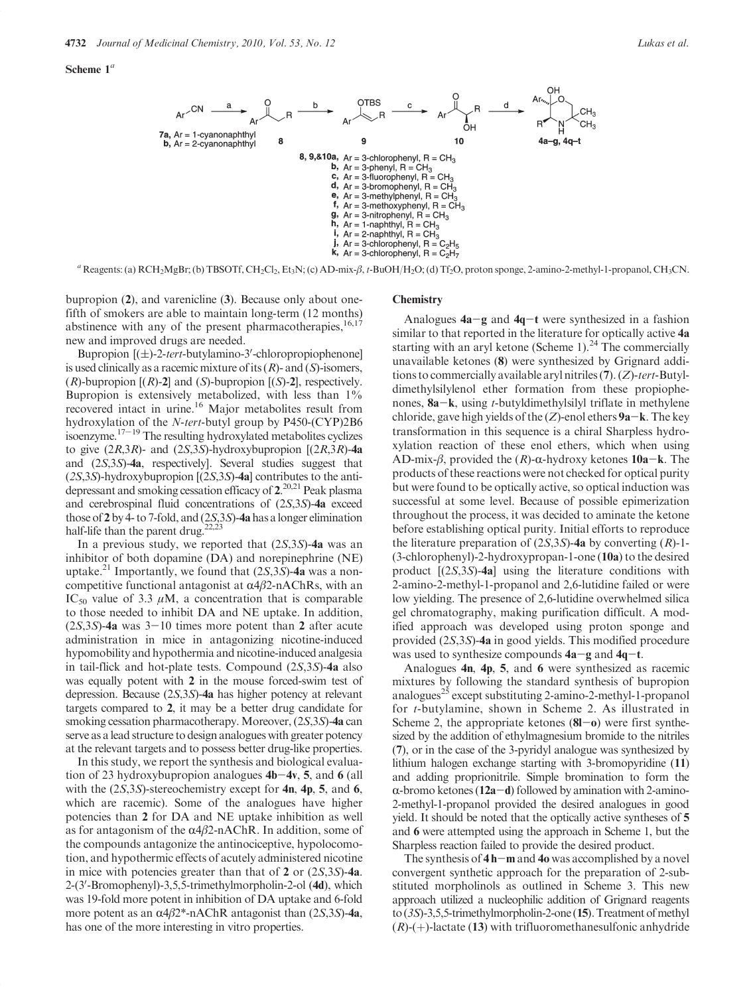



 $a$  Reagents: (a)  $RCH_2MgBr$ ; (b) TBSOTf, CH<sub>2</sub>Cl<sub>2</sub>, Et<sub>3</sub>N; (c) AD-mix- $\beta$ , t-BuOH/H<sub>2</sub>O; (d) Tf<sub>2</sub>O, proton sponge, 2-amino-2-methyl-1-propanol, CH<sub>3</sub>CN.

bupropion (2), and varenicline (3). Because only about onefifth of smokers are able to maintain long-term (12 months) abstinence with any of the present pharmacotherapies, $16,17$ new and improved drugs are needed.

Bupropion  $[(\pm)$ -2-tert-butylamino-3'-chloropropiophenone] is used clinically as a racemic mixture of its  $(R)$ - and  $(S)$ -isomers,  $(R)$ -bupropion  $[(R)$ -2] and  $(S)$ -bupropion  $[(S)$ -2], respectively. Bupropion is extensively metabolized, with less than  $1\%$ recovered intact in urine.<sup>16</sup> Major metabolites result from hydroxylation of the N-tert-butyl group by P450-(CYP)2B6 isoenzyme.17-<sup>19</sup> The resulting hydroxylated metabolites cyclizes to give  $(2R,3R)$ - and  $(2S,3S)$ -hydroxybupropion  $[(2R,3R)$ -4a and (2S,3S)-4a, respectively]. Several studies suggest that  $(2S,3S)$ -hydroxybupropion  $[(2S,3S)$ -4a] contributes to the antidepressant and smoking cessation efficacy of 2. 20,21 Peak plasma and cerebrospinal fluid concentrations of (2S,3S)-4a exceed those of 2 by 4- to 7-fold, and (2S,3S)-4a has a longer elimination half-life than the parent drug. $22,23$ 

In a previous study, we reported that  $(2S,3S)$ -4a was an inhibitor of both dopamine (DA) and norepinephrine (NE) uptake.<sup>21</sup> Importantly, we found that  $(2S,3S)$ -4a was a noncompetitive functional antagonist at  $\alpha$ 4β2-nAChRs, with an IC<sub>50</sub> value of 3.3  $\mu$ M, a concentration that is comparable to those needed to inhibit DA and NE uptake. In addition,  $(2S,3S)$ -4a was 3-10 times more potent than 2 after acute administration in mice in antagonizing nicotine-induced hypomobility and hypothermia and nicotine-induced analgesia in tail-flick and hot-plate tests. Compound (2S,3S)-4a also was equally potent with 2 in the mouse forced-swim test of depression. Because (2S,3S)-4a has higher potency at relevant targets compared to 2, it may be a better drug candidate for smoking cessation pharmacotherapy. Moreover, (2S,3S)-4a can serve as a lead structure to design analogues with greater potency at the relevant targets and to possess better drug-like properties.

In this study, we report the synthesis and biological evaluation of 23 hydroxybupropion analogues  $4b-4v$ , 5, and 6 (all with the  $(2S,3S)$ -stereochemistry except for 4n, 4p, 5, and 6, which are racemic). Some of the analogues have higher potencies than 2 for DA and NE uptake inhibition as well as for antagonism of the  $\alpha$ 4 $\beta$ 2-nAChR. In addition, some of the compounds antagonize the antinociceptive, hypolocomotion, and hypothermic effects of acutely administered nicotine in mice with potencies greater than that of 2 or (2S,3S)-4a. 2-(3'-Bromophenyl)-3,5,5-trimethylmorpholin-2-ol (4d), which was 19-fold more potent in inhibition of DA uptake and 6-fold more potent as an  $\alpha$ 4β2\*-nAChR antagonist than (2S,3S)-4a, has one of the more interesting in vitro properties.

#### **Chemistry**

Analogues  $4a-g$  and  $4q-t$  were synthesized in a fashion similar to that reported in the literature for optically active 4a starting with an aryl ketone (Scheme 1).<sup>24</sup> The commercially unavailable ketones (8) were synthesized by Grignard additions to commercially available aryl nitriles  $(7)$ .  $(Z)$ -tert-Butyldimethylsilylenol ether formation from these propiophenones,  $8a-k$ , using *t*-butyldimethylsilyl triflate in methylene chloride, gave high yields of the  $(Z)$ -enol ethers **9a**-k. The key transformation in this sequence is a chiral Sharpless hydroxylation reaction of these enol ethers, which when using AD-mix- $\beta$ , provided the  $(R)$ - $\alpha$ -hydroxy ketones 10a-k. The products of these reactions were not checked for optical purity but were found to be optically active, so optical induction was successful at some level. Because of possible epimerization throughout the process, it was decided to aminate the ketone before establishing optical purity. Initial efforts to reproduce the literature preparation of  $(2S,3S)$ -4a by converting  $(R)$ -1-(3-chlorophenyl)-2-hydroxypropan-1-one (10a) to the desired product [(2S,3S)-4a] using the literature conditions with 2-amino-2-methyl-1-propanol and 2,6-lutidine failed or were low yielding. The presence of 2,6-lutidine overwhelmed silica gel chromatography, making purification difficult. A modified approach was developed using proton sponge and provided (2S,3S)-4a in good yields. This modified procedure was used to synthesize compounds  $4a-g$  and  $4q-t$ .

Analogues 4n, 4p, 5, and 6 were synthesized as racemic mixtures by following the standard synthesis of bupropion analogues<sup>25</sup> except substituting 2-amino-2-methyl-1-propanol for t-butylamine, shown in Scheme 2. As illustrated in Scheme 2, the appropriate ketones  $(8I - 0)$  were first synthesized by the addition of ethylmagnesium bromide to the nitriles (7), or in the case of the 3-pyridyl analogue was synthesized by lithium halogen exchange starting with 3-bromopyridine (11) and adding proprionitrile. Simple bromination to form the  $\alpha$ -bromo ketones (12a-d) followed by amination with 2-amino-2-methyl-1-propanol provided the desired analogues in good yield. It should be noted that the optically active syntheses of 5 and 6 were attempted using the approach in Scheme 1, but the Sharpless reaction failed to provide the desired product.

The synthesis of  $4 h$  -m and  $40$  was accomplished by a novel convergent synthetic approach for the preparation of 2-substituted morpholinols as outlined in Scheme 3. This new approach utilized a nucleophilic addition of Grignard reagents to  $(3S)$ -3,5,5-trimethylmorpholin-2-one  $(15)$ . Treatment of methyl  $(R)$ -(+)-lactate (13) with trifluoromethanesulfonic anhydride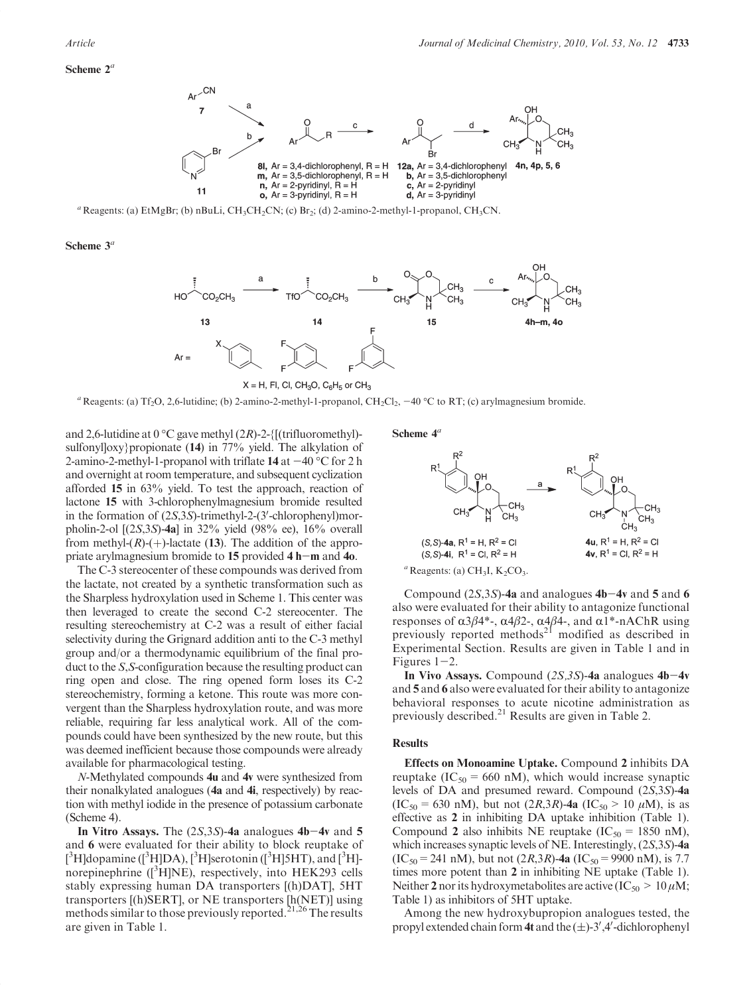#### Scheme  $2^a$



<sup>a</sup> Reagents: (a) EtMgBr; (b) nBuLi, CH<sub>3</sub>CH<sub>2</sub>CN; (c) Br<sub>2</sub>; (d) 2-amino-2-methyl-1-propanol, CH<sub>3</sub>CN.

Scheme  $3^a$ 



 $X = H$ , FI, CI, CH<sub>3</sub>O, C<sub>6</sub>H<sub>5</sub> or CH<sub>3</sub>

<sup>a</sup> Reagents: (a) Tf<sub>2</sub>O, 2,6-lutidine; (b) 2-amino-2-methyl-1-propanol, CH<sub>2</sub>Cl<sub>2</sub>,  $-40$  °C to RT; (c) arylmagnesium bromide.

and 2,6-lutidine at  $0^{\circ}$ C gave methyl  $(2R)$ -2-{[(trifluoromethyl)sulfonylloxy}propionate (14) in  $77\%$  yield. The alkylation of 2-amino-2-methyl-1-propanol with triflate  $14$  at  $-40$  °C for 2 h and overnight at room temperature, and subsequent cyclization afforded 15 in 63% yield. To test the approach, reaction of lactone 15 with 3-chlorophenylmagnesium bromide resulted in the formation of  $(2S,3S)$ -trimethyl-2- $(3'-chlorophenyl)$ morpholin-2-ol [(2S,3S)-4a] in 32% yield (98% ee), 16% overall from methyl- $(R)$ - $(+)$ -lactate (13). The addition of the appropriate arylmagnesium bromide to 15 provided 4 h-m and 4o.

The C-3 stereocenter of these compounds was derived from the lactate, not created by a synthetic transformation such as the Sharpless hydroxylation used in Scheme 1. This center was then leveraged to create the second C-2 stereocenter. The resulting stereochemistry at C-2 was a result of either facial selectivity during the Grignard addition anti to the C-3 methyl group and/or a thermodynamic equilibrium of the final product to the S,S-configuration because the resulting product can ring open and close. The ring opened form loses its C-2 stereochemistry, forming a ketone. This route was more convergent than the Sharpless hydroxylation route, and was more reliable, requiring far less analytical work. All of the compounds could have been synthesized by the new route, but this was deemed inefficient because those compounds were already available for pharmacological testing.

N-Methylated compounds 4u and 4v were synthesized from their nonalkylated analogues (4a and 4i, respectively) by reaction with methyl iodide in the presence of potassium carbonate (Scheme 4).

In Vitro Assays. The  $(2S,3S)$ -4a analogues 4b-4v and 5 and 6 were evaluated for their ability to block reuptake of  $[^3H]$ dopamine  $(^3H]DA$ ),  $[^3H]$ serotonin  $(^3H]5HT$ ), and  $[^3H]$ norepinephrine ([<sup>3</sup>H]NE), respectively, into HEK293 cells stably expressing human DA transporters [(h)DAT], 5HT transporters [(h)SERT], or NE transporters [h(NET)] using methods similar to those previously reported.<sup>21,26</sup> The results are given in Table 1.

Scheme  $4^a$ 



Compound  $(2S,3S)$ -4a and analogues 4b-4v and 5 and 6 also were evaluated for their ability to antagonize functional responses of  $\alpha$ 3β4\*-,  $\alpha$ 4β2-,  $\alpha$ 4β4-, and  $\alpha$ 1\*-nAChR using previously reported methods<sup>21</sup> modified as described in Experimental Section. Results are given in Table 1 and in Figures  $1-2$ .

In Vivo Assays. Compound  $(2S,3S)$ -4a analogues 4b-4v and 5 and 6 also were evaluated for their ability to antagonize behavioral responses to acute nicotine administration as previously described.<sup>21</sup> Results are given in Table 2.

#### **Results**

Effects on Monoamine Uptake. Compound 2 inhibits DA reuptake (IC<sub>50</sub> = 660 nM), which would increase synaptic levels of DA and presumed reward. Compound (2S,3S)-4a  $(IC_{50} = 630 \text{ nM})$ , but not  $(2R,3R)$ -4a  $(IC_{50} > 10 \mu \text{M})$ , is as effective as 2 in inhibiting DA uptake inhibition (Table 1). Compound 2 also inhibits NE reuptake (IC<sub>50</sub> = 1850 nM), which increases synaptic levels of NE. Interestingly, (2S,3S)-4a  $(IC<sub>50</sub> = 241 nM)$ , but not  $(2R,3R)$ -4a  $(IC<sub>50</sub> = 9900 nM)$ , is 7.7 times more potent than 2 in inhibiting NE uptake (Table 1). Neither 2 nor its hydroxymetabolites are active (IC<sub>50</sub> > 10 $\mu$ M; Table 1) as inhibitors of 5HT uptake.

Among the new hydroxybupropion analogues tested, the propyl extended chain form 4t and the  $(\pm)$ -3',4'-dichlorophenyl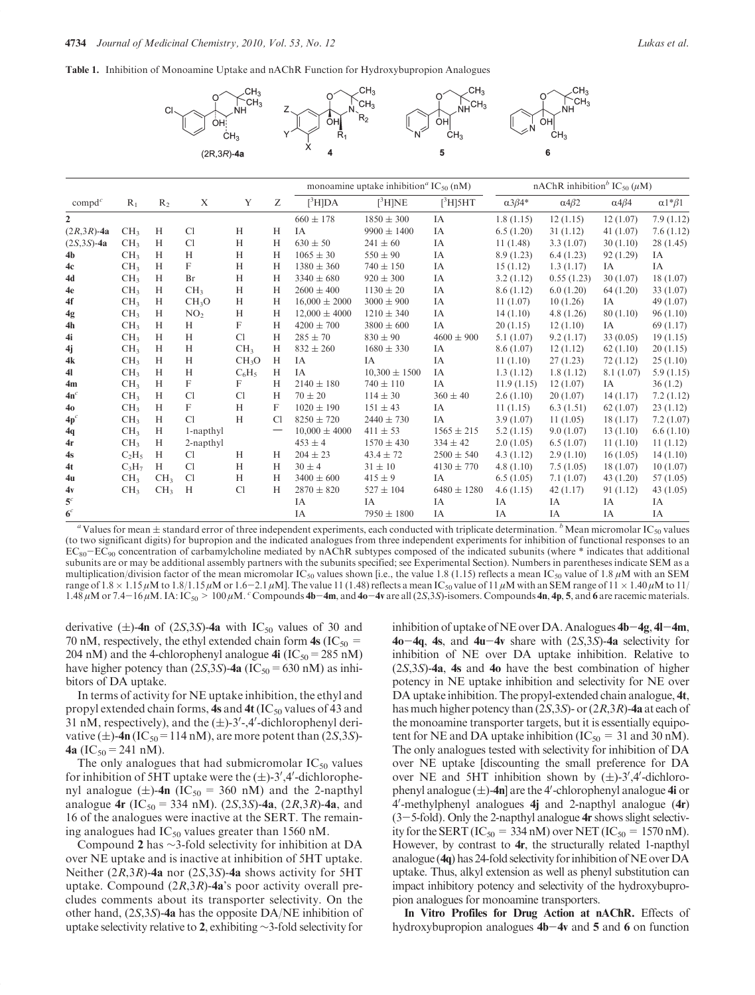Table 1. Inhibition of Monoamine Uptake and nAChR Function for Hydroxybupropion Analogues



|                  |                 |                 |                   |                   |                  |                   | monoamine uptake inhibition <sup>a</sup> IC <sub>50</sub> (nM) |                 | nAChR inhibition <sup>b</sup> IC <sub>50</sub> ( $\mu$ M) |                      |                      |                       |
|------------------|-----------------|-----------------|-------------------|-------------------|------------------|-------------------|----------------------------------------------------------------|-----------------|-----------------------------------------------------------|----------------------|----------------------|-----------------------|
| $\text{compd}^c$ | $R_1$           | R <sub>2</sub>  | X                 | Y                 | Ζ                | $[{}^3H]DA$       | $[{}^3H]NE$                                                    | $[^3H]$ 5HT     | $\alpha 3\beta 4^*$                                       | $\alpha$ 4 $\beta$ 2 | $\alpha$ 4 $\beta$ 4 | $\alpha$ 1* $\beta$ 1 |
| $\mathbf{2}$     |                 |                 |                   |                   |                  | $660 \pm 178$     | $1850 \pm 300$                                                 | IA              | 1.8(1.15)                                                 | 12(1.15)             | 12(1.07)             | 7.9(1.12)             |
| $(2R,3R)$ -4a    | CH <sub>3</sub> | H               | Cl                | H                 | H                | IA                | $9900 \pm 1400$                                                | IA              | 6.5(1.20)                                                 | 31(1.12)             | 41 $(1.07)$          | 7.6(1.12)             |
| $(2S, 3S) - 4a$  | CH <sub>3</sub> | H               | Cl                | H                 | H                | $630 \pm 50$      | $241 \pm 60$                                                   | IA              | 11(1.48)                                                  | 3.3(1.07)            | 30(1.10)             | 28(1.45)              |
| 4b               | CH <sub>3</sub> | H               | H                 | H                 | H                | $1065 \pm 30$     | $550 \pm 90$                                                   | IA              | 8.9(1.23)                                                 | 6.4(1.23)            | 92(1.29)             | IA                    |
| 4c               | CH <sub>3</sub> | H               | F                 | H                 | H                | $1380 \pm 360$    | $740 \pm 150$                                                  | IA              | 15(1.12)                                                  | 1.3(1.17)            | IA                   | IA                    |
| 4d               | CH <sub>3</sub> | H               | Br                | H                 | H                | $3340 \pm 680$    | $920 \pm 300$                                                  | IA              | 3.2(1.12)                                                 | 0.55(1.23)           | 30(1.07)             | 18(1.07)              |
| 4e               | CH <sub>3</sub> | H               | CH <sub>3</sub>   | H                 | H                | $2600 \pm 400$    | $1130 \pm 20$                                                  | IA              | 8.6(1.12)                                                 | 6.0(1.20)            | 64(1.20)             | 33(1.07)              |
| 4f               | CH <sub>3</sub> | H               | CH <sub>3</sub> O | H                 | H                | $16,000 \pm 2000$ | $3000 \pm 900$                                                 | IA              | 11(1.07)                                                  | 10(1.26)             | IA                   | 49(1.07)              |
| 4g               | CH <sub>3</sub> | H               | NO <sub>2</sub>   | H                 | H                | $12,000 \pm 4000$ | $1210 \pm 340$                                                 | IA              | 14(1.10)                                                  | 4.8(1.26)            | 80(1.10)             | 96(1.10)              |
| 4h               | CH <sub>3</sub> | H               | H                 | $\boldsymbol{F}$  | H                | $4200 \pm 700$    | $3800 \pm 600$                                                 | IA              | 20(1.15)                                                  | 12(1.10)             | IA                   | 69(1.17)              |
| 4i               | CH <sub>3</sub> | H               | H                 | Cl                | H                | $285 \pm 70$      | $830 \pm 90$                                                   | $4600 \pm 900$  | 5.1(1.07)                                                 | 9.2(1.17)            | 33(0.05)             | 19(1.15)              |
| 4j               | CH <sub>3</sub> | H               | H                 | CH <sub>3</sub>   | H                | $832 \pm 260$     | $1680 \pm 330$                                                 | IA              | 8.6(1.07)                                                 | 12(1.12)             | 62(1.10)             | 20(1.15)              |
| 4k               | CH <sub>3</sub> | H               | H                 | CH <sub>3</sub> O | H                | IA                | IA                                                             | IA              | 11(1.10)                                                  | 27(1.23)             | 72(1.12)             | 25(1.10)              |
| 41               | CH <sub>3</sub> | H               | H                 | $C_6H_5$          | H                | IA                | $10,300 \pm 1500$                                              | IA              | 1.3(1.12)                                                 | 1.8(1.12)            | 8.1 (1.07)           | 5.9(1.15)             |
| 4m               | CH <sub>3</sub> | H               | F                 | F                 | H                | $2140 \pm 180$    | $740 \pm 110$                                                  | IA              | 11.9(1.15)                                                | 12(1.07)             | IA                   | 36(1.2)               |
| 4n <sup>c</sup>  | CH <sub>3</sub> | H               | C <sub>1</sub>    | C <sub>1</sub>    | H                | $70 \pm 20$       | $114 \pm 30$                                                   | $360 \pm 40$    | 2.6(1.10)                                                 | 20(1.07)             | 14(1.17)             | 7.2(1.12)             |
| 40               | CH <sub>3</sub> | H               | F                 | H                 | $\boldsymbol{F}$ | $1020 \pm 190$    | $151 \pm 43$                                                   | IA              | 11(1.15)                                                  | 6.3(1.51)            | 62(1.07)             | 23(1.12)              |
| 4p <sup>c</sup>  | CH <sub>3</sub> | H               | Cl                | H                 | <sup>C1</sup>    | $8250 \pm 720$    | $2440 \pm 730$                                                 | IA              | 3.9(1.07)                                                 | 11(1.05)             | 18(1.17)             | 7.2(1.07)             |
| 4q               | CH <sub>3</sub> | H               | 1-napthyl         |                   | —                | $10,000 \pm 4000$ | $411 \pm 53$                                                   | $1565 \pm 215$  | 5.2(1.15)                                                 | 9.0(1.07)            | 13(1.10)             | 6.6(1.10)             |
| 4r               | CH <sub>3</sub> | H               | 2-napthyl         |                   |                  | $453 \pm 4$       | $1570 \pm 430$                                                 | $334 \pm 42$    | 2.0(1.05)                                                 | 6.5(1.07)            | 11(1.10)             | 11(1.12)              |
| 4s               | $C_2H_5$        | H               | C <sub>1</sub>    | H                 | H                | $204 \pm 23$      | $43.4 \pm 72$                                                  | $2500 \pm 540$  | 4.3(1.12)                                                 | 2.9(1.10)            | 16(1.05)             | 14(1.10)              |
| 4t               | $C_3H_7$        | H               | C <sub>1</sub>    | H                 | H                | $30 \pm 4$        | $31 \pm 10$                                                    | $4130 \pm 770$  | 4.8(1.10)                                                 | 7.5(1.05)            | 18(1.07)             | 10(1.07)              |
| 4u               | CH <sub>3</sub> | CH <sub>3</sub> | C <sub>1</sub>    | H                 | H                | $3400 \pm 600$    | $415 \pm 9$                                                    | IA              | 6.5(1.05)                                                 | 7.1(1.07)            | 43(1.20)             | 57(1.05)              |
| 4v               | CH <sub>3</sub> | CH <sub>3</sub> | H                 | C <sub>1</sub>    | H                | $2870 \pm 820$    | $527 \pm 104$                                                  | $6480 \pm 1280$ | 4.6(1.15)                                                 | 42(1.17)             | 91(1.12)             | 43(1.05)              |
| 5 <sup>c</sup>   |                 |                 |                   |                   |                  | IA                | IA                                                             | IA              | IA                                                        | IA                   | IA                   | IA                    |
| 6 <sup>c</sup>   |                 |                 |                   |                   |                  | IA                | $7950 \pm 1800$                                                | IA              | IA                                                        | IA                   | IA                   | IA                    |

<sup>a</sup> Values for mean  $\pm$  standard error of three independent experiments, each conducted with triplicate determination.  $\frac{b}{n}$ Mean micromolar IC<sub>50</sub> values (to two significant digits) for bupropion and the indicated analogues from three independent experiments for inhibition of functional responses to an  $EC_{80}-EC_{90}$  concentration of carbamylcholine mediated by nAChR subtypes composed of the indicated subunits (where \* indicates that additional subunits are or may be additional assembly partners with the subunits specified; see Experimental Section). Numbers in parentheses indicate SEM as a multiplication/division factor of the mean micromolar IC<sub>50</sub> values shown [i.e., the value 1.8 (1.15) reflects a mean IC<sub>50</sub> value of 1.8  $\mu$ M with an SEM range of  $1.8 \times 1.15 \mu$ M to  $1.8/1.15 \mu$ M or  $1.6-2.1 \mu$ M]. The value 11 (1.48) reflects a mean IC<sub>50</sub> value of 11  $\mu$ M with an SEM range of  $11 \times 1.40 \mu$ M to  $11/1.6 \times 1.40 \mu$ 1.48 μM or 7.4–16 μM. IA: IC<sub>50</sub> > 100 μM. <sup>c</sup> Compounds 4b–4m, and 4o–4v are all (2S,3S)-isomers. Compounds 4n, 4p, 5, and 6 are racemic materials.

derivative  $(\pm)$ -4n of  $(2S,3S)$ -4a with IC<sub>50</sub> values of 30 and 70 nM, respectively, the ethyl extended chain form  $4s$  (IC<sub>50</sub> = 204 nM) and the 4-chlorophenyl analogue 4i ( $IC_{50}$  = 285 nM) have higher potency than  $(2S,3S)$ -4a  $(IC_{50} = 630 \text{ nM})$  as inhibitors of DA uptake.

In terms of activity for NE uptake inhibition, the ethyl and propyl extended chain forms, 4s and 4t  $(IC_{50}$  values of 43 and 31 nM, respectively), and the  $(\pm)$ -3'-,4'-dichlorophenyl derivative  $(\pm)$ -4n (IC<sub>50</sub>=114 nM), are more potent than (2S,3S)-4a (IC<sub>50</sub> = 241 nM).

The only analogues that had submicromolar  $IC_{50}$  values for inhibition of 5HT uptake were the  $(\pm)$ -3',4'-dichlorophenyl analogue  $(\pm)$ -4n (IC<sub>50</sub> = 360 nM) and the 2-napthyl analogue 4r (IC<sub>50</sub> = 334 nM). (2S,3S)-4a, (2R,3R)-4a, and 16 of the analogues were inactive at the SERT. The remaining analogues had  $IC_{50}$  values greater than 1560 nM.

Compound 2 has ∼3-fold selectivity for inhibition at DA over NE uptake and is inactive at inhibition of 5HT uptake. Neither  $(2R,3R)$ -4a nor  $(2S,3S)$ -4a shows activity for 5HT uptake. Compound  $(2R,3R)$ -4a's poor activity overall precludes comments about its transporter selectivity. On the other hand, (2S,3S)-4a has the opposite DA/NE inhibition of uptake selectivity relative to 2, exhibiting ∼3-fold selectivity for inhibition of uptake of NE over DA. Analogues  $4b-4g$ ,  $4l-4m$ ,  $4o-4q$ ,  $4s$ , and  $4u-4v$  share with  $(2S,3S)$ - $4a$  selectivity for inhibition of NE over DA uptake inhibition. Relative to (2S,3S)-4a, 4s and 4o have the best combination of higher potency in NE uptake inhibition and selectivity for NE over DA uptake inhibition. The propyl-extended chain analogue, 4t, has much higher potency than  $(2S,3S)$ - or  $(2R,3R)$ -4a at each of the monoamine transporter targets, but it is essentially equipotent for NE and DA uptake inhibition ( $IC_{50} = 31$  and 30 nM). The only analogues tested with selectivity for inhibition of DA over NE uptake [discounting the small preference for DA over NE and 5HT inhibition shown by  $(\pm)$ -3',4'-dichlorophenyl analogue  $(\pm)$ -4n] are the 4'-chlorophenyl analogue 4i or  $4'$ -methylphenyl analogues  $4j$  and 2-napthyl analogue  $(4r)$  $(3-5-fold)$ . Only the 2-napthyl analogue 4r shows slight selectivity for the SERT (IC<sub>50</sub> = 334 nM) over NET (IC<sub>50</sub> = 1570 nM). However, by contrast to 4r, the structurally related 1-napthyl analogue  $(4q)$  has 24-fold selectivity for inhibition of NE over DA uptake. Thus, alkyl extension as well as phenyl substitution can impact inhibitory potency and selectivity of the hydroxybupropion analogues for monoamine transporters.

In Vitro Profiles for Drug Action at nAChR. Effects of hydroxybupropion analogues  $4b-4v$  and 5 and 6 on function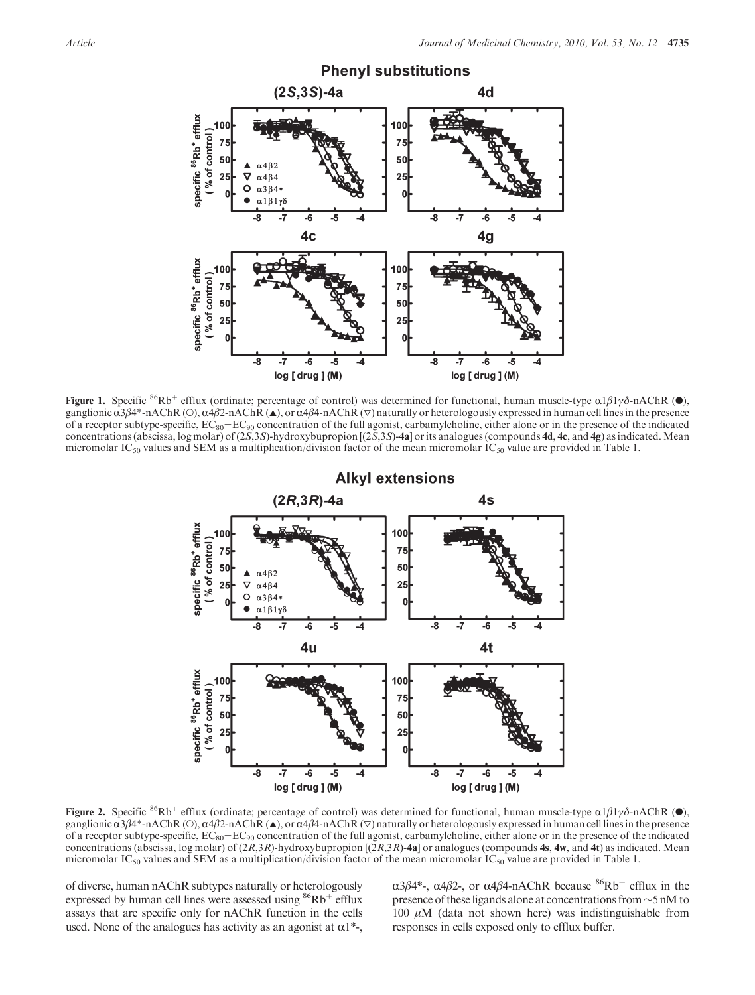

**Figure 1.** Specific <sup>86</sup>Rb<sup>+</sup> efflux (ordinate; percentage of control) was determined for functional, human muscle-type  $\alpha 1\beta 1\gamma\delta$ -nAChR ( $\bullet$ ), ganglionic  $\alpha^3\beta^4$ -nAChR (O),  $\alpha^4\beta^2$ -nAChR ( $\blacktriangle$ ), or  $\alpha^4\beta^4$ -nAChR ( $\nabla$ ) naturally or heterologously expressed in human cell lines in the presence of a receptor subtype-specific,  $EC_{80}-EC_{90}$  concentration of the full agonist, carbamylcholine, either alone or in the presence of the indicated concentrations (abscissa, log molar) of  $(2S,3S)$ -hydroxybupropion  $[(2S,3S)$ -4a] or its analogues (compounds 4d, 4c, and 4g) as indicated. Mean micromolar IC<sub>50</sub> values and SEM as a multiplication/division factor of the mean micromolar IC<sub>50</sub> value are provided in Table 1.



**Figure 2.** Specific <sup>86</sup>Rb<sup>+</sup> efflux (ordinate; percentage of control) was determined for functional, human muscle-type  $\alpha 1\beta 1\gamma\delta$ -nAChR ( $\bullet$ ), ganglionic  $\alpha$ 3β4\*-nAChR (O),  $\alpha$ 4β2-nAChR ( $\blacktriangle$ ), or  $\alpha$ 4β4-nAChR ( $\nabla$ ) naturally or heterologously expressed in human cell lines in the presence of a receptor subtype-specific,  $EC_{80}-EC_{90}$  concentration of the full agonist, carbamylcholine, either alone or in the presence of the indicated concentrations (abscissa, log molar) of  $(2R,3R)$ -hydroxybupropion  $[(2R,3R)$ -4a] or analogues (compounds 4s, 4w, and 4t) as indicated. Mean micromolar IC<sub>50</sub> values and SEM as a multiplication/division factor of the mean micromolar IC<sub>50</sub> value are provided in Table 1.

of diverse, human nAChR subtypes naturally or heterologously expressed by human cell lines were assessed using  $86Rb^+$  efflux assays that are specific only for nAChR function in the cells used. None of the analogues has activity as an agonist at  $\alpha$ 1<sup>\*</sup>-,  $\alpha$ 3β4\*-, α4β2-, or α4β4-nAChR because <sup>86</sup>Rb<sup>+</sup> efflux in the presence of these ligands alone at concentrations from ∼5 nM to 100  $μ$ M (data not shown here) was indistinguishable from responses in cells exposed only to efflux buffer.

**Alkyl extensions**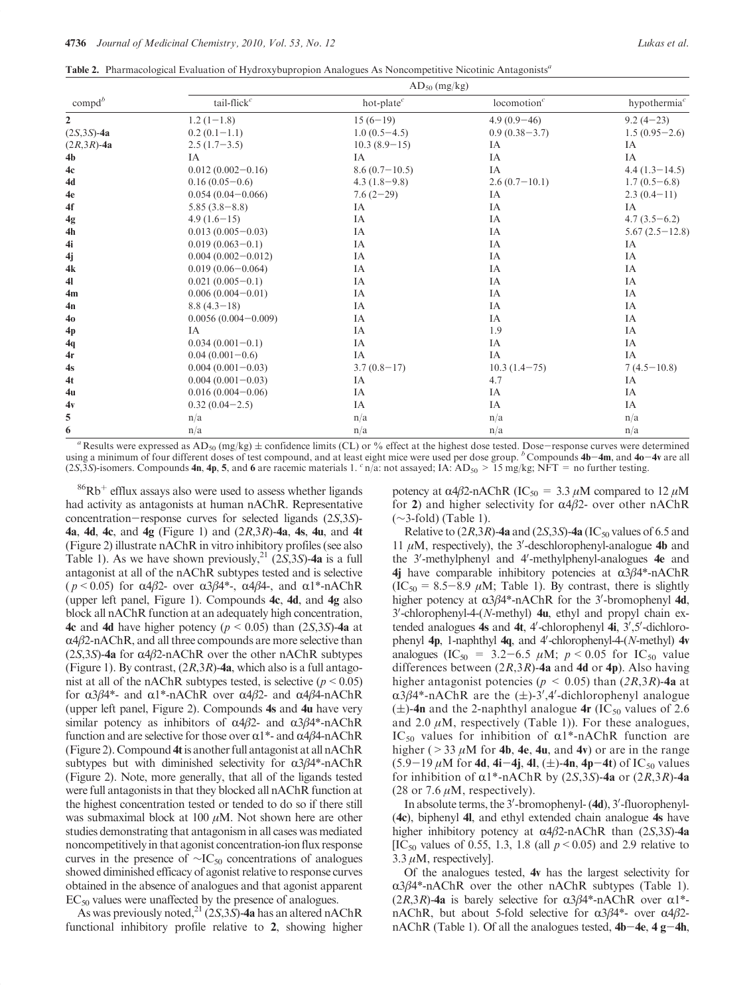Table 2. Pharmacological Evaluation of Hydroxybupropion Analogues As Noncompetitive Nicotinic Antagonists<sup>a</sup>

|                  | $AD_{50}$ (mg/kg)       |                 |                         |                          |  |  |  |  |  |  |
|------------------|-------------------------|-----------------|-------------------------|--------------------------|--|--|--|--|--|--|
| $\text{compd}^b$ | tail-flick $^c$         | hot-plate $^c$  | locomotion <sup>c</sup> | hypothermia <sup>c</sup> |  |  |  |  |  |  |
| $\overline{2}$   | $1.2(1-1.8)$            | $15(6-19)$      | $4.9(0.9-46)$           | $9.2(4-23)$              |  |  |  |  |  |  |
| $(2S, 3S) - 4a$  | $0.2(0.1-1.1)$          | $1.0(0.5-4.5)$  | $0.9(0.38-3.7)$         | $1.5(0.95-2.6)$          |  |  |  |  |  |  |
| $(2R,3R)$ -4a    | $2.5(1.7-3.5)$          | $10.3(8.9-15)$  | IA                      | IA                       |  |  |  |  |  |  |
| 4 <sub>b</sub>   | IA                      | IA              | IA                      | IA                       |  |  |  |  |  |  |
| 4c               | $0.012(0.002 - 0.16)$   | $8.6(0.7-10.5)$ | IA                      | $4.4(1.3-14.5)$          |  |  |  |  |  |  |
| 4d               | $0.16(0.05-0.6)$        | $4.3(1.8-9.8)$  | $2.6(0.7-10.1)$         | $1.7(0.5-6.8)$           |  |  |  |  |  |  |
| 4e               | $0.054(0.04 - 0.066)$   | $7.6(2-29)$     | IA                      | $2.3(0.4-11)$            |  |  |  |  |  |  |
| 4f               | $5.85(3.8-8.8)$         | IA              | IA                      | IA                       |  |  |  |  |  |  |
| 4g               | $4.9(1.6-15)$           | IA              | IA                      | $4.7(3.5-6.2)$           |  |  |  |  |  |  |
| 4 <sub>h</sub>   | $0.013(0.005-0.03)$     | IA              | IA                      | $5.67(2.5-12.8)$         |  |  |  |  |  |  |
| 4i               | $0.019(0.063 - 0.1)$    | IA              | IA                      | IA                       |  |  |  |  |  |  |
| 4j               | $0.004(0.002 - 0.012)$  | IA              | IA                      | IA                       |  |  |  |  |  |  |
| 4k               | $0.019(0.06 - 0.064)$   | IA              | IA                      | IA                       |  |  |  |  |  |  |
| 41               | $0.021(0.005-0.1)$      | IA              | IA                      | IA                       |  |  |  |  |  |  |
| 4m               | $0.006(0.004 - 0.01)$   | IA              | IA                      | IA                       |  |  |  |  |  |  |
| 4n               | $8.8(4.3-18)$           | IA              | IA                      | IA                       |  |  |  |  |  |  |
| 40               | $0.0056(0.004 - 0.009)$ | IA              | IA                      | IA                       |  |  |  |  |  |  |
| 4p               | IA                      | IA              | 1.9                     | IA                       |  |  |  |  |  |  |
| 4q               | $0.034(0.001-0.1)$      | IA              | IA                      | IA                       |  |  |  |  |  |  |
| 4r               | $0.04(0.001-0.6)$       | IA              | IA                      | IA                       |  |  |  |  |  |  |
| 4s               | $0.004(0.001-0.03)$     | $3.7(0.8-17)$   | $10.3(1.4-75)$          | $7(4.5-10.8)$            |  |  |  |  |  |  |
| 4t               | $0.004(0.001 - 0.03)$   | IA              | 4.7                     | IA                       |  |  |  |  |  |  |
| 4u               | $0.016(0.004 - 0.06)$   | IA              | IA                      | IA                       |  |  |  |  |  |  |
| 4v               | $0.32(0.04-2.5)$        | IA              | IA                      | IA                       |  |  |  |  |  |  |
| 5                | n/a                     | n/a             | n/a                     | n/a                      |  |  |  |  |  |  |
| 6                | n/a                     | n/a             | n/a                     | n/a                      |  |  |  |  |  |  |
|                  |                         |                 |                         |                          |  |  |  |  |  |  |

Results were expressed as  $AD_{50}$  (mg/kg)  $\pm$  confidence limits (CL) or % effect at the highest dose tested. Dose-response curves were determined using a minimum of four different doses of test compound, and at least eight mice were used per dose group.  $\frac{b}{b}$  Compounds 4b-4m, and 4o-4v are all (2S,3S)-isomers. Compounds 4n, 4p, 5, and 6 are racemic materials 1.  $\epsilon$  n/a: not assayed; IA: AD<sub>50</sub> > 15 mg/kg; NFT = no further testing.

 $86Rb<sup>+</sup>$  efflux assays also were used to assess whether ligands had activity as antagonists at human nAChR. Representative concentration-response curves for selected ligands (2S,3S)- **4a, 4d, 4c, and 4g (Figure 1) and**  $(2R,3R)$ **-4a, 4s, 4u, and 4t** (Figure 2) illustrate nAChR in vitro inhibitory profiles (see also Table 1). As we have shown previously,<sup>21</sup> (2S,3S)-4a is a full antagonist at all of the nAChR subtypes tested and is selective ( $p < 0.05$ ) for  $\alpha 4\beta 2$ - over  $\alpha 3\beta 4^*$ -,  $\alpha 4\beta 4$ -, and  $\alpha 1^*$ -nAChR (upper left panel, Figure 1). Compounds 4c, 4d, and 4g also block all nAChR function at an adequately high concentration, 4c and 4d have higher potency ( $p < 0.05$ ) than (2S,3S)-4a at  $\alpha$ 4 $\beta$ 2-nAChR, and all three compounds are more selective than (2S,3S)-4a for  $\alpha$ 4 $\beta$ 2-nAChR over the other nAChR subtypes (Figure 1). By contrast,  $(2R,3R)$ -4a, which also is a full antagonist at all of the nAChR subtypes tested, is selective ( $p < 0.05$ ) for  $α3β4^*$ - and  $α1^*$ -nAChR over  $α4β2$ - and  $α4β4$ -nAChR (upper left panel, Figure 2). Compounds 4s and 4u have very similar potency as inhibitors of  $α4β2$ - and  $α3β4$ \*-nAChR function and are selective for those over  $\alpha$ 1<sup>\*</sup>- and  $\alpha$ 4β4-nAChR (Figure 2). Compound 4tis another full antagonist at all nAChR subtypes but with diminished selectivity for  $\alpha$ 3 $\beta$ 4\*-nAChR (Figure 2). Note, more generally, that all of the ligands tested were full antagonists in that they blocked all nAChR function at the highest concentration tested or tended to do so if there still was submaximal block at 100  $\mu$ M. Not shown here are other studies demonstrating that antagonism in all cases was mediated noncompetitively in that agonist concentration-ion flux response curves in the presence of  $\sim$ IC<sub>50</sub> concentrations of analogues showed diminished efficacy of agonist relative to response curves obtained in the absence of analogues and that agonist apparent  $EC_{50}$  values were unaffected by the presence of analogues.

As was previously noted,<sup>21</sup> (2S,3S)-4a has an altered nAChR functional inhibitory profile relative to 2, showing higher potency at α4β2-nAChR (IC<sub>50</sub> = 3.3 μM compared to 12 μM for 2) and higher selectivity for  $\alpha$ 4 $\beta$ 2- over other nAChR (∼3-fold) (Table 1).

Relative to  $(2R,3R)$ -4a and  $(2S,3S)$ -4a (IC<sub>50</sub> values of 6.5 and 11  $\mu$ M, respectively), the 3'-deschlorophenyl-analogue 4b and the  $3'$ -methylphenyl and  $4'$ -methylphenyl-analogues  $4e$  and 4j have comparable inhibitory potencies at  $\alpha$ 3 $\beta$ 4\*-nAChR  $(IC_{50} = 8.5-8.9 \mu M;$  Table 1). By contrast, there is slightly higher potency at  $\alpha$ 3 $\beta$ 4\*-nAChR for the 3'-bromophenyl 4d,  $3'$ -chlorophenyl-4-(N-methyl)  $4u$ , ethyl and propyl chain extended analogues  $4s$  and  $4t$ ,  $4'$ -chlorophenyl  $4i$ ,  $3',5'$ -dichlorophenyl  $4p$ , 1-naphthyl  $4q$ , and  $4'$ -chlorophenyl-4-(N-methyl)  $4v$ analogues (IC<sub>50</sub> = 3.2–6.5  $\mu$ M;  $p < 0.05$  for IC<sub>50</sub> value differences between  $(2R,3R)$ -4a and 4d or 4p). Also having higher antagonist potencies ( $p < 0.05$ ) than (2R,3R)-4a at  $\alpha$ 3 $\beta$ 4\*-nAChR are the ( $\pm$ )-3',4'-dichlorophenyl analogue  $(\pm)$ -4n and the 2-naphthyl analogue 4r (IC<sub>50</sub> values of 2.6) and 2.0  $\mu$ M, respectively (Table 1)). For these analogues, IC<sub>50</sub> values for inhibition of  $\alpha$ 1\*-nAChR function are higher ( $>$  33  $\mu$ M for 4b, 4e, 4u, and 4v) or are in the range  $(5.9-19 \,\mu M$  for 4d, 4i-4j, 4l, ( $\pm$ )-4n, 4p-4t) of IC<sub>50</sub> values for inhibition of  $\alpha$ 1\*-nAChR by (2S,3S)-4a or (2R,3R)-4a (28 or 7.6  $\mu$ M, respectively).

In absolute terms, the 3'-bromophenyl- (4d), 3'-fluorophenyl-(4c), biphenyl 4l, and ethyl extended chain analogue 4s have higher inhibitory potency at  $\alpha$ 4β2-nAChR than (2S,3S)-4a [IC<sub>50</sub> values of 0.55, 1.3, 1.8 (all  $p < 0.05$ ) and 2.9 relative to 3.3  $\mu$ M, respectively].

Of the analogues tested, 4v has the largest selectivity for  $\alpha$ 3β4\*-nAChR over the other nAChR subtypes (Table 1).  $(2R,3R)$ -4a is barely selective for  $\alpha 3\beta 4^*$ -nAChR over  $\alpha 1^*$ nAChR, but about 5-fold selective for  $\alpha 3\beta 4^*$ - over  $\alpha 4\beta 2$ nAChR (Table 1). Of all the analogues tested,  $4b-4e$ ,  $4g-4h$ ,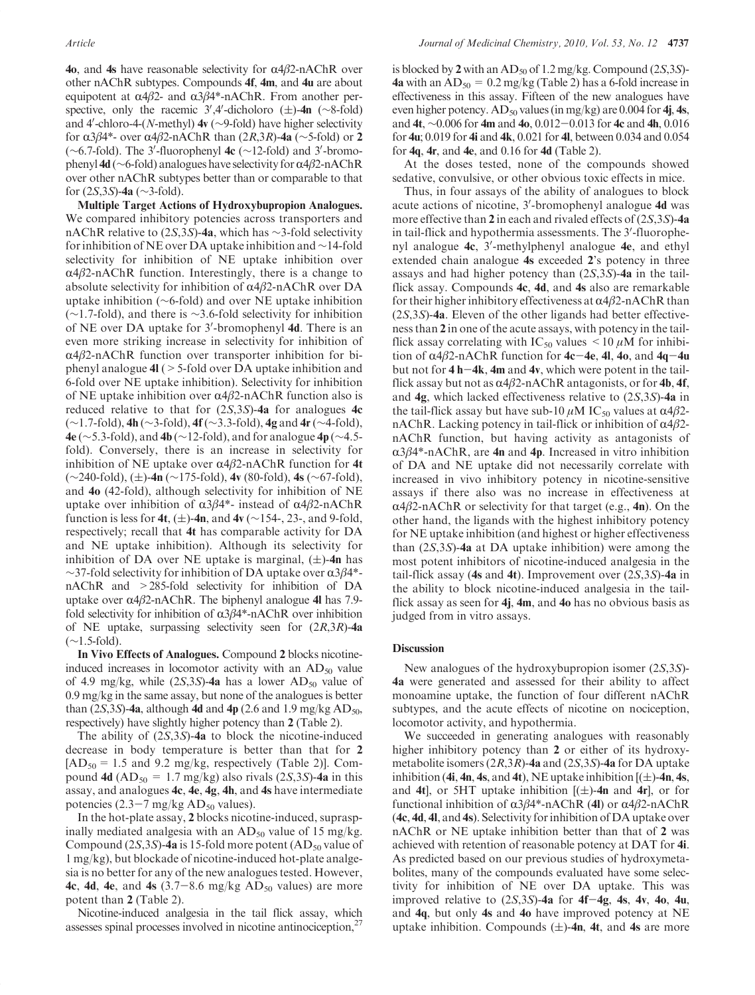**40**, and 4s have reasonable selectivity for  $α4β2-nAChR$  over other nAChR subtypes. Compounds 4f, 4m, and 4u are about equipotent at  $α4β2$ - and  $α3β4$ \*-nAChR. From another perspective, only the racemic  $3'$ ,4′-dicholoro ( $\pm$ )-4n (∼8-fold) and 4'-chloro-4-(N-methyl)  $4v$  (∼9-fold) have higher selectivity for  $\alpha$ 3β4\*- over  $\alpha$ 4β2-nAChR than (2R,3R)-4a (∼5-fold) or 2  $(\sim 6.7\text{-}fold)$ . The 3'-fluorophenyl 4c ( $\sim$ 12-fold) and 3'-bromophenyl 4d ( $\sim$ 6-fold) analogues have selectivity for α4β2-nAChR over other nAChR subtypes better than or comparable to that for (2S,3S)-4a (∼3-fold).

Multiple Target Actions of Hydroxybupropion Analogues. We compared inhibitory potencies across transporters and nAChR relative to (2S,3S)-4a, which has ∼3-fold selectivity for inhibition of NE over DA uptake inhibition and ∼14-fold selectivity for inhibition of NE uptake inhibition over  $\alpha$ 4 $\beta$ 2-nAChR function. Interestingly, there is a change to absolute selectivity for inhibition of  $\alpha$ 4β2-nAChR over DA uptake inhibition (∼6-fold) and over NE uptake inhibition (∼1.7-fold), and there is ∼3.6-fold selectivity for inhibition of NE over DA uptake for 3'-bromophenyl 4d. There is an even more striking increase in selectivity for inhibition of  $\alpha$ 4 $\beta$ 2-nAChR function over transporter inhibition for biphenyl analogue 4l (>5-fold over DA uptake inhibition and 6-fold over NE uptake inhibition). Selectivity for inhibition of NE uptake inhibition over  $\alpha$ 4β2-nAChR function also is reduced relative to that for  $(2S,3S)$ -4a for analogues 4c (∼1.7-fold), 4h (∼3-fold), 4f (∼3.3-fold), 4g and 4r(∼4-fold), 4e ( $\sim$ 5.3-fold), and 4b ( $\sim$ 12-fold), and for analogue 4p ( $\sim$ 4.5fold). Conversely, there is an increase in selectivity for inhibition of NE uptake over  $\alpha$ 4β2-nAChR function for 4t  $(\sim 240$ -fold),  $(\pm)$ -4n (∼175-fold), 4v (80-fold), 4s (∼67-fold), and 4o (42-fold), although selectivity for inhibition of NE uptake over inhibition of  $\alpha$ 3β4\*- instead of  $\alpha$ 4β2-nAChR function is less for 4t,  $(\pm)$ -4n, and 4v (∼154-, 23-, and 9-fold, respectively; recall that 4t has comparable activity for DA and NE uptake inhibition). Although its selectivity for inhibition of DA over NE uptake is marginal,  $(\pm)$ -4n has  $\sim$ 37-fold selectivity for inhibition of DA uptake over α3β4\*nAChR and >285-fold selectivity for inhibition of DA uptake over  $\alpha$ 4β2-nAChR. The biphenyl analogue 4l has 7.9fold selectivity for inhibition of  $\alpha 3\beta 4^*$ -nAChR over inhibition of NE uptake, surpassing selectivity seen for  $(2R,3R)$ -4a (∼1.5-fold).

In Vivo Effects of Analogues. Compound 2 blocks nicotineinduced increases in locomotor activity with an  $AD_{50}$  value of 4.9 mg/kg, while  $(2S,3S)$ -4a has a lower AD<sub>50</sub> value of 0.9 mg/kg in the same assay, but none of the analogues is better than (2S,3S)-4a, although 4d and 4p (2.6 and 1.9 mg/kg  $AD_{50}$ , respectively) have slightly higher potency than 2 (Table 2).

The ability of  $(2S,3S)$ -4a to block the nicotine-induced decrease in body temperature is better than that for 2  $[AD_{50} = 1.5$  and 9.2 mg/kg, respectively (Table 2)]. Compound 4d  $(AD_{50} = 1.7 \text{ mg/kg})$  also rivals  $(2S, 3S)$ -4a in this assay, and analogues 4c, 4e, 4g, 4h, and 4s have intermediate potencies  $(2.3-7 \text{ mg/kg AD}_{50} \text{ values}).$ 

In the hot-plate assay, 2 blocks nicotine-induced, supraspinally mediated analgesia with an  $AD_{50}$  value of 15 mg/kg. Compound  $(2S,3S)$ -4a is 15-fold more potent  $(AD_{50}$  value of 1 mg/kg), but blockade of nicotine-induced hot-plate analgesia is no better for any of the new analogues tested. However, 4c, 4d, 4e, and 4s  $(3.7-8.6 \text{ mg/kg AD}_{50} \text{ values})$  are more potent than 2 (Table 2).

Nicotine-induced analgesia in the tail flick assay, which assesses spinal processes involved in nicotine antinociception,<sup>27</sup>

is blocked by 2 with an  $AD_{50}$  of 1.2 mg/kg. Compound (2S,3S)-4a with an  $AD_{50} = 0.2$  mg/kg (Table 2) has a 6-fold increase in effectiveness in this assay. Fifteen of the new analogues have even higher potency.  $AD_{50}$  values (in mg/kg) are 0.004 for 4j, 4s, and 4t, ∼0.006 for 4m and 4o, 0.012-0.013 for 4c and 4h, 0.016 for 4u; 0.019 for 4i and 4k, 0.021 for 4l, between 0.034 and 0.054 for  $4q$ ,  $4r$ , and  $4e$ , and 0.16 for  $4d$  (Table 2).

At the doses tested, none of the compounds showed sedative, convulsive, or other obvious toxic effects in mice.

Thus, in four assays of the ability of analogues to block acute actions of nicotine, 3'-bromophenyl analogue 4d was more effective than  $2$  in each and rivaled effects of  $(2S,3S)$ -4a in tail-flick and hypothermia assessments. The 3'-fluorophenyl analogue 4c, 3'-methylphenyl analogue 4e, and ethyl extended chain analogue 4s exceeded 2's potency in three assays and had higher potency than (2S,3S)-4a in the tailflick assay. Compounds 4c, 4d, and 4s also are remarkable for their higher inhibitory effectiveness at  $\alpha$ 4 $\beta$ 2-nAChR than (2S,3S)-4a. Eleven of the other ligands had better effectiveness than 2 in one of the acute assays, with potency in the tailflick assay correlating with  $IC_{50}$  values  $\leq 10 \mu M$  for inhibition of  $\alpha$ 4β2-nAChR function for 4c-4e, 4l, 4o, and 4q-4u but not for  $4 h-4k$ ,  $4m$  and  $4v$ , which were potent in the tailflick assay but not as  $\alpha$ 4β2-nAChR antagonists, or for 4b, 4f, and 4g, which lacked effectiveness relative to (2S,3S)-4a in the tail-flick assay but have sub-10  $μ$ M IC<sub>50</sub> values at  $α4β2$ nAChR. Lacking potency in tail-flick or inhibition of  $\alpha$ 4 $\beta$ 2nAChR function, but having activity as antagonists of  $\alpha$ 3 $\beta$ 4\*-nAChR, are 4n and 4p. Increased in vitro inhibition of DA and NE uptake did not necessarily correlate with increased in vivo inhibitory potency in nicotine-sensitive assays if there also was no increase in effectiveness at  $\alpha$ 4β2-nAChR or selectivity for that target (e.g., 4n). On the other hand, the ligands with the highest inhibitory potency for NE uptake inhibition (and highest or higher effectiveness than  $(2S,3S)$ -4a at DA uptake inhibition) were among the most potent inhibitors of nicotine-induced analgesia in the tail-flick assay (4s and 4t). Improvement over  $(2S,3S)$ -4a in the ability to block nicotine-induced analgesia in the tailflick assay as seen for  $4j$ ,  $4m$ , and  $4o$  has no obvious basis as judged from in vitro assays.

#### **Discussion**

New analogues of the hydroxybupropion isomer (2S,3S)- 4a were generated and assessed for their ability to affect monoamine uptake, the function of four different nAChR subtypes, and the acute effects of nicotine on nociception, locomotor activity, and hypothermia.

We succeeded in generating analogues with reasonably higher inhibitory potency than 2 or either of its hydroxymetabolite isomers  $(2R,3R)$ -4a and  $(2S,3S)$ -4a for DA uptake inhibition (4i, 4n, 4s, and 4t), NE uptake inhibition  $[(\pm)$ -4n, 4s, and 4t], or 5HT uptake inhibition  $[(\pm)$ -4n and 4r], or for functional inhibition of  $\alpha$ 3β4\*-nAChR (4l) or  $\alpha$ 4β2-nAChR (4c, 4d, 4l, and 4s). Selectivity for inhibition of DA uptake over nAChR or NE uptake inhibition better than that of 2 was achieved with retention of reasonable potency at DAT for 4i. As predicted based on our previous studies of hydroxymetabolites, many of the compounds evaluated have some selectivity for inhibition of NE over DA uptake. This was improved relative to  $(2S,3S)$ -4a for 4f-4g, 4s, 4v, 4o, 4u, and 4q, but only 4s and 4o have improved potency at NE uptake inhibition. Compounds  $(\pm)$ -4n, 4t, and 4s are more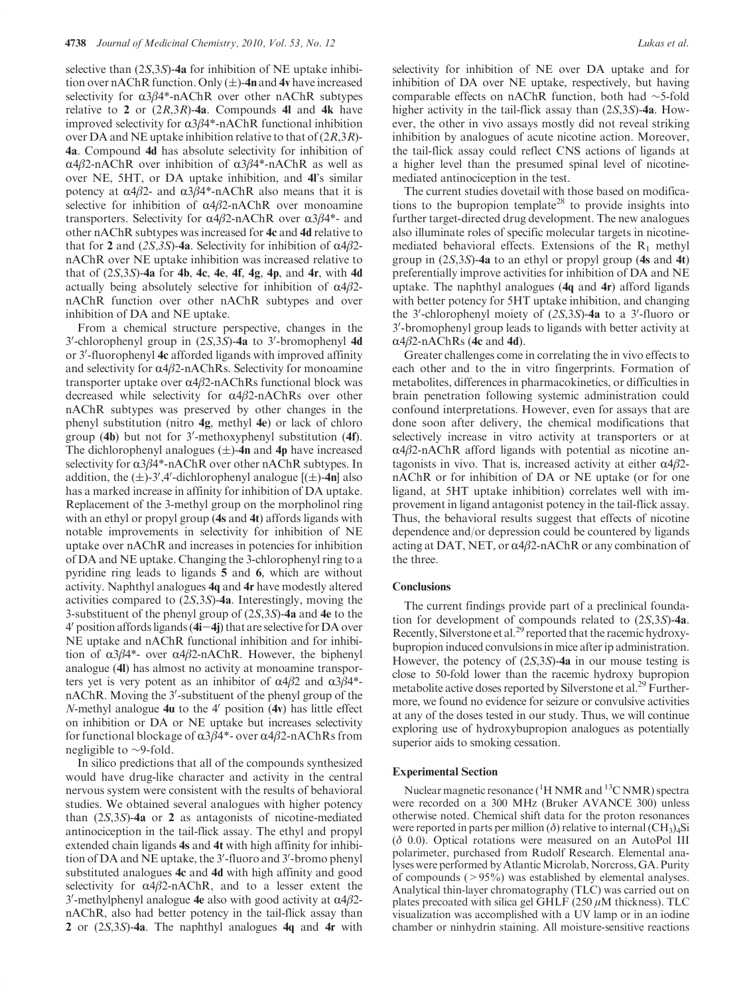selective than  $(2S,3S)$ -4a for inhibition of NE uptake inhibition over nAChR function. Only  $(\pm)$ -4n and 4v have increased selectivity for  $\alpha 3\beta 4^*$ -nAChR over other nAChR subtypes relative to 2 or  $(2R,3R)$ -4a. Compounds 4l and 4k have improved selectivity for  $\alpha$ 3 $\beta$ 4\*-nAChR functional inhibition over DA and NE uptake inhibition relative to that of  $(2R,3R)$ -4a. Compound 4d has absolute selectivity for inhibition of  $α4β2-nAChR$  over inhibition of  $α3β4*-nAChR$  as well as over NE, 5HT, or DA uptake inhibition, and 4l's similar potency at  $α4β2$ - and  $α3β4$ \*-nAChR also means that it is selective for inhibition of  $\alpha$ 4β2-nAChR over monoamine transporters. Selectivity for  $α4β2$ -nAChR over  $α3β4$ <sup>\*</sup>- and other nAChR subtypes was increased for 4c and 4d relative to that for 2 and (2S,3S)-4a. Selectivity for inhibition of  $\alpha$ 4 $\beta$ 2nAChR over NE uptake inhibition was increased relative to that of  $(2S,3S)$ -4a for 4b, 4c, 4e, 4f, 4g, 4p, and 4r, with 4d actually being absolutely selective for inhibition of  $\alpha$ 4 $\beta$ 2nAChR function over other nAChR subtypes and over inhibition of DA and NE uptake.

From a chemical structure perspective, changes in the  $3'$ -chlorophenyl group in  $(2S,3S)$ -4a to  $3'$ -bromophenyl 4d or 3'-fluorophenyl 4c afforded ligands with improved affinity and selectivity for  $\alpha$ 4 $\beta$ 2-nAChRs. Selectivity for monoamine transporter uptake over  $α4β2-nAChRs$  functional block was decreased while selectivity for  $\alpha$ 4β2-nAChRs over other nAChR subtypes was preserved by other changes in the phenyl substitution (nitro 4g, methyl 4e) or lack of chloro group  $(4b)$  but not for 3'-methoxyphenyl substitution  $(4f)$ . The dichlorophenyl analogues  $(\pm)$ -4n and 4p have increased selectivity for  $\alpha 3\beta 4^*$ -nAChR over other nAChR subtypes. In addition, the  $(\pm)$ -3',4'-dichlorophenyl analogue  $[(\pm)$ -4n] also has a marked increase in affinity for inhibition of DA uptake. Replacement of the 3-methyl group on the morpholinol ring with an ethyl or propyl group (4s and 4t) affords ligands with notable improvements in selectivity for inhibition of NE uptake over nAChR and increases in potencies for inhibition of DA and NE uptake. Changing the 3-chlorophenyl ring to a pyridine ring leads to ligands 5 and 6, which are without activity. Naphthyl analogues 4q and 4r have modestly altered activities compared to (2S,3S)-4a. Interestingly, moving the 3-substituent of the phenyl group of (2S,3S)-4a and 4e to the  $4'$  position affords ligands ( $4i-4j$ ) that are selective for DA over NE uptake and nAChR functional inhibition and for inhibition of  $α3β4^*$ - over  $α4β2$ -nAChR. However, the biphenyl analogue (4l) has almost no activity at monoamine transporters yet is very potent as an inhibitor of  $\alpha 4\beta 2$  and  $\alpha 3\beta 4^*$ nAChR. Moving the 3'-substituent of the phenyl group of the N-methyl analogue  $4u$  to the  $4'$  position  $(4v)$  has little effect on inhibition or DA or NE uptake but increases selectivity for functional blockage of  $\alpha$ 3β4\*- over  $\alpha$ 4β2-nAChRs from negligible to ∼9-fold.

In silico predictions that all of the compounds synthesized would have drug-like character and activity in the central nervous system were consistent with the results of behavioral studies. We obtained several analogues with higher potency than  $(2S,3S)$ -4a or 2 as antagonists of nicotine-mediated antinociception in the tail-flick assay. The ethyl and propyl extended chain ligands 4s and 4t with high affinity for inhibition of DA and NE uptake, the 3'-fluoro and 3'-bromo phenyl substituted analogues 4c and 4d with high affinity and good selectivity for  $\alpha$ 4β2-nAChR, and to a lesser extent the 3'-methylphenyl analogue 4e also with good activity at  $α4β2$ nAChR, also had better potency in the tail-flick assay than 2 or (2S,3S)-4a. The naphthyl analogues 4q and 4r with selectivity for inhibition of NE over DA uptake and for inhibition of DA over NE uptake, respectively, but having comparable effects on nAChR function, both had ∼5-fold higher activity in the tail-flick assay than  $(2S,3S)$ -4a. However, the other in vivo assays mostly did not reveal striking inhibition by analogues of acute nicotine action. Moreover, the tail-flick assay could reflect CNS actions of ligands at a higher level than the presumed spinal level of nicotinemediated antinociception in the test.

The current studies dovetail with those based on modifications to the bupropion template<sup>28</sup> to provide insights into further target-directed drug development. The new analogues also illuminate roles of specific molecular targets in nicotinemediated behavioral effects. Extensions of the  $R_1$  methyl group in  $(2S,3S)$ -4a to an ethyl or propyl group (4s and 4t) preferentially improve activities for inhibition of DA and NE uptake. The naphthyl analogues (4q and 4r) afford ligands with better potency for 5HT uptake inhibition, and changing the 3'-chlorophenyl moiety of  $(2S,3S)$ -4a to a 3'-fluoro or 3'-bromophenyl group leads to ligands with better activity at  $\alpha$ 4β2-nAChRs (4c and 4d).

Greater challenges come in correlating the in vivo effects to each other and to the in vitro fingerprints. Formation of metabolites, differences in pharmacokinetics, or difficulties in brain penetration following systemic administration could confound interpretations. However, even for assays that are done soon after delivery, the chemical modifications that selectively increase in vitro activity at transporters or at  $\alpha$ 4 $\beta$ 2-nAChR afford ligands with potential as nicotine antagonists in vivo. That is, increased activity at either  $\alpha$ 4 $\beta$ 2nAChR or for inhibition of DA or NE uptake (or for one ligand, at 5HT uptake inhibition) correlates well with improvement in ligand antagonist potency in the tail-flick assay. Thus, the behavioral results suggest that effects of nicotine dependence and/or depression could be countered by ligands acting at DAT, NET, or  $\alpha$ 4 $\beta$ 2-nAChR or any combination of the three.

#### **Conclusions**

The current findings provide part of a preclinical foundation for development of compounds related to (2S,3S)-4a. Recently, Silverstone et al.<sup>29</sup> reported that the racemic hydroxybupropion induced convulsions in mice after ip administration. However, the potency of (2S,3S)-4a in our mouse testing is close to 50-fold lower than the racemic hydroxy bupropion metabolite active doses reported by Silverstone et al.<sup>29</sup> Furthermore, we found no evidence for seizure or convulsive activities at any of the doses tested in our study. Thus, we will continue exploring use of hydroxybupropion analogues as potentially superior aids to smoking cessation.

#### Experimental Section

Nuclear magnetic resonance  $({}^{1}H NMR$  and  ${}^{13}C NMR)$  spectra were recorded on a 300 MHz (Bruker AVANCE 300) unless otherwise noted. Chemical shift data for the proton resonances were reported in parts per million ( $\delta$ ) relative to internal (CH<sub>3</sub>)<sub>4</sub>Si (δ 0.0). Optical rotations were measured on an AutoPol III polarimeter, purchased from Rudolf Research. Elemental analyses were performed by Atlantic Microlab, Norcross, GA. Purity of compounds  $(>95%)$  was established by elemental analyses. Analytical thin-layer chromatography (TLC) was carried out on plates precoated with silica gel GHLF (250  $\mu$ M thickness). TLC visualization was accomplished with a UV lamp or in an iodine chamber or ninhydrin staining. All moisture-sensitive reactions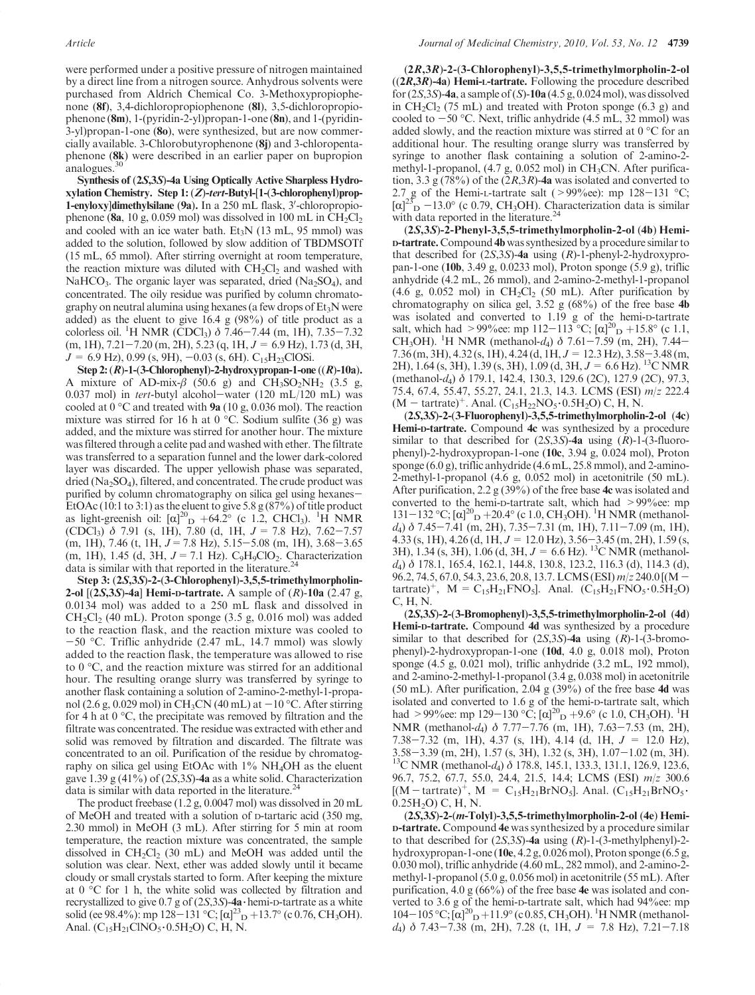were performed under a positive pressure of nitrogen maintained by a direct line from a nitrogen source. Anhydrous solvents were purchased from Aldrich Chemical Co. 3-Methoxypropiophenone (8f), 3,4-dichloropropiophenone (8l), 3,5-dichloropropiophenone (8m), 1-(pyridin-2-yl)propan-1-one (8n), and 1-(pyridin-3-yl)propan-1-one (8o), were synthesized, but are now commercially available. 3-Chlorobutyrophenone (8j) and 3-chloropentaphenone (8k) were described in an earlier paper on bupropion analogues.<sup>3</sup>

Synthesis of (2S,3S)-4a Using Optically Active Sharpless Hydroxylation Chemistry. Step 1: (Z)-tert-Butyl-[1-(3-chlorophenyl)prop-1-enyloxy]dimethylsilane (9a). In a 250 mL flask, 3'-chloropropiophenone (8a, 10 g, 0.059 mol) was dissolved in 100 mL in  $CH_2Cl_2$ and cooled with an ice water bath. Et<sub>3</sub>N (13 mL, 95 mmol) was added to the solution, followed by slow addition of TBDMSOTf (15 mL, 65 mmol). After stirring overnight at room temperature, the reaction mixture was diluted with  $CH<sub>2</sub>Cl<sub>2</sub>$  and washed with NaHCO<sub>3</sub>. The organic layer was separated, dried  $(Na_2SO_4)$ , and concentrated. The oily residue was purified by column chromatography on neutral alumina using hexanes (a few drops of  $Et<sub>3</sub>N$  were added) as the eluent to give 16.4 g (98%) of title product as a colorless oil. <sup>1</sup>H NMR (CDCl<sub>3</sub>)  $\delta$  7.46–7.44 (m, 1H), 7.35–7.32  $(m, 1H), 7.21-7.20$   $(m, 2H), 5.23$   $(q, 1H, J = 6.9$  Hz), 1.73 (d, 3H,  $J = 6.9$  Hz), 0.99 (s, 9H),  $-0.03$  (s, 6H). C<sub>15</sub>H<sub>23</sub>ClOSi.

Step 2:  $(R)$ -1-(3-Chlorophenyl)-2-hydroxypropan-1-one  $((R)$ -10a). A mixture of AD-mix- $\beta$  (50.6 g) and CH<sub>3</sub>SO<sub>2</sub>NH<sub>2</sub> (3.5 g, 0.037 mol) in *tert*-butyl alcohol-water  $(120 \text{ mL}/120 \text{ mL})$  was cooled at  $0^{\circ}$ C and treated with **9a** (10 g, 0.036 mol). The reaction mixture was stirred for 16 h at 0  $^{\circ}$ C. Sodium sulfite (36 g) was added, and the mixture was stirred for another hour. The mixture was filtered through a celite pad and washed with ether. The filtrate was transferred to a separation funnel and the lower dark-colored layer was discarded. The upper yellowish phase was separated, dried ( $Na<sub>2</sub>SO<sub>4</sub>$ ), filtered, and concentrated. The crude product was purified by column chromatography on silica gel using hexanes-EtOAc (10:1 to 3:1) as the eluent to give 5.8  $g(87%)$  of title product as light-greenish oil:  $\left[\alpha\right]_{\text{D}}^{20}$  +64.2° (c 1.2, CHCl<sub>3</sub>). <sup>1</sup>H NMR (CDCl<sub>3</sub>)  $\delta$  7.91 (s, 1H), 7.80 (d, 1H,  $J = 7.8$  Hz), 7.62-7.57  $(m, 1H), 7.46$  (t, 1H,  $J = 7.8$  Hz),  $5.15 - 5.08$  (m, 1H),  $3.68 - 3.65$ (m, 1H), 1.45 (d, 3H,  $J = 7.1$  Hz). C<sub>9</sub>H<sub>9</sub>ClO<sub>2</sub>. Characterization data is similar with that reported in the literature. $^{24}$ 

Step 3: (2S,3S)-2-(3-Chlorophenyl)-3,5,5-trimethylmorpholin-2-ol  $[(2S,3S)$ -4a] Hemi-D-tartrate. A sample of  $(R)$ -10a  $(2.47 g,$ 0.0134 mol) was added to a 250 mL flask and dissolved in  $CH_2Cl_2$  (40 mL). Proton sponge (3.5 g, 0.016 mol) was added to the reaction flask, and the reaction mixture was cooled to  $-50$  °C. Triflic anhydride (2.47 mL, 14.7 mmol) was slowly added to the reaction flask, the temperature was allowed to rise to  $0^{\circ}$ C, and the reaction mixture was stirred for an additional hour. The resulting orange slurry was transferred by syringe to another flask containing a solution of 2-amino-2-methyl-1-propanol (2.6 g, 0.029 mol) in CH<sub>3</sub>CN (40 mL) at  $-10$  °C. After stirring for 4 h at  $0^{\circ}$ C, the precipitate was removed by filtration and the filtrate was concentrated. The residue was extracted with ether and solid was removed by filtration and discarded. The filtrate was concentrated to an oil. Purification of the residue by chromatography on silica gel using EtOAc with  $1\%$  NH<sub>4</sub>OH as the eluent gave 1.39 g (41%) of (2S,3S)-4a as a white solid. Characterization data is similar with data reported in the literature.<sup>24</sup>

The product freebase (1.2 g, 0.0047 mol) was dissolved in 20 mL of MeOH and treated with a solution of D-tartaric acid (350 mg, 2.30 mmol) in MeOH (3 mL). After stirring for 5 min at room temperature, the reaction mixture was concentrated, the sample dissolved in  $CH_2Cl_2$  (30 mL) and MeOH was added until the solution was clear. Next, ether was added slowly until it became cloudy or small crystals started to form. After keeping the mixture at  $0 °C$  for 1 h, the white solid was collected by filtration and recrystallized to give 0.7 g of  $(2S, 3S)$ -4a·hemi-D-tartrate as a white solid (ee 98.4%): mp 128–131 °C;  $[\alpha]^{23}$ <sub>D</sub> +13.7° (c 0.76, CH<sub>3</sub>OH). Anal.  $(C_{15}H_{21}CINO_5 \cdot 0.5H_2O)$  C, H, N.

(2R,3R)-2-(3-Chlorophenyl)-3,5,5-trimethylmorpholin-2-ol  $((2R,3R)-4a)$  Hemi-L-tartrate. Following the procedure described for  $(2S,3S)$ -4a, a sample of  $(S)$ -10a  $(4.5 g, 0.024 mol)$ , was dissolved in  $CH_2Cl_2$  (75 mL) and treated with Proton sponge (6.3 g) and cooled to  $-50$  °C. Next, triflic anhydride (4.5 mL, 32 mmol) was added slowly, and the reaction mixture was stirred at  $0^{\circ}$ C for an additional hour. The resulting orange slurry was transferred by syringe to another flask containing a solution of 2-amino-2 methyl-1-propanol,  $(4.7 \text{ g}, 0.052 \text{ mol})$  in CH<sub>3</sub>CN. After purification, 3.3 g (78%) of the  $(2R,3R)$ -4a was isolated and converted to 2.7 g of the Hemi-L-tartrate salt ( $>99\%$ ee): mp 128-131 °C;  $[\alpha]^{25}$ D -13.0° (c 0.79, CH<sub>3</sub>OH). Characterization data is similar with data reported in the literature.<sup>24</sup>

(2S,3S)-2-Phenyl-3,5,5-trimethylmorpholin-2-ol (4b) Hemi-D-tartrate. Compound 4b was synthesized by a procedure similar to that described for  $(2S,3S)$ -4a using  $(R)$ -1-phenyl-2-hydroxypropan-1-one (10b, 3.49 g, 0.0233 mol), Proton sponge (5.9 g), triflic anhydride (4.2 mL, 26 mmol), and 2-amino-2-methyl-1-propanol (4.6 g, 0.052 mol) in  $CH_2Cl_2$  (50 mL). After purification by chromatography on silica gel,  $3.52$  g  $(68\%)$  of the free base 4b was isolated and converted to 1.19 g of the hemi-D-tartrate salt, which had >99%ee: mp 112–113 °C;  $[\alpha]_{D}^{20} + 15.8$ ° (c 1.1, CH<sub>3</sub>OH). <sup>1</sup>H NMR (methanol-d<sub>4</sub>)  $\delta$  7.61-7.59 (m, 2H), 7.44-7.36 (m, 3H),  $4.32$  (s, 1H),  $4.24$  (d, 1H,  $J = 12.3$  Hz),  $3.58 - 3.48$  (m, 2H), 1.64 (s, 3H), 1.39 (s, 3H), 1.09 (d, 3H, J = 6.6 Hz). 13C NMR (methanol-d4) δ 179.1, 142.4, 130.3, 129.6 (2C), 127.9 (2C), 97.3, 75.4, 67.4, 55.47, 55.27, 24.1, 21.3, 14.3. LCMS (ESI) m/z 222.4  $(M - \text{tartrate})^+$ . Anal.  $(C_{15}H_{22}NO_5 \cdot 0.5H_2O)$  C, H, N.

(2S,3S)-2-(3-Fluorophenyl)-3,5,5-trimethylmorpholin-2-ol (4c) Hemi-D-tartrate. Compound 4c was synthesized by a procedure similar to that described for  $(2S,3S)$ -4a using  $(R)$ -1-(3-fluorophenyl)-2-hydroxypropan-1-one (10c, 3.94 g, 0.024 mol), Proton sponge (6.0 g), triflic anhydride (4.6 mL, 25.8 mmol), and 2-amino-2-methyl-1-propanol (4.6 g, 0.052 mol) in acetonitrile (50 mL). After purification, 2.2 g (39%) of the free base  $4c$  was isolated and converted to the hemi-D-tartrate salt, which had >99%ee: mp 131-132 °C;  $[\alpha]^{20}$  p +20.4° (c 1.0, CH<sub>3</sub>OH). <sup>1</sup>H NMR (methanold4) δ 7.45-7.41 (m, 2H), 7.35-7.31 (m, 1H), 7.11-7.09 (m, 1H), 4.33 (s, 1H), 4.26 (d, 1H,  $J = 12.0$  Hz), 3.56-3.45 (m, 2H), 1.59 (s, 3H), 1.34 (s, 3H), 1.06 (d, 3H,  $J = 6.6$  Hz). <sup>13</sup>C NMR (methanold4) δ 178.1, 165.4, 162.1, 144.8, 130.8, 123.2, 116.3 (d), 114.3 (d), 96.2, 74.5, 67.0, 54.3, 23.6, 20.8, 13.7. LCMS (ESI) m/z 240.0 [(Mtartrate)<sup>+</sup>, M = C<sub>15</sub>H<sub>21</sub>FNO<sub>5</sub>]. Anal. (C<sub>15</sub>H<sub>21</sub>FNO<sub>5</sub> 0.5H<sub>2</sub>O) C, H, N.

(2S,3S)-2-(3-Bromophenyl)-3,5,5-trimethylmorpholin-2-ol (4d) Hemi-D-tartrate. Compound 4d was synthesized by a procedure similar to that described for  $(2S,3S)$ -4a using  $(R)$ -1- $(3$ -bromophenyl)-2-hydroxypropan-1-one (10d, 4.0 g, 0.018 mol), Proton sponge (4.5 g, 0.021 mol), triflic anhydride (3.2 mL, 192 mmol), and 2-amino-2-methyl-1-propanol (3.4 g, 0.038 mol) in acetonitrile (50 mL). After purification, 2.04 g  $(39\%)$  of the free base 4d was isolated and converted to 1.6 g of the hemi-D-tartrate salt, which had >99%ee: mp 129-130 °C;  $\left[\alpha\right]_{D}^{20} + 9.6$ ° (c 1.0, CH<sub>3</sub>OH). <sup>1</sup>H NMR (methanol-d4) δ 7.77-7.76 (m, 1H), 7.63-7.53 (m, 2H), 7.38-7.32 (m, 1H), 4.37 (s, 1H), 4.14 (d, 1H,  $J = 12.0$  Hz),  $3.58-3.39$  (m, 2H), 1.57 (s, 3H), 1.32 (s, 3H), 1.07-1.02 (m, 3H).<br><sup>13</sup>C NMR (methanol-*d*<sub>4</sub>)  $\delta$  178.8, 145.1, 133.3, 131.1, 126.9, 123.6, 96.7, 75.2, 67.7, 55.0, 24.4, 21.5, 14.4; LCMS (ESI) m/z 300.6  $[(M- \text{tartrate})^+, M = C_{15}H_{21}BrNO<sub>5</sub>].$  Anal.  $(C_{15}H_{21}BrNO<sub>5</sub>·0.25H<sub>2</sub>O) C, H, N.$ 

(2S,3S)-2-(m-Tolyl)-3,5,5-trimethylmorpholin-2-ol (4e) Hemi-D-tartrate. Compound 4e was synthesized by a procedure similar to that described for  $(2S,3S)$ -4a using  $(R)$ -1- $(3$ -methylphenyl)-2hydroxypropan-1-one (10e, 4.2 g, 0.026 mol), Proton sponge (6.5 g, 0.030 mol), triflic anhydride (4.60 mL, 282 mmol), and 2-amino-2 methyl-1-propanol (5.0 g, 0.056 mol) in acetonitrile (55 mL). After purification, 4.0 g (66%) of the free base 4e was isolated and converted to 3.6 g of the hemi-D-tartrate salt, which had 94%ee: mp  $104-105\degree C; [\alpha]^{20}D+11.9\degree (c\ 0.85, CH_3OH).$ <sup>1</sup>H NMR (methanold<sub>4</sub>)  $\delta$  7.43-7.38 (m, 2H), 7.28 (t, 1H,  $J = 7.8$  Hz), 7.21-7.18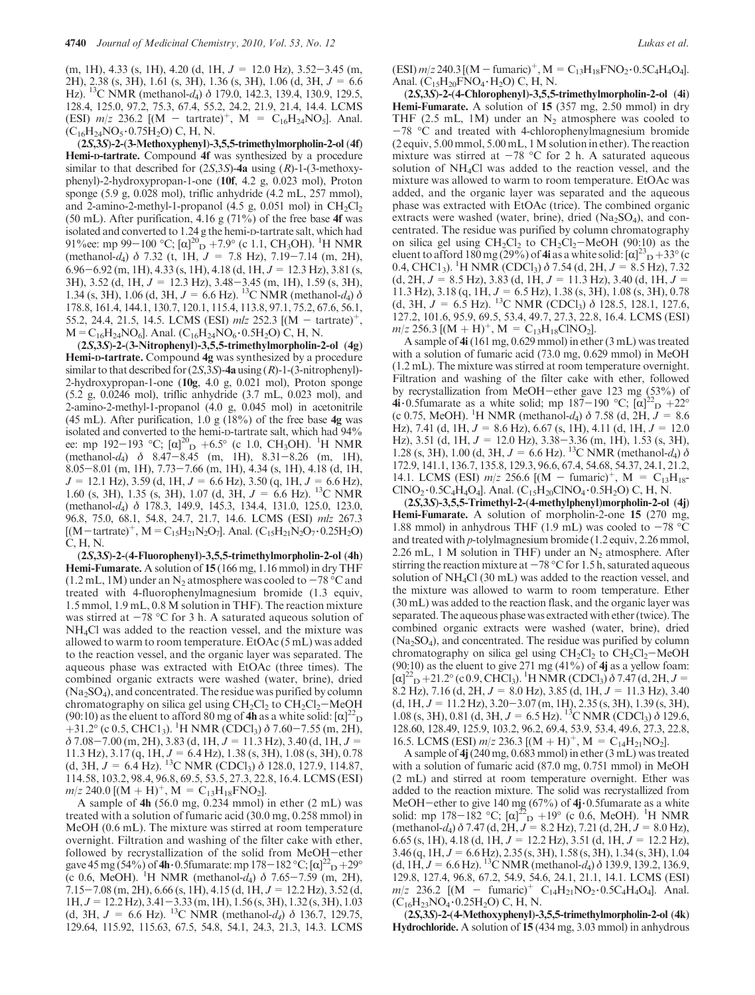$(m, 1H), 4.33$  (s, 1H), 4.20 (d, 1H,  $J = 12.0$  Hz), 3.52-3.45 (m, 2H), 2.38 (s, 3H), 1.61 (s, 3H), 1.36 (s, 3H), 1.06 (d, 3H, J = 6.6 Hz). <sup>13</sup>C NMR (methanol-d<sub>4</sub>)  $\delta$  179.0, 142.3, 139.4, 130.9, 129.5, 128.4, 125.0, 97.2, 75.3, 67.4, 55.2, 24.2, 21.9, 21.4, 14.4. LCMS (ESI)  $m/z$  236.2 [(M - tartrate)<sup>+</sup>, M = C<sub>16</sub>H<sub>24</sub>NO<sub>5</sub>]. Anal.  $(C_{16}H_{24}NO_5 \cdot 0.75H_2O)$  C, H, N.

(2S,3S)-2-(3-Methoxyphenyl)-3,5,5-trimethylmorpholin-2-ol (4f) Hemi-D-tartrate. Compound 4f was synthesized by a procedure similar to that described for  $(2S,3S)$ -4a using  $(R)$ -1- $(3$ -methoxyphenyl)-2-hydroxypropan-1-one (10f, 4.2 g, 0.023 mol), Proton sponge (5.9 g, 0.028 mol), triflic anhydride (4.2 mL, 257 mmol), and 2-amino-2-methyl-1-propanol (4.5 g, 0.051 mol) in  $CH_2Cl_2$ (50 mL). After purification, 4.16 g (71%) of the free base 4f was isolated and converted to 1.24 g the hemi-D-tartrate salt, which had 91\% ee: mp 99-100 °C;  $[\alpha]_{D}^{20}$  +7.9° (c 1.1, CH<sub>3</sub>OH). <sup>1</sup>H NMR (methanol-d<sub>4</sub>)  $\delta$  7.32 (t, 1H,  $J = 7.8$  Hz), 7.19-7.14 (m, 2H), 6.96-6.92 (m, 1H), 4.33 (s, 1H), 4.18 (d, 1H,  $J = 12.3$  Hz), 3.81 (s, 3H), 3.52 (d, 1H,  $J = 12.3$  Hz), 3.48-3.45 (m, 1H), 1.59 (s, 3H), 1.34 (s, 3H), 1.06 (d, 3H,  $J = 6.6$  Hz). <sup>13</sup>C NMR (methanol-d<sub>4</sub>)  $\delta$ 178.8, 161.4, 144.1, 130.7, 120.1, 115.4, 113.8, 97.1, 75.2, 67.6, 56.1, 55.2, 24.4, 21.5, 14.5. LCMS (ESI) mlz 252.3  $[(M - \text{tartrate})^+,$  $M=C_{16}H_{24}NO_6$ ]. Anal. (C<sub>16</sub>H<sub>24</sub>NO<sub>6</sub> · 0.5H<sub>2</sub>O) C, H, N.

(2S,3S)-2-(3-Nitrophenyl)-3,5,5-trimethylmorpholin-2-ol (4g) Hemi-D-tartrate. Compound 4g was synthesized by a procedure similar to that described for  $(2S,3S)$ -4a using  $(R)$ -1- $(3$ -nitrophenyl)-2-hydroxypropan-1-one (10g, 4.0 g, 0.021 mol), Proton sponge (5.2 g, 0.0246 mol), triflic anhydride (3.7 mL, 0.023 mol), and 2-amino-2-methyl-1-propanol (4.0 g, 0.045 mol) in acetonitrile (45 mL). After purification, 1.0 g  $(18\%)$  of the free base  $4g$  was isolated and converted to the hemi-D-tartrate salt, which had 94% ee: mp 192-193 °C;  $[\alpha]_{\text{D}}^{20}$  +6.5° (c 1.0, CH<sub>3</sub>OH). <sup>1</sup>H NMR  $(\text{methanol-}d_4)$  δ 8.47-8.45 (m, 1H), 8.31-8.26 (m, 1H), 8.05-8.01 (m, 1H), 7.73-7.66 (m, 1H), 4.34 (s, 1H), 4.18 (d, 1H,  $J = 12.1$  Hz), 3.59 (d, 1H,  $J = 6.6$  Hz), 3.50 (q, 1H,  $J = 6.6$  Hz), 1.60 (s, 3H), 1.35 (s, 3H), 1.07 (d, 3H,  $J = 6.6$  Hz). <sup>13</sup>C NMR (methanol-d4) δ 178.3, 149.9, 145.3, 134.4, 131.0, 125.0, 123.0, 96.8, 75.0, 68.1, 54.8, 24.7, 21.7, 14.6. LCMS (ESI) mlz 267.3  $[(M-[\text{tartrate}]^{+}, M=C_{15}H_{21}N_2O_7]$ . Anal.  $(C_{15}H_{21}N_2O_7 \cdot 0.25H_2O)$ C, H, N.

(2S,3S)-2-(4-Fluorophenyl)-3,5,5-trimethylmorpholin-2-ol (4h) Hemi-Fumarate. A solution of 15 (166 mg, 1.16 mmol) in dry THF  $(1.2$  mL, 1M) under an N<sub>2</sub> atmosphere was cooled to  $-78$  °C and treated with 4-fluorophenylmagnesium bromide (1.3 equiv, 1.5 mmol, 1.9 mL, 0.8 M solution in THF). The reaction mixture was stirred at  $-78$  °C for 3 h. A saturated aqueous solution of NH4Cl was added to the reaction vessel, and the mixture was allowed to warm to room temperature. EtOAc (5 mL) was added to the reaction vessel, and the organic layer was separated. The aqueous phase was extracted with EtOAc (three times). The combined organic extracts were washed (water, brine), dried  $(Na<sub>2</sub>SO<sub>4</sub>)$ , and concentrated. The residue was purified by column chromatography on silica gel using  $CH_2Cl_2$  to  $CH_2Cl_2-MeOH$ (90:10) as the eluent to afford 80 mg of  $\overline{4h}$  as a white solid:  $[\alpha]^{22}$  D +31.2° (c 0.5, CHC1<sub>3</sub>). <sup>1</sup>H NMR (CDCl<sub>3</sub>)  $\delta$  7.60–7.55 (m, 2H),  $\delta$  7.08-7.00 (m, 2H), 3.83 (d, 1H,  $J = 11.3$  Hz), 3.40 (d, 1H,  $J =$ 11.3 Hz), 3.17 (q, 1H,  $J = 6.4$  Hz), 1.38 (s, 3H), 1.08 (s, 3H), 0.78 (d, 3H,  $J = 6.4$  Hz). <sup>13</sup>C NMR (CDCl<sub>3</sub>)  $\delta$  128.0, 127.9, 114.87, 114.58, 103.2, 98.4, 96.8, 69.5, 53.5, 27.3, 22.8, 16.4. LCMS (ESI)  $m/z$  240.0 [(M + H)<sup>+</sup>, M = C<sub>13</sub>H<sub>18</sub>FNO<sub>2</sub>].

A sample of 4h (56.0 mg, 0.234 mmol) in ether (2 mL) was treated with a solution of fumaric acid (30.0 mg, 0.258 mmol) in MeOH (0.6 mL). The mixture was stirred at room temperature overnight. Filtration and washing of the filter cake with ether, followed by recrystallization of the solid from MeOH-ether gave 45 mg (54%) of 4h 0.5fumarate: mp 178 – 182 °C;  $[\alpha]^{22}D + 29^\circ$ (c 0.6, MeOH). <sup>1</sup>H NMR (methanol-d<sub>4</sub>)  $\delta$  7.65-7.59 (m, 2H),  $7.15-7.08$  (m, 2H), 6.66 (s, 1H), 4.15 (d, 1H,  $J = 12.2$  Hz), 3.52 (d,  $1H, J = 12.2 Hz$ ,  $3.41 - 3.33$  (m, 1H),  $1.56$  (s, 3H),  $1.32$  (s, 3H),  $1.03$ (d, 3H,  $J = 6.6$  Hz). <sup>13</sup>C NMR (methanol-d<sub>4</sub>)  $\delta$  136.7, 129.75, 129.64, 115.92, 115.63, 67.5, 54.8, 54.1, 24.3, 21.3, 14.3. LCMS  $(ESI)$  m/z 240.3 [(M – fumaric)<sup>+</sup>, M = C<sub>13</sub>H<sub>18</sub>FNO<sub>2</sub> · 0.5C<sub>4</sub>H<sub>4</sub>O<sub>4</sub>]. Anal.  $(C_{15}H_{20}FNO_4 \cdot H_2O)$  C, H, N.

(2S,3S)-2-(4-Chlorophenyl)-3,5,5-trimethylmorpholin-2-ol (4i) Hemi-Fumarate. A solution of 15 (357 mg, 2.50 mmol) in dry THF (2.5 mL, 1M) under an  $N_2$  atmosphere was cooled to  $-78$  °C and treated with 4-chlorophenylmagnesium bromide (2 equiv, 5.00 mmol, 5.00 mL, 1M solution in ether). The reaction mixture was stirred at  $-78$  °C for 2 h. A saturated aqueous solution of NH4Cl was added to the reaction vessel, and the mixture was allowed to warm to room temperature. EtOAc was added, and the organic layer was separated and the aqueous phase was extracted with EtOAc (trice). The combined organic extracts were washed (water, brine), dried ( $Na<sub>2</sub>SO<sub>4</sub>$ ), and concentrated. The residue was purified by column chromatography on silica gel using  $CH_2Cl_2$  to  $CH_2Cl_2-MeOH$  (90:10) as the eluent to afford 180 mg (29%) of 4i as a white solid:  $[\alpha]^{23}D + 33^{\circ}$  (c) 0.4, CHC1<sub>3</sub>). <sup>1</sup>H NMR (CDCl<sub>3</sub>)  $\delta$  7.54 (d, 2H,  $J = 8.5$  Hz), 7.32  $(d, 2H, J = 8.5 Hz),$  3.83  $(d, 1H, J = 11.3 Hz),$  3.40  $(d, 1H, J = 11.3 Hz)$ 11.3 Hz), 3.18 (q, 1H,  $J = 6.5$  Hz), 1.38 (s, 3H), 1.08 (s, 3H), 0.78 (d, 3H,  $J = 6.5$  Hz). <sup>13</sup>C NMR (CDCl<sub>3</sub>)  $\delta$  128.5, 128.1, 127.6, 127.2, 101.6, 95.9, 69.5, 53.4, 49.7, 27.3, 22.8, 16.4. LCMS (ESI)  $m/z$  256.3 [(M + H)<sup>+</sup>, M = C<sub>13</sub>H<sub>18</sub>ClNO<sub>2</sub>].

A sample of 4i(161 mg, 0.629 mmol) in ether (3 mL) was treated with a solution of fumaric acid (73.0 mg, 0.629 mmol) in MeOH (1.2 mL). The mixture was stirred at room temperature overnight. Filtration and washing of the filter cake with ether, followed by recrystallization from MeOH-ether gave 123 mg (53%) of 4i 0.5fumarate as a white solid; mp  $187-190$  °C;  $[\alpha]^2$  p  $+22^\circ$ (c 0.75, MeOH). <sup>1</sup>H NMR (methanol-d<sub>4</sub>)  $\delta$  7.58 (d, 2H,  $J = 8.6$ Hz), 7.41 (d, 1H,  $J = 8.6$  Hz), 6.67 (s, 1H), 4.11 (d, 1H,  $J = 12.0$ Hz), 3.51 (d, 1H,  $J = 12.0$  Hz), 3.38-3.36 (m, 1H), 1.53 (s, 3H), 1.28 (s, 3H), 1.00 (d, 3H,  $J = 6.6$  Hz). <sup>13</sup>C NMR (methanol-d<sub>4</sub>)  $\delta$ 172.9, 141.1, 136.7, 135.8, 129.3, 96.6, 67.4, 54.68, 54.37, 24.1, 21.2, 14.1. LCMS (ESI)  $m/z$  256.6 [(M - fumaric)<sup>+</sup>, M = C<sub>13</sub>H<sub>18</sub>- $CINO_2 \cdot 0.5C_4H_4O_4$ ]. Anal.  $(C_{15}H_{20}CINO_4 \cdot 0.5H_2O)$  C, H, N.

(2S,3S)-3,5,5-Trimethyl-2-(4-methylphenyl)morpholin-2-ol (4j) Hemi-Fumarate. A solution of morpholin-2-one 15 (270 mg, 1.88 mmol) in anhydrous THF (1.9 mL) was cooled to  $-78$  °C and treated with p-tolylmagnesium bromide (1.2 equiv, 2.26 mmol, 2.26 mL, 1 M solution in THF) under an  $N<sub>2</sub>$  atmosphere. After stirring the reaction mixture at  $-78$  °C for 1.5 h, saturated aqueous solution of NH4Cl (30 mL) was added to the reaction vessel, and the mixture was allowed to warm to room temperature. Ether (30 mL) was added to the reaction flask, and the organic layer was separated. The aqueous phase was extracted with ether (twice). The combined organic extracts were washed (water, brine), dried (Na2SO4), and concentrated. The residue was purified by column chromatography on silica gel using  $CH_2Cl_2$  to  $CH_2Cl_2-MeOH$  $(90:10)$  as the eluent to give 271 mg  $(41\%)$  of 4j as a yellow foam:  $[\alpha]^{22}$  p + 21.2° (c 0.9, CHCl<sub>3</sub>). <sup>1</sup>H NMR (CDCl<sub>3</sub>)  $\delta$  7.47 (d, 2H, J = 8.2 Hz), 7.16 (d, 2H,  $J = 8.0$  Hz), 3.85 (d, 1H,  $J = 11.3$  Hz), 3.40  $(d, 1H, J = 11.2 \text{ Hz})$ , 3.20-3.07 (m, 1H), 2.35 (s, 3H), 1.39 (s, 3H), 1.08 (s, 3H), 0.81 (d, 3H,  $J = 6.5$  Hz). <sup>13</sup>C NMR (CDCl<sub>3</sub>)  $\delta$  129.6, 128.60, 128.49, 125.9, 103.2, 96.2, 69.4, 53.9, 53.4, 49.6, 27.3, 22.8, 16.5. LCMS (ESI)  $m/z$  236.3 [(M + H)<sup>+</sup>, M = C<sub>14</sub>H<sub>21</sub>NO<sub>2</sub>].

A sample of 4j(240 mg, 0.683 mmol) in ether (3 mL) was treated with a solution of fumaric acid (87.0 mg, 0.751 mmol) in MeOH (2 mL) and stirred at room temperature overnight. Ether was added to the reaction mixture. The solid was recrystallized from MeOH-ether to give 140 mg (67%) of 4j·0.5fumarate as a white solid: mp 178-182 °C;  $[\alpha]_{\text{D}}^{22} + 19^{\circ}$  (c 0.6, MeOH). <sup>1</sup>H NMR (methanol-d<sub>4</sub>)  $\delta$  7.47 (d, 2H,  $J = 8.2$  Hz), 7.21 (d, 2H,  $J = 8.0$  Hz), 6.65 (s, 1H), 4.18 (d, 1H,  $J = 12.2$  Hz), 3.51 (d, 1H,  $J = 12.2$  Hz),  $3.46$  (q, 1H,  $J = 6.6$  Hz),  $2.35$  (s, 3H),  $1.58$  (s, 3H),  $1.34$  (s, 3H),  $1.04$ (d, 1H,  $J = 6.6$  Hz). <sup>13</sup>C NMR (methanol-d<sub>4</sub>)  $\delta$  139.9, 139.2, 136.9, 129.8, 127.4, 96.8, 67.2, 54.9, 54.6, 24.1, 21.1, 14.1. LCMS (ESI)  $m/z$  236.2  $[(M - fumaric)^+ C_{14}H_{21}NO_2 \cdot 0.5C_4H_4O_4]$ . Anal.  $(C_{16}H_{23}NO_4 \cdot 0.25H_2O)$  C, H, N.

(2S,3S)-2-(4-Methoxyphenyl)-3,5,5-trimethylmorpholin-2-ol (4k) Hydrochloride. A solution of 15 (434 mg, 3.03 mmol) in anhydrous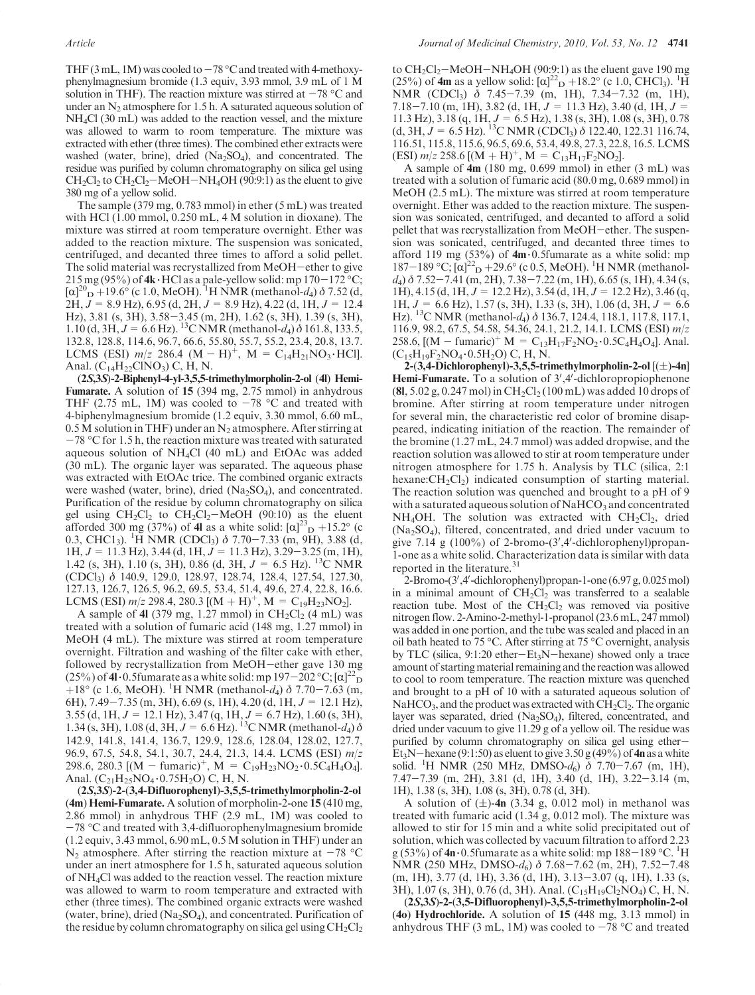THF (3 mL, 1M) was cooled to  $-78$  °C and treated with 4-methoxyphenylmagnesium bromide (1.3 equiv, 3.93 mmol, 3.9 mL of 1 M solution in THF). The reaction mixture was stirred at  $-78$  °C and under an  $N_2$  atmosphere for 1.5 h. A saturated aqueous solution of NH4Cl (30 mL) was added to the reaction vessel, and the mixture was allowed to warm to room temperature. The mixture was extracted with ether (three times). The combined ether extracts were washed (water, brine), dried  $(Na<sub>2</sub>SO<sub>4</sub>)$ , and concentrated. The residue was purified by column chromatography on silica gel using  $CH_2Cl_2$  to  $CH_2Cl_2-MeOH-NH_4OH$  (90:9:1) as the eluent to give 380 mg of a yellow solid.

The sample (379 mg, 0.783 mmol) in ether (5 mL) was treated with HCl (1.00 mmol, 0.250 mL, 4 M solution in dioxane). The mixture was stirred at room temperature overnight. Ether was added to the reaction mixture. The suspension was sonicated, centrifuged, and decanted three times to afford a solid pellet. The solid material was recrystallized from MeOH-ether to give  $215 \text{ mg} (95\%)$  of  $4\text{k} \cdot \text{HCl}$  as a pale-yellow solid: mp  $170-172 \text{ °C}$ ;  $[\alpha]^{20}$  p + 19.6° (c 1.0, MeOH). <sup>1</sup>H NMR (methanol-d<sub>4</sub>)  $\delta$  7.52 (d,  $2H, J = 8.9$  Hz), 6.95 (d,  $2H, J = 8.9$  Hz), 4.22 (d,  $1H, J = 12.4$ Hz), 3.81 (s, 3H), 3.58-3.45 (m, 2H), 1.62 (s, 3H), 1.39 (s, 3H), 1.10 (d, 3H,  $J = 6.6$  Hz). <sup>13</sup>C NMR (methanol-d<sub>4</sub>)  $\delta$  161.8, 133.5, 132.8, 128.8, 114.6, 96.7, 66.6, 55.80, 55.7, 55.2, 23.4, 20.8, 13.7. LCMS (ESI)  $m/z$  286.4 (M – H)<sup>+</sup>, M = C<sub>14</sub>H<sub>21</sub>NO<sub>3</sub> HCl]. Anal.  $(C_{14}H_{22}CINO_3)C, H, N.$ 

(2S,3S)-2-Biphenyl-4-yl-3,5,5-trimethylmorpholin-2-ol (4l) Hemi-Fumarate. A solution of 15 (394 mg, 2.75 mmol) in anhydrous THF (2.75 mL, 1M) was cooled to  $-78$  °C and treated with 4-biphenylmagnesium bromide (1.2 equiv, 3.30 mmol, 6.60 mL,  $0.5$  M solution in THF) under an N<sub>2</sub> atmosphere. After stirring at  $-78$  °C for 1.5 h, the reaction mixture was treated with saturated aqueous solution of  $NH<sub>4</sub>Cl$  (40 mL) and EtOAc was added (30 mL). The organic layer was separated. The aqueous phase was extracted with EtOAc trice. The combined organic extracts were washed (water, brine), dried  $(Na<sub>2</sub>SO<sub>4</sub>)$ , and concentrated. Purification of the residue by column chromatography on silica gel using  $CH_2Cl_2$  to  $CH_2Cl_2-MeOH$  (90:10) as the eluent afforded 300 mg (37%) of 4l as a white solid:  $[\alpha]^{23}$  b + 15.2° (c 0.3, CHC1<sub>3</sub>). <sup>1</sup>H NMR (CDCl<sub>3</sub>)  $\delta$  7.70–7.33 (m, 9H), 3.88 (d, 1H,  $J = 11.3$  Hz), 3.44 (d, 1H,  $J = 11.3$  Hz), 3.29–3.25 (m, 1H), 1.42 (s, 3H), 1.10 (s, 3H), 0.86 (d, 3H,  $J = 6.5$  Hz). <sup>13</sup>C NMR (CDCl3) δ 140.9, 129.0, 128.97, 128.74, 128.4, 127.54, 127.30, 127.13, 126.7, 126.5, 96.2, 69.5, 53.4, 51.4, 49.6, 27.4, 22.8, 16.6. LCMS (ESI)  $m/z$  298.4, 280.3 [(M + H)<sup>+</sup>, M = C<sub>19</sub>H<sub>23</sub>NO<sub>2</sub>].

A sample of 41 (379 mg, 1.27 mmol) in  $CH_2Cl_2$  (4 mL) was treated with a solution of fumaric acid (148 mg, 1.27 mmol) in MeOH (4 mL). The mixture was stirred at room temperature overnight. Filtration and washing of the filter cake with ether, followed by recrystallization from MeOH-ether gave 130 mg (25%) of 41.0.5fumarate as a white solid: mp 197-202 °C;  $[\alpha]_{D}^{22}$ +18° (c 1.6, MeOH). <sup>1</sup>H NMR (methanol-d<sub>4</sub>)  $\delta$  7.70-7.63 (m, 6H),  $7.49 - 7.35$  (m, 3H), 6.69 (s, 1H), 4.20 (d, 1H,  $J = 12.1$  Hz), 3.55 (d, 1H,  $J = 12.1$  Hz), 3.47 (q, 1H,  $J = 6.7$  Hz), 1.60 (s, 3H), 1.34 (s, 3H), 1.08 (d, 3H,  $J = 6.6$  Hz). <sup>13</sup>C NMR (methanol-d<sub>4</sub>)  $\delta$ 142.9, 141.8, 141.4, 136.7, 129.9, 128.6, 128.04, 128.02, 127.7, 96.9, 67.5, 54.8, 54.1, 30.7, 24.4, 21.3, 14.4. LCMS (ESI) m/z 298.6, 280.3  $[(M - fumaric)^+, M = C_{19}H_{23}NO_2 \cdot 0.5C_4H_4O_4].$ Anal.  $(C_{21}H_{25}NO_4 \cdot 0.75H_2O)$  C, H, N.

(2S,3S)-2-(3,4-Difluorophenyl)-3,5,5-trimethylmorpholin-2-ol  $(4m)$  Hemi-Fumarate. A solution of morpholin-2-one 15  $(410 \text{ mg})$ , 2.86 mmol) in anhydrous THF (2.9 mL, 1M) was cooled to  $-78$  °C and treated with 3,4-difluorophenylmagnesium bromide (1.2 equiv, 3.43 mmol, 6.90 mL, 0.5 M solution in THF) under an  $N_2$  atmosphere. After stirring the reaction mixture at  $-78$  °C under an inert atmosphere for 1.5 h, saturated aqueous solution of NH4Cl was added to the reaction vessel. The reaction mixture was allowed to warm to room temperature and extracted with ether (three times). The combined organic extracts were washed (water, brine), dried ( $Na<sub>2</sub>SO<sub>4</sub>$ ), and concentrated. Purification of the residue by column chromatography on silica gel using  $CH_2Cl_2$  to  $CH_2Cl_2-MeOH-NH_4OH$  (90:9:1) as the eluent gave 190 mg  $(25\%)$  of 4m as a yellow solid:  $[\alpha]^{22}$   $+18.2^{\circ}$  (c 1.0, CHCl<sub>3</sub>). <sup>1</sup>H NMR (CDCl3) δ 7.45-7.39 (m, 1H), 7.34-7.32 (m, 1H), 7.18-7.10 (m, 1H), 3.82 (d, 1H,  $J = 11.3$  Hz), 3.40 (d, 1H,  $J =$ 11.3 Hz), 3.18 (q, 1H,  $J = 6.5$  Hz), 1.38 (s, 3H), 1.08 (s, 3H), 0.78 (d, 3H,  $J = 6.5$  Hz). <sup>13</sup>C NMR (CDCl<sub>3</sub>)  $\delta$  122.40, 122.31 116.74, 116.51, 115.8, 115.6, 96.5, 69.6, 53.4, 49.8, 27.3, 22.8, 16.5. LCMS (ESI)  $m/z$  258.6 [(M + H)<sup>+</sup>, M = C<sub>13</sub>H<sub>17</sub>F<sub>2</sub>NO<sub>2</sub>].

A sample of 4m (180 mg, 0.699 mmol) in ether (3 mL) was treated with a solution of fumaric acid (80.0 mg, 0.689 mmol) in MeOH (2.5 mL). The mixture was stirred at room temperature overnight. Ether was added to the reaction mixture. The suspension was sonicated, centrifuged, and decanted to afford a solid pellet that was recrystallization from MeOH-ether. The suspension was sonicated, centrifuged, and decanted three times to afford 119 mg (53%) of  $4m \cdot 0.5$ fumarate as a white solid: mp  $187-189 \text{ °C}; [\alpha]^2$   $\rightarrow$   $+29.6 \text{ °C}$  (c 0.5, MeOH). <sup>1</sup>H NMR (methanold4) δ 7.52-7.41 (m, 2H), 7.38-7.22 (m, 1H), 6.65 (s, 1H), 4.34 (s, 1H),  $4.15$  (d,  $1H, J = 12.2$  Hz),  $3.54$  (d,  $1H, J = 12.2$  Hz),  $3.46$  (q, 1H,  $J = 6.6$  Hz), 1.57 (s, 3H), 1.33 (s, 3H), 1.06 (d, 3H,  $J = 6.6$ Hz). <sup>13</sup>C NMR (methanol-d<sub>4</sub>) δ 136.7, 124.4, 118.1, 117.8, 117.1, 116.9, 98.2, 67.5, 54.58, 54.36, 24.1, 21.2, 14.1. LCMS (ESI) m/z 258.6,  $[(M - fumaric)^+ M = C_{13}H_{17}F_2NO_2 \cdot 0.5C_4H_4O_4]$ . Anal.  $(C_{15}H_{19}F_2NO_4 \cdot 0.5H_2O)$  C, H, N.

2-(3,4-Dichlorophenyl)-3,5,5-trimethylmorpholin-2-ol  $[(\pm)$ -4n] Hemi-Fumarate. To a solution of 3',4'-dichloropropiophenone (8l, 5.02 g, 0.247 mol) in  $CH_2Cl_2(100 \text{ mL})$  was added 10 drops of bromine. After stirring at room temperature under nitrogen for several min, the characteristic red color of bromine disappeared, indicating initiation of the reaction. The remainder of the bromine (1.27 mL, 24.7 mmol) was added dropwise, and the reaction solution was allowed to stir at room temperature under nitrogen atmosphere for 1.75 h. Analysis by TLC (silica, 2:1 hexane: $CH_2Cl_2$ ) indicated consumption of starting material. The reaction solution was quenched and brought to a pH of 9 with a saturated aqueous solution of  $NAHCO<sub>3</sub>$  and concentrated  $NH<sub>4</sub>OH$ . The solution was extracted with  $CH<sub>2</sub>Cl<sub>2</sub>$ , dried  $(Na_2SO_4)$ , filtered, concentrated, and dried under vacuum to give 7.14 g  $(100\%)$  of 2-bromo- $(3\frac{1}{4}$ -dichlorophenyl)propan-1-one as a white solid. Characterization data is similar with data reported in the literature.<sup>31</sup>

2-Bromo-(3',4'-dichlorophenyl)propan-1-one (6.97 g, 0.025 mol) in a minimal amount of  $CH_2Cl_2$  was transferred to a sealable reaction tube. Most of the  $CH_2Cl_2$  was removed via positive nitrogen flow. 2-Amino-2-methyl-1-propanol (23.6 mL, 247 mmol) was added in one portion, and the tube was sealed and placed in an oil bath heated to 75 °C. After stirring at 75 °C overnight, analysis by TLC (silica, 9:1:20 ether-Et<sub>3</sub>N-hexane) showed only a trace amount of starting material remaining and the reaction was allowed to cool to room temperature. The reaction mixture was quenched and brought to a pH of 10 with a saturated aqueous solution of  $NaHCO<sub>3</sub>$ , and the product was extracted with  $CH<sub>2</sub>Cl<sub>2</sub>$ . The organic layer was separated, dried (Na<sub>2</sub>SO<sub>4</sub>), filtered, concentrated, and dried under vacuum to give 11.29 g of a yellow oil. The residue was purified by column chromatography on silica gel using ether-Et<sub>3</sub>N-hexane (9:1:50) as eluent to give 3.50 g (49%) of 4n as a white solid. <sup>1</sup>H NMR (250 MHz, DMSO- $d_6$ )  $\delta$  7.70–7.67 (m, 1H), 7.47-7.39 (m, 2H), 3.81 (d, 1H), 3.40 (d, 1H), 3.22-3.14 (m, 1H), 1.38 (s, 3H), 1.08 (s, 3H), 0.78 (d, 3H).

A solution of  $(\pm)$ -4n (3.34 g, 0.012 mol) in methanol was treated with fumaric acid (1.34 g, 0.012 mol). The mixture was allowed to stir for 15 min and a white solid precipitated out of solution, which was collected by vacuum filtration to afford 2.23  $g(53\%)$  of  $4n \cdot 0.5$ fumarate as a white solid: mp 188-189 °C. <sup>1</sup>H NMR (250 MHz, DMSO- $d_6$ )  $\delta$  7.68-7.62 (m, 2H), 7.52-7.48  $(m, 1H), 3.77$  (d, 1H), 3.36 (d, 1H), 3.13–3.07 (q, 1H), 1.33 (s, 3H), 1.07 (s, 3H), 0.76 (d, 3H). Anal. (C<sub>15</sub>H<sub>19</sub>Cl<sub>2</sub>NO<sub>4</sub>) C, H, N.

(2S,3S)-2-(3,5-Difluorophenyl)-3,5,5-trimethylmorpholin-2-ol (4o) Hydrochloride. A solution of 15 (448 mg, 3.13 mmol) in anhydrous THF (3 mL, 1M) was cooled to  $-78$  °C and treated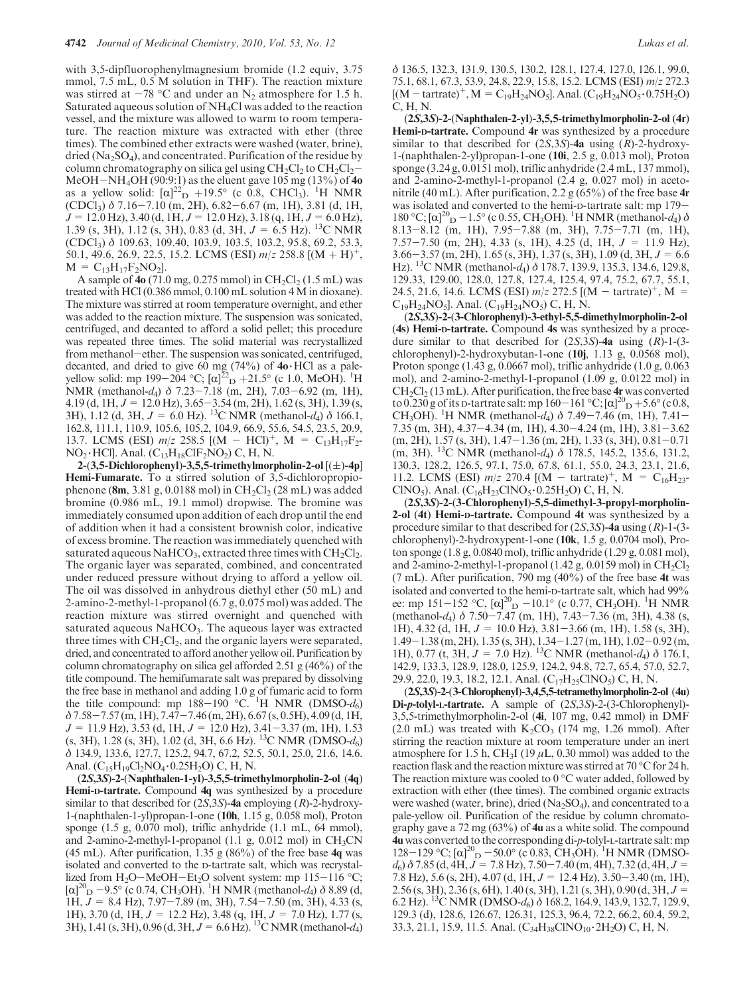with 3,5-dipfluorophenylmagnesium bromide (1.2 equiv, 3.75 mmol, 7.5 mL, 0.5 M solution in THF). The reaction mixture was stirred at  $-78$  °C and under an N<sub>2</sub> atmosphere for 1.5 h. Saturated aqueous solution of NH4Cl was added to the reaction vessel, and the mixture was allowed to warm to room temperature. The reaction mixture was extracted with ether (three times). The combined ether extracts were washed (water, brine), dried ( $Na<sub>2</sub>SO<sub>4</sub>$ ), and concentrated. Purification of the residue by column chromatography on silica gel using  $CH_2Cl_2$  to  $CH_2Cl_2-$ MeOH-NH4OH (90:9:1) as the eluent gave 105 mg (13%) of 4o as a yellow solid:  $[\alpha]^{22}$   $\rightarrow$  19.5° (c 0.8, CHCl<sub>3</sub>). <sup>1</sup>H NMR  $(CDCl<sub>3</sub>)$   $\delta$  7.16-7.10 (m, 2H), 6.82-6.67 (m, 1H), 3.81 (d, 1H,  $J = 12.0$  Hz), 3.40 (d, 1H,  $J = 12.0$  Hz), 3.18 (q, 1H,  $J = 6.0$  Hz), 1.39 (s, 3H), 1.12 (s, 3H), 0.83 (d, 3H,  $J = 6.5$  Hz). <sup>13</sup>C NMR (CDCl3) δ 109.63, 109.40, 103.9, 103.5, 103.2, 95.8, 69.2, 53.3, 50.1, 49.6, 26.9, 22.5, 15.2. LCMS (ESI)  $m/z$  258.8 [(M + H)<sup>+</sup>,  $M = C_{13}H_{17}F_2NO_2$ .

A sample of 4o (71.0 mg, 0.275 mmol) in  $CH_2Cl_2$  (1.5 mL) was treated with HCl (0.386 mmol, 0.100 mL solution 4 M in dioxane). The mixture was stirred at room temperature overnight, and ether was added to the reaction mixture. The suspension was sonicated, centrifuged, and decanted to afford a solid pellet; this procedure was repeated three times. The solid material was recrystallized from methanol-ether. The suspension was sonicated, centrifuged, decanted, and dried to give 60 mg  $(74\%)$  of  $40 \cdot$  HCl as a paleyellow solid: mp 199-204 °C;  $[\alpha]^{22}$  p +21.5° (c 1.0, MeOH). <sup>1</sup>H NMR (methanol-d4) δ 7.23-7.18 (m, 2H), 7.03-6.92 (m, 1H), 4.19 (d, 1H,  $J = 12.0$  Hz), 3.65-3.54 (m, 2H), 1.62 (s, 3H), 1.39 (s, 3H), 1.12 (d, 3H,  $J = 6.0$  Hz). <sup>13</sup>C NMR (methanol-d<sub>4</sub>)  $\delta$  166.1, 162.8, 111.1, 110.9, 105.6, 105,2, 104.9, 66.9, 55.6, 54.5, 23.5, 20.9, 13.7. LCMS (ESI)  $m/z$  258.5  $[(M - HC)]^+$ ,  $M = C_{13}H_{17}F_2$ - $NO<sub>2</sub> \cdot HCl$ ]. Anal.  $(C<sub>13</sub>H<sub>18</sub>ClF<sub>2</sub>NO<sub>2</sub>) C, H, N.$ 

2-(3,5-Dichlorophenyl)-3,5,5-trimethylmorpholin-2-ol  $[(\pm)$ -4p] Hemi-Fumarate. To a stirred solution of 3,5-dichloropropiophenone (8m, 3.81 g, 0.0188 mol) in  $\text{CH}_2\text{Cl}_2$  (28 mL) was added bromine (0.986 mL, 19.1 mmol) dropwise. The bromine was immediately consumed upon addition of each drop until the end of addition when it had a consistent brownish color, indicative of excess bromine. The reaction was immediately quenched with saturated aqueous NaHCO<sub>3</sub>, extracted three times with  $CH<sub>2</sub>Cl<sub>2</sub>$ . The organic layer was separated, combined, and concentrated under reduced pressure without drying to afford a yellow oil. The oil was dissolved in anhydrous diethyl ether (50 mL) and 2-amino-2-methyl-1-propanol (6.7 g, 0.075 mol) was added. The reaction mixture was stirred overnight and quenched with saturated aqueous  $NaHCO<sub>3</sub>$ . The aqueous layer was extracted three times with  $CH_2Cl_2$ , and the organic layers were separated, dried, and concentrated to afford another yellow oil. Purification by column chromatography on silica gel afforded 2.51 g (46%) of the title compound. The hemifumarate salt was prepared by dissolving the free base in methanol and adding 1.0 g of fumaric acid to form the title compound: mp  $188-190^\circ$  °C. <sup>1</sup>H NMR (DMSO- $d_6$ )  $\delta$ 7.58-7.57 (m, 1H), 7.47-7.46 (m, 2H), 6.67 (s, 0.5H), 4.09 (d, 1H,  $J = 11.9$  Hz), 3.53 (d, 1H,  $J = 12.0$  Hz), 3.41–3.37 (m, 1H), 1.53 (s, 3H), 1.28 (s, 3H), 1.02 (d, 3H, 6.6 Hz). 13C NMR (DMSO-d6) δ 134.9, 133.6, 127.7, 125.2, 94.7, 67.2, 52.5, 50.1, 25.0, 21.6, 14.6. Anal.  $(C_{15}H_{19}Cl_2NO_4 \cdot 0.25H_2O)$  C, H, N.

(2S,3S)-2-(Naphthalen-1-yl)-3,5,5-trimethylmorpholin-2-ol (4q) Hemi-n-tartrate. Compound 4q was synthesized by a procedure similar to that described for  $(2S,3S)$ -4a employing  $(R)$ -2-hydroxy-1-(naphthalen-1-yl)propan-1-one (10h, 1.15 g, 0.058 mol), Proton sponge (1.5 g, 0.070 mol), triflic anhydride (1.1 mL, 64 mmol), and 2-amino-2-methyl-1-propanol (1.1 g, 0.012 mol) in  $CH<sub>3</sub>CN$ (45 mL). After purification, 1.35 g (86%) of the free base  $4q$  was isolated and converted to the D-tartrate salt, which was recrystallized from H<sub>2</sub>O-MeOH-Et<sub>2</sub>O solvent system: mp 115-116 °C;  $[\alpha]_{\text{D}}^{20}$  – 9.5° (c 0.74, CH<sub>3</sub>OH). <sup>1</sup>H NMR (methanol-*d*<sub>4</sub>)  $\delta$  8.89 (d, 1H,  $J = 8.4$  Hz),  $7.97 - 7.89$  (m, 3H),  $7.54 - 7.50$  (m, 3H),  $4.33$  (s, 1H), 3.70 (d, 1H,  $J = 12.2$  Hz), 3.48 (q, 1H,  $J = 7.0$  Hz), 1.77 (s, 3H), 1.41 (s, 3H), 0.96 (d, 3H,  $J = 6.6$  Hz). <sup>13</sup>C NMR (methanol-d<sub>4</sub>)

δ 136.5, 132.3, 131.9, 130.5, 130.2, 128.1, 127.4, 127.0, 126.1, 99.0, 75.1, 68.1, 67.3, 53.9, 24.8, 22.9, 15.8, 15.2. LCMS (ESI) m/z 272.3  $[(M - \text{tartrate})^+, M = C_{19}H_{24}NO_5]$ . Anal.  $(C_{19}H_{24}NO_5 \cdot 0.75H_2O)$ C, H, N.

(2S,3S)-2-(Naphthalen-2-yl)-3,5,5-trimethylmorpholin-2-ol (4r) Hemi-D-tartrate. Compound 4r was synthesized by a procedure similar to that described for  $(2S,3S)$ -4a using  $(R)$ -2-hydroxy-1-(naphthalen-2-yl)propan-1-one (10i, 2.5 g, 0.013 mol), Proton sponge (3.24 g, 0.0151 mol), triflic anhydride (2.4 mL, 137 mmol), and 2-amino-2-methyl-1-propanol (2.4 g, 0.027 mol) in acetonitrile (40 mL). After purification, 2.2 g (65%) of the free base  $4r$ was isolated and converted to the hemi-D-tartrate salt: mp 179- 180 °C; [α]<sup>20</sup><sub>D</sub> – 1.5° (c 0.55, CH<sub>3</sub>OH). <sup>1</sup>H NMR (methanol-d<sub>4</sub>) δ 8.13-8.12 (m, 1H), 7.95-7.88 (m, 3H), 7.75-7.71 (m, 1H), 7.57-7.50 (m, 2H), 4.33 (s, 1H), 4.25 (d, 1H,  $J = 11.9$  Hz),  $3.66 - 3.57$  (m, 2H), 1.65 (s, 3H), 1.37 (s, 3H), 1.09 (d, 3H,  $J = 6.6$ Hz). <sup>13</sup>C NMR (methanol- $d_4$ )  $\delta$  178.7, 139.9, 135.3, 134.6, 129.8, 129.33, 129.00, 128.0, 127.8, 127.4, 125.4, 97.4, 75.2, 67.7, 55.1, 24.5, 21.6, 14.6. LCMS (ESI)  $m/z$  272.5 [(M - tartrate)<sup>+</sup>, M =  $C_{19}H_{24}NO_5$ ]. Anal. ( $C_{19}H_{24}NO_5$ ) C, H, N.

(2S,3S)-2-(3-Chlorophenyl)-3-ethyl-5,5-dimethylmorpholin-2-ol (4s) Hemi-D-tartrate. Compound 4s was synthesized by a procedure similar to that described for  $(2S,3S)$ -4a using  $(R)$ -1- $(3$ chlorophenyl)-2-hydroxybutan-1-one (10j, 1.13 g, 0.0568 mol), Proton sponge (1.43 g, 0.0667 mol), triflic anhydride (1.0 g, 0.063 mol), and 2-amino-2-methyl-1-propanol (1.09 g, 0.0122 mol) in  $CH<sub>2</sub>Cl<sub>2</sub>$  (13 mL). After purification, the free base 4r was converted to  $0.230$  g of its p-tartrate salt: mp 160-161 °C;  $[\alpha]_{D}^{20} + 5.6^{\circ}$  (c 0.8, CH<sub>3</sub>OH). <sup>1</sup>H NMR (methanol-d<sub>4</sub>)  $\delta$  7.49-7.46 (m, 1H), 7.41-7.35 (m, 3H), 4.37-4.34 (m, 1H), 4.30-4.24 (m, 1H), 3.81-3.62  $(m, 2H), 1.57$  (s, 3H),  $1.47 - 1.36$  (m, 2H),  $1.33$  (s, 3H),  $0.81 - 0.71$ (m, 3H). <sup>13</sup>C NMR (methanol-d<sub>4</sub>)  $\delta$  178.5, 145.2, 135.6, 131.2, 130.3, 128.2, 126.5, 97.1, 75.0, 67.8, 61.1, 55.0, 24.3, 23.1, 21.6, 11.2. LCMS (ESI)  $m/z$  270.4 [(M - tartrate)<sup>+</sup>, M = C<sub>16</sub>H<sub>23</sub>-ClNO<sub>5</sub>). Anal. (C<sub>16</sub>H<sub>23</sub>ClNO<sub>5</sub> · 0.25H<sub>2</sub>O) C, H, N.

(2S,3S)-2-(3-Chlorophenyl)-5,5-dimethyl-3-propyl-morpholin-2-ol (4t) Hemi-D-tartrate. Compound 4t was synthesized by a procedure similar to that described for  $(2S,3S)$ -4a using  $(R)$ -1- $(3$ chlorophenyl)-2-hydroxypent-1-one (10k, 1.5 g, 0.0704 mol), Proton sponge (1.8 g, 0.0840 mol), triflic anhydride (1.29 g, 0.081 mol), and 2-amino-2-methyl-1-propanol (1.42 g, 0.0159 mol) in  $CH_2Cl_2$ (7 mL). After purification, 790 mg  $(40\%)$  of the free base 4t was isolated and converted to the hemi-D-tartrate salt, which had 99% ee: mp 151–152 °C,  $[\alpha]_{\text{D}}^{\text{20}}$  – 10.1° (c 0.77, CH<sub>3</sub>OH). <sup>1</sup>H NMR (methanol-d<sub>4</sub>)  $\delta$  7.50-7.47 (m, 1H), 7.43-7.36 (m, 3H), 4.38 (s, 1H), 4.32 (d, 1H,  $J = 10.0$  Hz), 3.81-3.66 (m, 1H), 1.58 (s, 3H), 1.49-1.38 (m, 2H), 1.35 (s, 3H), 1.34-1.27 (m, 1H), 1.02-0.92 (m, 1H), 0.77 (t, 3H,  $J = 7.0$  Hz). <sup>13</sup>C NMR (methanol-d<sub>4</sub>)  $\delta$  176.1, 142.9, 133.3, 128.9, 128.0, 125.9, 124.2, 94.8, 72.7, 65.4, 57.0, 52.7, 29.9, 22.0, 19.3, 18.2, 12.1. Anal. (C<sub>17</sub>H<sub>25</sub>ClNO<sub>5</sub>) C, H, N.

(2S,3S)-2-(3-Chlorophenyl)-3,4,5,5-tetramethylmorpholin-2-ol (4u) Di-p-tolyl-L-tartrate. A sample of (2S,3S)-2-(3-Chlorophenyl)- 3,5,5-trimethylmorpholin-2-ol (4i, 107 mg, 0.42 mmol) in DMF (2.0 mL) was treated with  $K_2CO_3$  (174 mg, 1.26 mmol). After stirring the reaction mixture at room temperature under an inert atmosphere for 1.5 h, CH<sub>3</sub>I (19  $\mu$ L, 0.30 mmol) was added to the reaction flask and the reaction mixture was stirred at  $70^{\circ}$ C for 24 h. The reaction mixture was cooled to  $0^{\circ}$ C water added, followed by extraction with ether (thee times). The combined organic extracts were washed (water, brine), dried ( $Na<sub>2</sub>SO<sub>4</sub>$ ), and concentrated to a pale-yellow oil. Purification of the residue by column chromatography gave a 72 mg  $(63%)$  of 4u as a white solid. The compound 4u was converted to the corresponding di-p-tolyl-L-tartrate salt: mp 128–129 °C; [α]<sup>20</sup><sub>D</sub> –50.0° (c 0.83, CH<sub>3</sub>OH). <sup>1</sup>H NMR (DMSO $d_6$ )  $\delta$  7.85 (d, 4H,  $J = 7.8$  Hz), 7.50-7.40 (m, 4H), 7.32 (d, 4H,  $J =$ 7.8 Hz), 5.6 (s, 2H), 4.07 (d, 1H,  $J = 12.4$  Hz), 3.50–3.40 (m, 1H), 2.56 (s, 3H), 2.36 (s, 6H), 1.40 (s, 3H), 1.21 (s, 3H), 0.90 (d, 3H, J= 6.2 Hz). <sup>13</sup>C NMR (DMSO- $d_6$ )  $\delta$  168.2, 164.9, 143.9, 132.7, 129.9, 129.3 (d), 128.6, 126.67, 126.31, 125.3, 96.4, 72.2, 66.2, 60.4, 59.2, 33.3, 21.1, 15.9, 11.5. Anal.  $(C_{34}H_{38}CINO_{10} \cdot 2H_2O) C, H, N$ .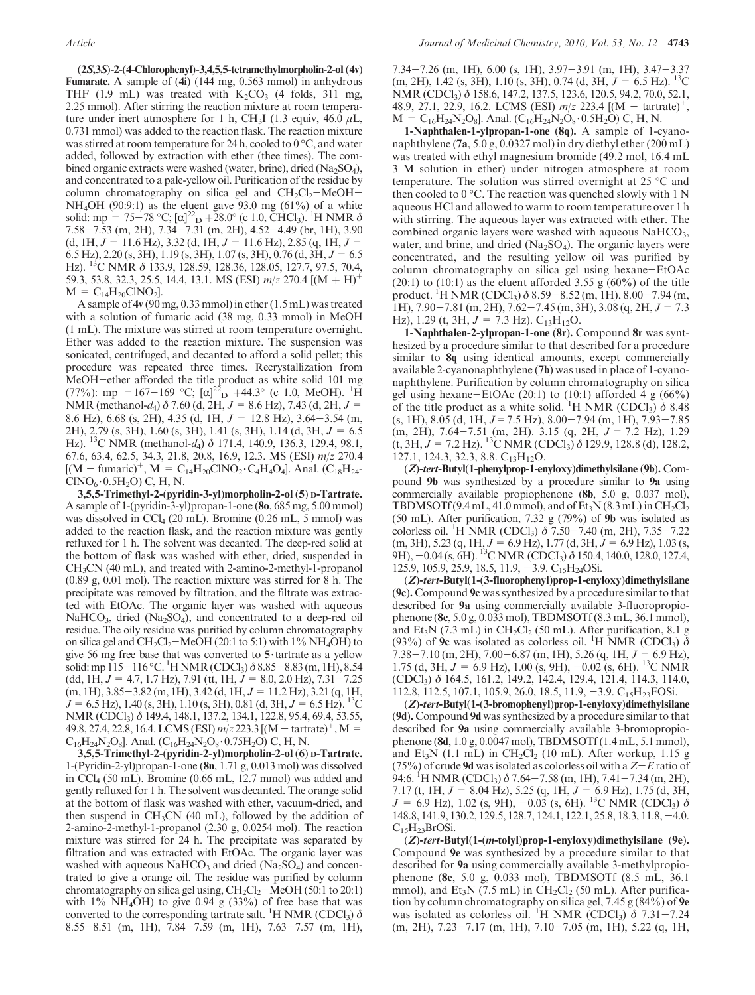(2S,3S)-2-(4-Chlorophenyl)-3,4,5,5-tetramethylmorpholin-2-ol (4v) Fumarate. A sample of (4i) (144 mg, 0.563 mmol) in anhydrous THF (1.9 mL) was treated with  $K_2CO_3$  (4 folds, 311 mg, 2.25 mmol). After stirring the reaction mixture at room temperature under inert atmosphere for 1 h, CH<sub>3</sub>I (1.3 equiv, 46.0  $\mu$ L, 0.731 mmol) was added to the reaction flask. The reaction mixture was stirred at room temperature for 24 h, cooled to  $0^{\circ}$ C, and water added, followed by extraction with ether (thee times). The combined organic extracts were washed (water, brine), dried  $(Na_2SO_4)$ , and concentrated to a pale-yellow oil. Purification of the residue by column chromatography on silica gel and  $CH_2Cl_2-MeOH$ -NH<sub>4</sub>OH (90:9:1) as the eluent gave 93.0 mg (61%) of a white solid:  $mp = 75-78$  °C;  $[\alpha]^{22}$   $D + 28.0$ ° (c 1.0, CHCl<sub>3</sub>). <sup>1</sup>H NMR  $\delta$ 7.58-7.53 (m, 2H), 7.34-7.31 (m, 2H), 4.52-4.49 (br, 1H), 3.90  $(d, 1H, J = 11.6 Hz),$  3.32  $(d, 1H, J = 11.6 Hz),$  2.85  $(q, 1H, J = 11.6 Hz)$ 6.5 Hz), 2.20 (s, 3H), 1.19 (s, 3H), 1.07 (s, 3H), 0.76 (d, 3H,  $J = 6.5$ Hz). 13C NMR δ 133.9, 128.59, 128.36, 128.05, 127.7, 97.5, 70.4, 59.3, 53.8, 32.3, 25.5, 14.4, 13.1. MS (ESI)  $m/z$  270.4 [(M + H)<sup>+</sup>  $M = C_{14}H_{20}CINO_{2}$ .

A sample of 4v (90 mg, 0.33 mmol) in ether (1.5 mL) was treated with a solution of fumaric acid (38 mg, 0.33 mmol) in MeOH (1 mL). The mixture was stirred at room temperature overnight. Ether was added to the reaction mixture. The suspension was sonicated, centrifuged, and decanted to afford a solid pellet; this procedure was repeated three times. Recrystallization from MeOH-ether afforded the title product as white solid 101 mg (77%): mp = 167-169 °C;  $\left[\alpha\right]_{\text{D}}^{22}$  +44.3° (c 1.0, MeOH). <sup>1</sup>H NMR (methanol-d<sub>4</sub>)  $\delta$  7.60 (d, 2H,  $J = 8.6$  Hz), 7.43 (d, 2H,  $J =$ 8.6 Hz), 6.68 (s, 2H), 4.35 (d, 1H,  $J = 12.8$  Hz), 3.64-3.54 (m, 2H), 2.79 (s, 3H), 1.60 (s, 3H), 1.41 (s, 3H), 1.14 (d, 3H, J = 6.5 Hz). <sup>13</sup>C NMR (methanol- $d_4$ )  $\delta$  171.4, 140.9, 136.3, 129.4, 98.1, 67.6, 63.4, 62.5, 34.3, 21.8, 20.8, 16.9, 12.3. MS (ESI) m/z 270.4  $[(M - \text{fumaric})^+, M = C_{14}H_{20}CINO_2 \cdot C_4H_4O_4]$ . Anal.  $(C_{18}H_{24}$ - $CINO<sub>6</sub>·0.5H<sub>2</sub>O) C, H, N.$ 

3,5,5-Trimethyl-2-(pyridin-3-yl)morpholin-2-ol (5) D-Tartrate. A sample of 1-(pyridin-3-yl)propan-1-one (8o, 685 mg, 5.00 mmol) was dissolved in  $\text{CCl}_4$  (20 mL). Bromine (0.26 mL, 5 mmol) was added to the reaction flask, and the reaction mixture was gently refluxed for 1 h. The solvent was decanted. The deep-red solid at the bottom of flask was washed with ether, dried, suspended in CH3CN (40 mL), and treated with 2-amino-2-methyl-1-propanol (0.89 g, 0.01 mol). The reaction mixture was stirred for 8 h. The precipitate was removed by filtration, and the filtrate was extracted with EtOAc. The organic layer was washed with aqueous NaHCO<sub>3</sub>, dried (Na<sub>2</sub>SO<sub>4</sub>), and concentrated to a deep-red oil residue. The oily residue was purified by column chromatography on silica gel and  $CH_2Cl_2-MeOH$  (20:1 to 5:1) with 1% NH<sub>4</sub>OH) to give 56 mg free base that was converted to  $5$  tartrate as a yellow solid: mp  $115-116$  °C. <sup>1</sup>H NMR (CDCl<sub>3</sub>)  $\delta$  8.85–8.83 (m, 1H), 8.54  $(dd, 1H, J = 4.7, 1.7 Hz$ , 7.91 (tt,  $1H, J = 8.0, 2.0 Hz$ ), 7.31-7.25  $(m, 1H), 3.85-3.82$   $(m, 1H), 3.42$   $(d, 1H, J = 11.2$  Hz $), 3.21$   $(q, 1H,$  $J = 6.5$  Hz), 1.40 (s, 3H), 1.10 (s, 3H), 0.81 (d, 3H,  $J = 6.5$  Hz). <sup>13</sup>C NMR (CDCl<sub>3</sub>) δ 149.4, 148.1, 137.2, 134.1, 122.8, 95.4, 69.4, 53.55, 49.8, 27.4, 22.8, 16.4. LCMS (ESI)  $m/z$  223.3 [(M – tartrate)<sup>+</sup>, M =  $C_{16}H_{24}N_2O_8$ ]. Anal.  $(C_{16}H_{24}N_2O_8 \cdot 0.75H_2O)$  C, H, N.

3,5,5-Trimethyl-2-(pyridin-2-yl)morpholin-2-ol (6) D-Tartrate. 1-(Pyridin-2-yl)propan-1-one (8n, 1.71 g, 0.013 mol) was dissolved in CCl4 (50 mL). Bromine (0.66 mL, 12.7 mmol) was added and gently refluxed for 1 h. The solvent was decanted. The orange solid at the bottom of flask was washed with ether, vacuum-dried, and then suspend in  $CH<sub>3</sub>CN$  (40 mL), followed by the addition of 2-amino-2-methyl-1-propanol (2.30 g, 0.0254 mol). The reaction mixture was stirred for 24 h. The precipitate was separated by filtration and was extracted with EtOAc. The organic layer was washed with aqueous  $NaHCO<sub>3</sub>$  and dried (Na<sub>2</sub>SO<sub>4</sub>) and concentrated to give a orange oil. The residue was purified by column chromatography on silica gel using,  $CH_2Cl_2-MeOH$  (50:1 to 20:1) with  $1\%$  NH<sub>4</sub>OH) to give 0.94 g (33%) of free base that was converted to the corresponding tartrate salt. <sup>1</sup>H NMR (CDCl<sub>3</sub>)  $\delta$ 8.55-8.51 (m, 1H), 7.84-7.59 (m, 1H), 7.63-7.57 (m, 1H),

7.34-7.26 (m, 1H), 6.00 (s, 1H), 3.97-3.91 (m, 1H), 3.47-3.37  $(m, 2H)$ , 1.42 (s, 3H), 1.10 (s, 3H), 0.74 (d, 3H,  $J = 6.5$  Hz). <sup>13</sup>C NMR (CDCl3) δ 158.6, 147.2, 137.5, 123.6, 120.5, 94.2, 70.0, 52.1, 48.9, 27.1, 22.9, 16.2. LCMS (ESI)  $m/z$  223.4  $[(M - \text{tartrate})^+,$  $M=C_{16}H_{24}N_2O_8$ ]. Anal. (C<sub>16</sub>H<sub>24</sub>N<sub>2</sub>O<sub>8</sub> · 0.5H<sub>2</sub>O) C, H, N.

1-Naphthalen-1-ylpropan-1-one (8q). A sample of 1-cyanonaphthylene (7a, 5.0 g, 0.0327 mol) in dry diethyl ether (200 mL) was treated with ethyl magnesium bromide (49.2 mol, 16.4 mL 3 M solution in ether) under nitrogen atmosphere at room temperature. The solution was stirred overnight at 25  $\mathrm{^{\circ}C}$  and then cooled to  $0^{\circ}$ C. The reaction was quenched slowly with 1 N aqueous HCl and allowed to warm to room temperature over 1 h with stirring. The aqueous layer was extracted with ether. The combined organic layers were washed with aqueous  $NaHCO<sub>3</sub>$ , water, and brine, and dried  $(Na_2SO_4)$ . The organic layers were concentrated, and the resulting yellow oil was purified by column chromatography on silica gel using hexane-EtOAc (20:1) to (10:1) as the eluent afforded 3.55 g (60%) of the title product. <sup>1</sup>H NMR (CDCl<sub>3</sub>)  $\delta$  8.59–8.52 (m, 1H), 8.00–7.94 (m, 1H),  $7.90 - 7.81$  (m, 2H),  $7.62 - 7.45$  (m, 3H),  $3.08$  (q, 2H,  $J = 7.3$ Hz), 1.29 (t, 3H,  $J = 7.3$  Hz).  $C_{13}H_{12}O$ .

1-Naphthalen-2-ylpropan-1-one (8r). Compound 8r was synthesized by a procedure similar to that described for a procedure similar to  $8q$  using identical amounts, except commercially available 2-cyanonaphthylene (7b) was used in place of 1-cyanonaphthylene. Purification by column chromatography on silica gel using hexane-EtOAc  $(20:1)$  to  $(10:1)$  afforded 4 g  $(66\%)$ of the title product as a white solid. <sup>1</sup>H NMR (CDCl<sub>3</sub>)  $\delta$  8.48  $(s, 1H), 8.05$  (d,  $1H, J = 7.5$  Hz),  $8.00 - 7.94$  (m,  $1H), 7.93 - 7.85$ (m, 2H), 7.64-7.51 (m, 2H). 3.15 (q, 2H, J = 7.2 Hz), 1.29  $(t, 3H, J = 7.2 \text{ Hz})$ . <sup>13</sup>C NMR (CDCl<sub>3</sub>)  $\delta$  129.9, 128.8 (d), 128.2, 127.1, 124.3, 32.3, 8.8.  $C_{13}H_{12}O$ .

(Z)-tert-Butyl(1-phenylprop-1-enyloxy)dimethylsilane (9b). Compound 9b was synthesized by a procedure similar to 9a using commercially available propiophenone (8b, 5.0 g, 0.037 mol), TBDMSOTf (9.4 mL, 41.0 mmol), and of  $Et_3N(8.3 mL)$  in  $CH_2Cl_2$ (50 mL). After purification, 7.32 g  $(79\%)$  of 9b was isolated as colorless oil. <sup>1</sup>H NMR (CDCl<sub>3</sub>)  $\delta$  7.50–7.40 (m, 2H), 7.35–7.22  $(m, 3H), 5.23 (q, 1H, J = 6.9 Hz), 1.77 (d, 3H, J = 6.9 Hz), 1.03 (s,$ 9H),  $-0.04$  (s,  $6H$ ). <sup>13</sup>C NMR (CDCI<sub>3</sub>)  $\delta$  150.4, 140.0, 128.0, 127.4, 125.9, 105.9, 25.9, 18.5, 11.9,  $-3.9$ . C<sub>15</sub>H<sub>24</sub>OSi.

(Z)-tert-Butyl(1-(3-fluorophenyl)prop-1-enyloxy)dimethylsilane (9c). Compound 9c was synthesized by a procedure similar to that described for 9a using commercially available 3-fluoropropiophenone (8c, 5.0 g, 0.033 mol), TBDMSOTf (8.3 mL, 36.1 mmol), and  $Et_3N$  (7.3 mL) in  $CH_2Cl_2$  (50 mL). After purification, 8.1 g (93%) of  $\hat{9c}$  was isolated as colorless oil. <sup>1</sup>H NMR (CDCl<sub>3</sub>)  $\delta$  $7.38 - 7.10$  (m, 2H),  $7.00 - 6.87$  (m, 1H),  $5.26$  (q, 1H,  $J = 6.9$  Hz), 1.75 (d, 3H,  $J = 6.9$  Hz), 1.00 (s, 9H),  $-0.02$  (s, 6H). <sup>13</sup>C NMR (CDCl3) δ 164.5, 161.2, 149.2, 142.4, 129.4, 121.4, 114.3, 114.0, 112.8, 112.5, 107.1, 105.9, 26.0, 18.5, 11.9,  $-3.9$ . C<sub>15</sub>H<sub>23</sub>FOSi.

(Z)-tert-Butyl(1-(3-bromophenyl)prop-1-enyloxy)dimethylsilane (9d). Compound 9d was synthesized by a procedure similar to that described for 9a using commercially available 3-bromopropiophenone (8d, 1.0 g, 0.0047 mol), TBDMSOTf (1.4 mL, 5.1 mmol), and Et<sub>3</sub>N (1.1 mL) in CH<sub>2</sub>Cl<sub>2</sub> (10 mL). After workup, 1.15 g (75%) of crude 9d was isolated as colorless oil with a  $Z-E$  ratio of 94:6. <sup>1</sup>H NMR (CDCl<sub>3</sub>)  $\delta$  7.64–7.58 (m, 1H), 7.41–7.34 (m, 2H), 7.17 (t, 1H,  $J = 8.04$  Hz), 5.25 (q, 1H,  $J = 6.9$  Hz), 1.75 (d, 3H,  $J = 6.9$  Hz), 1.02 (s, 9H),  $-0.03$  (s, 6H). <sup>13</sup>C NMR (CDCl<sub>3</sub>)  $\delta$ 148.8, 141.9, 130.2, 129.5, 128.7, 124.1, 122.1, 25.8, 18.3, 11.8,-4.0.  $C_{15}H_{23}BrOSi.$ 

 $(Z)$ -tert-Butyl $(1-(m-tolyl)prop-1-enyloxy)$ dimethylsilane  $(9e)$ . Compound 9e was synthesized by a procedure similar to that described for 9a using commercially available 3-methylpropiophenone (8e, 5.0 g, 0.033 mol), TBDMSOTf (8.5 mL, 36.1 mmol), and  $Et_3N$  (7.5 mL) in  $CH_2Cl_2$  (50 mL). After purification by column chromatography on silica gel,  $7.45$  g ( $84\%$ ) of  $9e$ was isolated as colorless oil. <sup>1</sup>H NMR (CDCl<sub>3</sub>)  $\delta$  7.31-7.24 (m, 2H), 7.23-7.17 (m, 1H), 7.10-7.05 (m, 1H), 5.22 (q, 1H,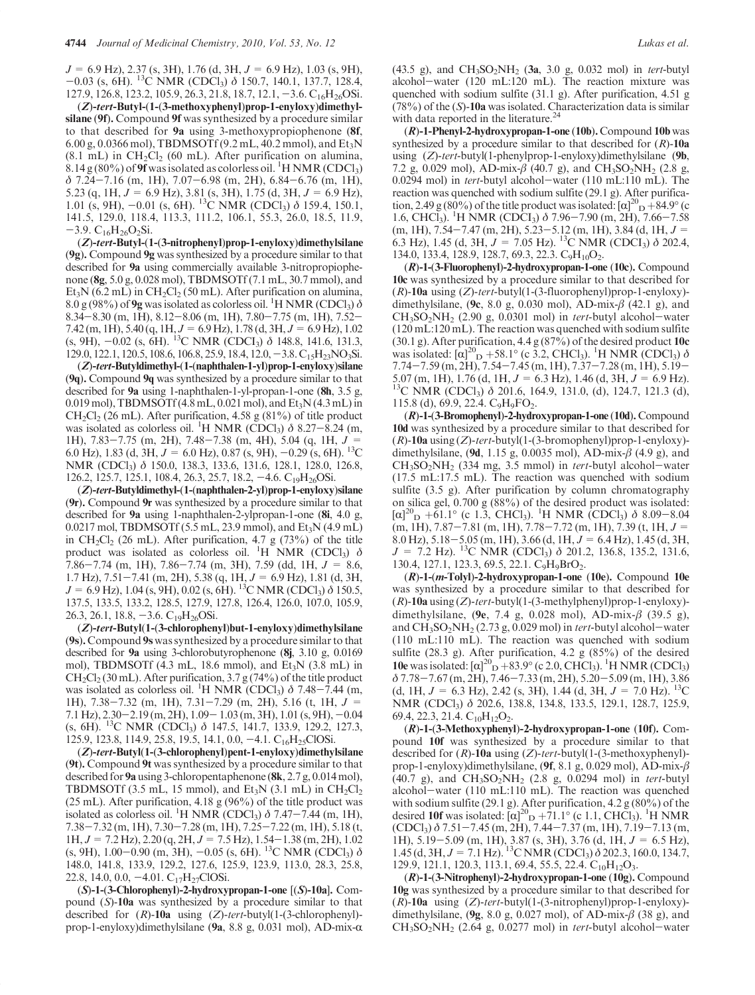$J = 6.9$  Hz), 2.37 (s, 3H), 1.76 (d, 3H,  $J = 6.9$  Hz), 1.03 (s, 9H),  $-0.03$  (s, 6H). <sup>13</sup>C NMR (CDCl<sub>3</sub>)  $\delta$  150.7, 140.1, 137.7, 128.4, 127.9, 126.8, 123.2, 105.9, 26.3, 21.8, 18.7, 12.1, -3.6. C<sub>16</sub>H<sub>26</sub>OSi.

(Z)-tert-Butyl-(1-(3-methoxyphenyl)prop-1-enyloxy)dimethylsilane (9f). Compound 9f was synthesized by a procedure similar to that described for 9a using 3-methoxypropiophenone (8f, 6.00 g, 0.0366 mol), TBDMSOTf (9.2 mL, 40.2 mmol), and  $Et_3N$  $(8.1 \text{ mL})$  in CH<sub>2</sub>Cl<sub>2</sub> (60 mL). After purification on alumina,  $\overline{8.14\,g(80\%)}$  of  $\overline{9f}$  was isolated as colorless oil. <sup>1</sup>H NMR (CDCl<sub>3</sub>)  $\delta$  7.24-7.16 (m, 1H), 7.07-6.98 (m, 2H), 6.84-6.76 (m, 1H), 5.23 (q, 1H,  $J = 6.9$  Hz), 3.81 (s, 3H), 1.75 (d, 3H,  $J = 6.9$  Hz), 1.01 (s, 9H), -0.01 (s, 6H). <sup>13</sup>C NMR (CDCl<sub>3</sub>)  $\delta$  159.4, 150.1, 141.5, 129.0, 118.4, 113.3, 111.2, 106.1, 55.3, 26.0, 18.5, 11.9,  $-3.9. C_{16}H_{26}O_2Si.$ 

(Z)-tert-Butyl-(1-(3-nitrophenyl)prop-1-enyloxy)dimethylsilane (9g). Compound 9g was synthesized by a procedure similar to that described for 9a using commercially available 3-nitropropiophenone (8g, 5.0 g, 0.028 mol), TBDMSOTf (7.1 mL, 30.7 mmol), and Et<sub>3</sub>N (6.2 mL) in CH<sub>2</sub>Cl<sub>2</sub> (50 mL). After purification on alumina,  $8.0 \text{ g}$  (98%) of 9g was isolated as colorless oil. <sup>1</sup>H NMR (CDCl<sub>3</sub>)  $\delta$  $8.34 - 8.30$  (m, 1H),  $8.12 - 8.06$  (m, 1H),  $7.80 - 7.75$  (m, 1H),  $7.52 -$ 7.42 (m, 1H), 5.40 (q, 1H,  $J = 6.9$  Hz), 1.78 (d, 3H,  $J = 6.9$  Hz), 1.02 (s, 9H),  $-0.02$  (s, 6H). <sup>13</sup>C NMR (CDCI<sub>3</sub>)  $\delta$  148.8, 141.6, 131.3, 129.0, 122.1, 120.5, 108.6, 106.8, 25.9, 18.4, 12.0, -3.8. C<sub>15</sub>H<sub>23</sub>NO<sub>3</sub>Si.

(Z)-tert-Butyldimethyl-(1-(naphthalen-1-yl)prop-1-enyloxy)silane (9q). Compound 9q was synthesized by a procedure similar to that described for 9a using 1-naphthalen-1-yl-propan-1-one (8h, 3.5 g, 0.019 mol), TBDMSOTf (4.8 mL, 0.021 mol), and  $Et<sub>3</sub>N$  (4.3 mL) in  $CH_2Cl_2$  (26 mL). After purification, 4.58 g (81%) of title product was isolated as colorless oil. <sup>1</sup>H NMR (CDCl<sub>3</sub>)  $\delta$  8.27-8.24 (m, 1H),  $7.83 - 7.75$  (m, 2H),  $7.48 - 7.38$  (m, 4H),  $5.04$  (g, 1H, J = 6.0 Hz), 1.83 (d, 3H,  $J = 6.0$  Hz), 0.87 (s, 9H),  $-0.29$  (s, 6H). <sup>13</sup>C NMR (CDCl<sub>3</sub>) δ 150.0, 138.3, 133.6, 131.6, 128.1, 128.0, 126.8,  $126.2, 125.7, 125.1, 108.4, 26.3, 25.7, 18.2, -4.6, C_{19}H_{26}$ OSi.

(Z)-tert-Butyldimethyl-(1-(naphthalen-2-yl)prop-1-enyloxy)silane  $(9r)$ . Compound  $9r$  was synthesized by a procedure similar to that described for 9a using 1-naphthalen-2-ylpropan-1-one (8i, 4.0 g, 0.0217 mol, TBDMSOTf (5.5 mL, 23.9 mmol), and  $Et<sub>3</sub>N$  (4.9 mL) in  $CH_2Cl_2$  (26 mL). After purification, 4.7 g (73%) of the title product was isolated as colorless oil. <sup>1</sup>H NMR (CDCl<sub>3</sub>)  $\delta$ 7.86-7.74 (m, 1H), 7.86-7.74 (m, 3H), 7.59 (dd, 1H,  $J = 8.6$ , 1.7 Hz),  $7.51-7.41$  (m, 2H),  $5.38$  (q, 1H,  $J = 6.9$  Hz), 1.81 (d, 3H,  $J = 6.9$  Hz), 1.04 (s, 9H), 0.02 (s, 6H). <sup>13</sup>C NMR (CDCl<sub>3</sub>)  $\delta$  150.5, 137.5, 133.5, 133.2, 128.5, 127.9, 127.8, 126.4, 126.0, 107.0, 105.9, 26.3, 26.1, 18.8,  $-3.6$ . C<sub>19</sub>H<sub>26</sub>OSi.

(Z)-tert-Butyl(1-(3-chlorophenyl)but-1-enyloxy)dimethylsilane (9s). Compound 9s was synthesized by a procedure similar to that described for 9a using 3-chlorobutyrophenone (8j, 3.10 g, 0.0169 mol), TBDMSOTf  $(4.3 \text{ mL}, 18.6 \text{ mmol})$ , and  $Et<sub>3</sub>N$   $(3.8 \text{ mL})$  in  $CH_2Cl_2$  (30 mL). After purification, 3.7 g (74%) of the title product was isolated as colorless oil. <sup>1</sup>H NMR (CDCl<sub>3</sub>)  $\delta$  7.48-7.44 (m, 1H), 7.38-7.32 (m, 1H), 7.31-7.29 (m, 2H), 5.16 (t, 1H, J = 7.1 Hz),  $2.30 - 2.19$  (m,  $2H$ ),  $1.09 - 1.03$  (m,  $3H$ ),  $1.01$  (s,  $9H$ ),  $-0.04$ (s, 6H). 13C NMR (CDCl3) δ 147.5, 141.7, 133.9, 129.2, 127.3, 125.9, 123.8, 114.9, 25.8, 19.5, 14.1, 0.0, -4.1. C<sub>16</sub>H<sub>25</sub>ClOSi.

(Z)-tert-Butyl(1-(3-chlorophenyl)pent-1-enyloxy)dimethylsilane (9t). Compound 9t was synthesized by a procedure similar to that described for 9a using 3-chloropentaphenone (8k, 2.7 g, 0.014 mol), TBDMSOTf (3.5 mL, 15 mmol), and  $Et_3N$  (3.1 mL) in  $CH_2Cl_2$ (25 mL). After purification, 4.18 g (96%) of the title product was isolated as colorless oil. <sup>1</sup>H NMR (CDCl<sub>3</sub>)  $\delta$  7.47-7.44 (m, 1H), 7.38-7.32 (m, 1H), 7.30-7.28 (m, 1H), 7.25-7.22 (m, 1H), 5.18 (t,  $1H, J = 7.2$  Hz),  $2.20$  (q,  $2H, J = 7.5$  Hz),  $1.54-1.38$  (m,  $2H$ ),  $1.02$ (s, 9H),  $1.00-0.90$  (m, 3H),  $-0.05$  (s, 6H). <sup>13</sup>C NMR (CDCl<sub>3</sub>)  $\delta$ 148.0, 141.8, 133.9, 129.2, 127.6, 125.9, 123.9, 113.0, 28.3, 25.8, 22.8, 14.0, 0.0,  $-4.01$ . C<sub>17</sub>H<sub>27</sub>ClOSi.

(S)-1-(3-Chlorophenyl)-2-hydroxypropan-1-one [(S)-10a]. Compound (S)-10a was synthesized by a procedure similar to that described for  $(R)$ -10a using  $(Z)$ -tert-butyl $(1-(3-\text{chlorophenyl})$ prop-1-enyloxy)dimethylsilane (9a, 8.8 g, 0.031 mol), AD-mix- $\alpha$  (43.5 g), and  $CH_3SO_2NH_2$  (3a, 3.0 g, 0.032 mol) in tert-butyl alcohol-water (120 mL:120 mL). The reaction mixture was quenched with sodium sulfite (31.1 g). After purification, 4.51 g  $(78%)$  of the  $(S)$ -10a was isolated. Characterization data is similar with data reported in the literature. $^{24}$ 

 $(R)$ -1-Phenyl-2-hydroxypropan-1-one (10b). Compound 10b was synthesized by a procedure similar to that described for  $(R)$ -10a using (Z)-tert-butyl(1-phenylprop-1-enyloxy)dimethylsilane (9b, 7.2 g, 0.029 mol), AD-mix- $\beta$  (40.7 g), and CH<sub>3</sub>SO<sub>2</sub>NH<sub>2</sub> (2.8 g, 0.0294 mol) in *tert*-butyl alcohol-water (110 mL:110 mL). The reaction was quenched with sodium sulfite (29.1 g). After purification, 2.49 g (80%) of the title product was isolated:  $\left[\alpha\right]_{D}^{20} + 84.9^{\circ}$  (c) 1.6, CHCl<sub>3</sub>). <sup>1</sup>H NMR (CDCI<sub>3</sub>) δ 7.96-7.90 (m, 2H), 7.66-7.58  $(m, 1H), 7.54-7.47$   $(m, 2H), 5.23-5.12$   $(m, 1H), 3.84$   $(d, 1H, J =$ 6.3 Hz), 1.45 (d, 3H,  $J = 7.05$  Hz). <sup>13</sup>C NMR (CDCI<sub>3</sub>)  $\delta$  202.4, 134.0, 133.4, 128.9, 128.7, 69.3, 22.3. C<sub>9</sub>H<sub>10</sub>O<sub>2</sub>.

(R)-1-(3-Fluorophenyl)-2-hydroxypropan-1-one (10c). Compound 10c was synthesized by a procedure similar to that described for (R)-10a using (Z)-tert-butyl(1-(3-fluorophenyl)prop-1-enyloxy) dimethylsilane, (9c, 8.0 g, 0.030 mol), AD-mix- $\beta$  (42.1 g), and  $CH<sub>3</sub>SO<sub>2</sub>NH<sub>2</sub>$  (2.90 g, 0.0301 mol) in tert-butyl alcohol-water (120 mL:120 mL). The reaction was quenched with sodium sulfite (30.1 g). After purification, 4.4 g (87%) of the desired product 10c was isolated:  $[\alpha]^{20}$  + 58.1° (c 3.2, CHCl<sub>3</sub>). <sup>1</sup>H NMR (CDCl<sub>3</sub>)  $\delta$ 7.74-7.59 (m, 2H), 7.54-7.45 (m, 1H), 7.37-7.28 (m, 1H), 5.19- 5.07 (m, 1H), 1.76 (d, 1H,  $J = 6.3$  Hz), 1.46 (d, 3H,  $J = 6.9$  Hz).<br><sup>13</sup>C NMR (CDCl<sub>3</sub>)  $\delta$  201.6, 164.9, 131.0, (d), 124.7, 121.3 (d), 115.8 (d), 69.9, 22.4.  $C_9H_9FO_2$ .

(R)-1-(3-Bromophenyl)-2-hydroxypropan-1-one (10d). Compound 10d was synthesized by a procedure similar to that described for  $(R)$ -10a using  $(Z)$ -tert-butyl $(1-(3-branch)$ prop-1-enyloxy)dimethylsilane, (9d, 1.15 g, 0.0035 mol), AD-mix- $\beta$  (4.9 g), and  $CH<sub>3</sub>SO<sub>2</sub>NH<sub>2</sub>$  (334 mg, 3.5 mmol) in tert-butyl alcohol-water (17.5 mL:17.5 mL). The reaction was quenched with sodium sulfite (3.5 g). After purification by column chromatography on silica gel, 0.700 g (88%) of the desired product was isolated:  $[\alpha]^{20}$  b +61.1° (c 1.3, CHCl<sub>3</sub>). <sup>1</sup>H NMR (CDCl<sub>3</sub>)  $\delta$  8.09–8.04  $(m, 1H), 7.87-7.81$   $(m, 1H), 7.78-7.72$   $(m, 1H), 7.39$   $(t, 1H, J =$ 8.0 Hz),  $5.18-5.05$  (m, 1H),  $3.66$  (d, 1H,  $J = 6.4$  Hz),  $1.45$  (d, 3H,  $J = 7.2$  Hz). <sup>13</sup>C NMR (CDCl<sub>3</sub>)  $\delta$  201.2, 136.8, 135.2, 131.6, 130.4, 127.1, 123.3, 69.5, 22.1. C<sub>9</sub>H<sub>9</sub>BrO<sub>2</sub>.

 $(R)$ -1- $(m$ -Tolyl)-2-hydroxypropan-1-one (10e). Compound 10e was synthesized by a procedure similar to that described for  $(R)$ -10a using  $(Z)$ -tert-butyl $(1-(3-methylphenyl)prop-1-enyloxy)$ dimethylsilane, (9e, 7.4 g, 0.028 mol), AD-mix-β (39.5 g), and  $CH_3SO_2NH_2$  (2.73 g, 0.029 mol) in tert-butyl alcohol-water (110 mL:110 mL). The reaction was quenched with sodium sulfite (28.3 g). After purification, 4.2 g (85%) of the desired 10e was isolated:  $[\alpha]^{20}$   $+ 83.9^{\circ}$  (c 2.0, CHCl<sub>3</sub>). <sup>1</sup>H NMR (CDCl<sub>3</sub>)  $\delta$  7.78-7.67 (m, 2H), 7.46-7.33 (m, 2H), 5.20-5.09 (m, 1H), 3.86 (d, 1H,  $J = 6.3$  Hz), 2.42 (s, 3H), 1.44 (d, 3H,  $J = 7.0$  Hz). <sup>13</sup>C NMR (CDCl<sub>3</sub>) δ 202.6, 138.8, 134.8, 133.5, 129.1, 128.7, 125.9, 69.4, 22.3, 21.4.  $C_{10}H_{12}O_2$ .

(R)-1-(3-Methoxyphenyl)-2-hydroxypropan-1-one (10f). Compound 10f was synthesized by a procedure similar to that described for  $(R)$ -10a using  $(Z)$ -tert-butyl $(1-(3-methoxyphenyl)$ prop-1-enyloxy)dimethylsilane, (9f, 8.1 g, 0.029 mol), AD-mix-β (40.7 g), and  $CH_3SO_2NH_2$  (2.8 g, 0.0294 mol) in *tert*-butyl alcohol-water (110 mL:110 mL). The reaction was quenched with sodium sulfite (29.1 g). After purification,  $4.2$  g (80%) of the desired 10f was isolated:  $\left[\alpha\right]_{D}^{20} + 71.1^{\circ}$  (c 1.1, CHCl<sub>3</sub>). <sup>1</sup>H NMR  $(CDCl<sub>3</sub>)$   $\delta$  7.51-7.45 (m, 2H), 7.44-7.37 (m, 1H), 7.19-7.13 (m, 1H),  $5.19 - 5.09$  (m, 1H),  $3.87$  (s, 3H),  $3.76$  (d, 1H,  $J = 6.5$  Hz),  $1.45$  (d, 3H,  $J = 7.1$  Hz). <sup>13</sup>C NMR (CDCl<sub>3</sub>)  $\delta$  202.3, 160.0, 134.7, 129.9, 121.1, 120.3, 113.1, 69.4, 55.5, 22.4.  $C_{10}H_{12}O_3$ .

(R)-1-(3-Nitrophenyl)-2-hydroxypropan-1-one (10g). Compound 10g was synthesized by a procedure similar to that described for  $(R)$ -10a using  $(Z)$ -tert-butyl $(1-(3-nitrophenyl)prop-1-enyloxy)$ dimethylsilane,  $(9g, 8.0 g, 0.027 mol)$ , of AD-mix- $\beta$  (38 g), and  $CH<sub>3</sub>SO<sub>2</sub>NH<sub>2</sub>$  (2.64 g, 0.0277 mol) in *tert*-butyl alcohol-water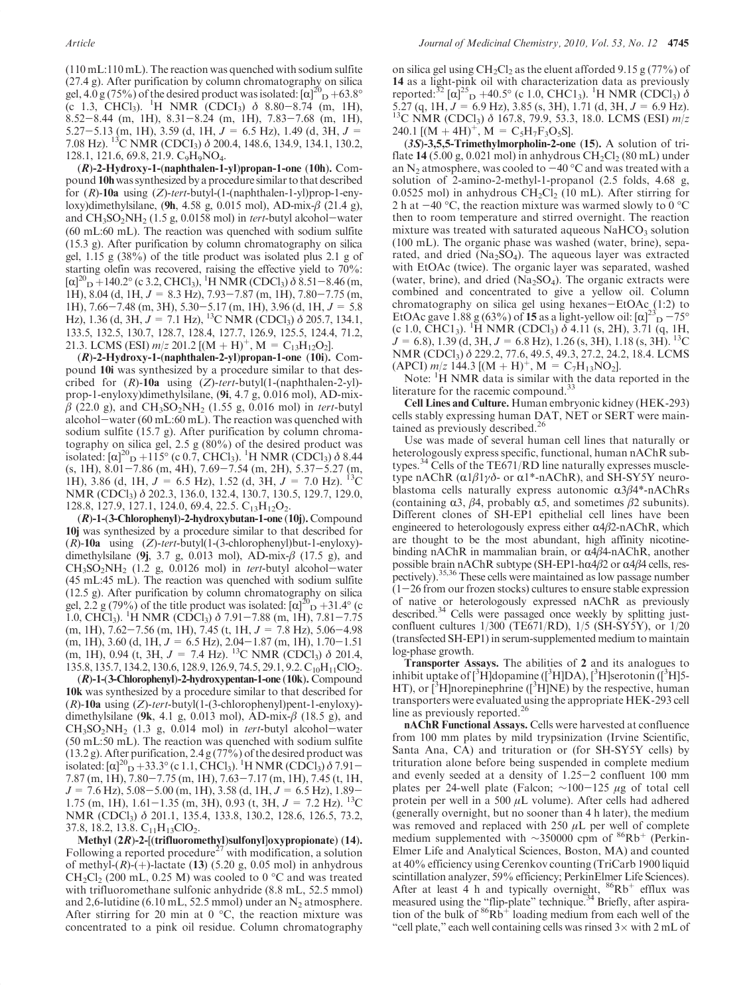(110 mL:110 mL). The reaction was quenched with sodium sulfite (27.4 g). After purification by column chromatography on silica gel,  $4.0 \text{ g} (75\%)$  of the desired product was isolated:  $\left[\alpha\right]_{D}^{20} + 63.8^{\circ}$  $(C \t1.3, \tCHCl<sub>3</sub>)$ . <sup>1</sup>H NMR  $(CDCI<sub>3</sub>)$   $\delta$  8.80-8.74 (m, 1H), 8.52-8.44 (m, 1H), 8.31-8.24 (m, 1H), 7.83-7.68 (m, 1H), 5.27-5.13 (m, 1H), 3.59 (d, 1H,  $J = 6.5$  Hz), 1.49 (d, 3H,  $J =$ 7.08 Hz). 13C NMR (CDCI3) δ 200.4, 148.6, 134.9, 134.1, 130.2, 128.1, 121.6, 69.8, 21.9. C9H9NO4.

 $(R)$ -2-Hydroxy-1-(naphthalen-1-yl)propan-1-one (10h). Compound 10h was synthesized by a procedure similar to that described for (R)-10a using (Z)-tert-butyl-(1-(naphthalen-1-yl)prop-1-enyloxy)dimethylsilane, (9h, 4.58 g, 0.015 mol), AD-mix-β (21.4 g), and  $CH_3SO_2NH_2$  (1.5 g, 0.0158 mol) in *tert*-butyl alcohol-water (60 mL:60 mL). The reaction was quenched with sodium sulfite (15.3 g). After purification by column chromatography on silica gel, 1.15 g (38%) of the title product was isolated plus 2.1 g of starting olefin was recovered, raising the effective yield to 70%:  $[\alpha]_{\text{D}}^{20} + 140.2^{\circ}$  (c 3.2, CHCl<sub>3</sub>), <sup>1</sup>H NMR (CDCl<sub>3</sub>)  $\delta$  8.51–8.46 (m, 1H), 8.04 (d, 1H,  $J = 8.3$  Hz), 7.93-7.87 (m, 1H), 7.80-7.75 (m, 1H), 7.66-7.48 (m, 3H), 5.30-5.17 (m, 1H), 3.96 (d, 1H,  $J = 5.8$ Hz), 1.36 (d, 3H,  $J = 7.1$  Hz), <sup>13</sup>C NMR (CDCl<sub>3</sub>)  $\delta$  205.7, 134.1, 133.5, 132.5, 130.7, 128.7, 128.4, 127.7, 126.9, 125.5, 124.4, 71.2, 21.3. LCMS (ESI)  $m/z$  201.2 [(M + H)<sup>+</sup>, M = C<sub>13</sub>H<sub>12</sub>O<sub>2</sub>].

 $(R)$ -2-Hydroxy-1-(naphthalen-2-yl)propan-1-one (10i). Compound 10i was synthesized by a procedure similar to that described for  $(R)$ -10a using  $(Z)$ -tert-butyl(1-(naphthalen-2-yl)prop-1-enyloxy)dimethylsilane, (9i, 4.7 g, 0.016 mol), AD-mix- $\beta$  (22.0 g), and CH<sub>3</sub>SO<sub>2</sub>NH<sub>2</sub> (1.55 g, 0.016 mol) in tert-butyl alcohol-water (60 mL:60 mL). The reaction was quenched with sodium sulfite (15.7 g). After purification by column chromatography on silica gel, 2.5 g (80%) of the desired product was isolated:  $[\alpha]^{20}$  p +115° (c 0.7, CHCl<sub>3</sub>). <sup>1</sup>H NMR (CDCl<sub>3</sub>)  $\delta$  8.44 (s, 1H), 8.01-7.86 (m, 4H), 7.69-7.54 (m, 2H), 5.37-5.27 (m, 1H), 3.86 (d, 1H,  $J = 6.5$  Hz), 1.52 (d, 3H,  $J = 7.0$  Hz). <sup>13</sup>C NMR (CDCl<sub>3</sub>) δ 202.3, 136.0, 132.4, 130.7, 130.5, 129.7, 129.0, 128.8, 127.9, 127.1, 124.0, 69.4, 22.5.  $C_{13}H_{12}O_2$ .

(R)-1-(3-Chlorophenyl)-2-hydroxybutan-1-one (10j). Compound 10j was synthesized by a procedure similar to that described for  $(R)$ -10a using  $(Z)$ -tert-butyl $(1-(3\textrm{-chlorophenyl})$ but-1-enyloxy)dimethylsilane (9j, 3.7 g, 0.013 mol), AD-mix- $\beta$  (17.5 g), and  $CH<sub>3</sub>SO<sub>2</sub>NH<sub>2</sub>$  (1.2 g, 0.0126 mol) in *tert*-butyl alcohol-water (45 mL:45 mL). The reaction was quenched with sodium sulfite (12.5 g). After purification by column chromatography on silica gel,  $2.\overline{2}$  g (79%) of the title product was isolated:  $[\alpha]_{D}^{20}$  + 31.4° (c 1.0, CHCl<sub>3</sub>). <sup>1</sup>H NMR (CDCl<sub>3</sub>)  $\delta$  7.91-7.88 (m, 1H), 7.81-7.75  $(m, 1H), 7.62-7.56$   $(m, 1H), 7.45$   $(t, 1H, J = 7.8$  Hz $), 5.06-4.98$  $(m, 1H), 3.60$  (d,  $1H, J = 6.5$  Hz),  $2.04-1.87$   $(m, 1H), 1.70-1.51$ (m, 1H), 0.94 (t, 3H,  $J = 7.4$  Hz). <sup>13</sup>C NMR (CDCl<sub>3</sub>)  $\delta$  201.4, 135.8, 135.7, 134.2, 130.6, 128.9, 126.9, 74.5, 29.1, 9.2. C<sub>10</sub>H<sub>11</sub>ClO<sub>2</sub>.

(R)-1-(3-Chlorophenyl)-2-hydroxypentan-1-one (10k). Compound 10k was synthesized by a procedure similar to that described for  $(R)$ -10a using  $(Z)$ -tert-butyl $(1-(3-chlorophenyl)$ pent-1-enyloxy)dimethylsilane (9k, 4.1 g, 0.013 mol), AD-mix- $\beta$  (18.5 g), and  $CH<sub>3</sub>SO<sub>2</sub>NH<sub>2</sub>$  (1.3 g, 0.014 mol) in *tert*-butyl alcohol-water (50 mL:50 mL). The reaction was quenched with sodium sulfite (13.2 g). After purification, 2.4 g (77%) of the desired product was isolated:  $\left[\alpha\right]_{D}^{20}$  + 33.3° (c 1.1, CHCl<sub>3</sub>). <sup>1</sup>H NMR (CDCl<sub>3</sub>)  $\delta$  7.91-7.87 (m, 1H), 7.80-7.75 (m, 1H), 7.63-7.17 (m, 1H), 7.45 (t, 1H,  $J = 7.6$  Hz),  $5.08 - 5.00$  (m, 1H),  $3.58$  (d, 1H,  $J = 6.5$  Hz),  $1.89 -$ 1.75 (m, 1H), 1.61–1.35 (m, 3H), 0.93 (t, 3H,  $J = 7.2$  Hz). <sup>13</sup>C NMR (CDCl<sub>3</sub>) δ 201.1, 135.4, 133.8, 130.2, 128.6, 126.5, 73.2, 37.8, 18.2, 13.8.  $C_{11}H_{13}ClO_2$ .

Methyl (2R)-2-[(trifluoromethyl)sulfonyl]oxypropionate) (14). Following a reported procedure<sup>27</sup> with modification, a solution of methyl- $(R)$ - $(+)$ -lactate (13) (5.20 g, 0.05 mol) in anhydrous CH<sub>2</sub>Cl<sub>2</sub> (200 mL, 0.25 M) was cooled to 0  $\degree$ C and was treated with trifluoromethane sulfonic anhydride (8.8 mL, 52.5 mmol) and 2,6-lutidine (6.10 mL, 52.5 mmol) under an  $N_2$  atmosphere. After stirring for 20 min at  $0^{\circ}$ C, the reaction mixture was concentrated to a pink oil residue. Column chromatography

on silica gel using  $CH_2Cl_2$  as the eluent afforded 9.15 g (77%) of 14 as a light-pink oil with characterization data as previously reported:<sup>32</sup> [ $\alpha$ ]<sup>25</sup><sub>D</sub> +40.5° (c 1.0, CHC1<sub>3</sub>). <sup>1</sup>H NMR (CDCl<sub>3</sub>)  $\delta$ 5.27 (q, 1H,  $J = 6.9$  Hz), 3.85 (s, 3H), 1.71 (d, 3H,  $J = 6.9$  Hz).<br><sup>13</sup>C NMR (CDCl<sub>3</sub>)  $\delta$  167.8, 79.9, 53.3, 18.0. LCMS (ESI)  $m/z$ 240.1  $[(M + 4H)^{+}, M = C_5H_7F_3O_5S]$ .

(3S)-3,5,5-Trimethylmorpholin-2-one (15). A solution of triflate 14 (5.00 g, 0.021 mol) in anhydrous  $CH_2Cl_2$  (80 mL) under an N<sub>2</sub> atmosphere, was cooled to  $-40$  °C and was treated with a solution of 2-amino-2-methyl-1-propanol (2.5 folds, 4.68 g, 0.0525 mol) in anhydrous  $CH_2Cl_2$  (10 mL). After stirring for 2 h at  $-40$  °C, the reaction mixture was warmed slowly to 0 °C then to room temperature and stirred overnight. The reaction mixture was treated with saturated aqueous  $\mathrm{NaHCO}_{3}$  solution (100 mL). The organic phase was washed (water, brine), separated, and dried ( $Na<sub>2</sub>SO<sub>4</sub>$ ). The aqueous layer was extracted with EtOAc (twice). The organic layer was separated, washed (water, brine), and dried ( $Na<sub>2</sub>SO<sub>4</sub>$ ). The organic extracts were combined and concentrated to give a yellow oil. Column chromatography on silica gel using hexanes-EtOAc (1:2) to EtOAc gave 1.88 g (63%) of 15 as a light-yellow oil:  $[\alpha]^{22}$  $\rm{^{5}D}$  -75<sup>o</sup> (c 1.0, CHC1<sub>3</sub>). <sup>1</sup>H NMR (CDCl<sub>3</sub>)  $\delta$  4.11 (s, 2H), 3.71 (q, 1H,  $J = 6.8$ ), 1.39 (d, 3H,  $J = 6.8$  Hz), 1.26 (s, 3H), 1.18 (s, 3H). <sup>13</sup>C NMR (CDCl3) δ 229.2, 77.6, 49.5, 49.3, 27.2, 24.2, 18.4. LCMS  $(APCI)$  m/z 144.3  $[(M + H)^{+}, M = C_7H_{13}NO_2].$ 

Note: <sup>1</sup>H NMR data is similar with the data reported in the literature for the racemic compound.<sup>3</sup>

Cell Lines and Culture. Human embryonic kidney (HEK-293) cells stably expressing human DAT, NET or SERT were maintained as previously described.<sup>26</sup>

Use was made of several human cell lines that naturally or heterologously express specific, functional, human nAChR subtypes. $34$  Cells of the TE671/RD line naturally expresses muscletype nAChR ( $α1β1γδ$ - or  $α1^*$ -nAChR), and SH-SY5Y neuroblastoma cells naturally express autonomic  $\alpha 3\beta 4^*$ -nAChRs (containing  $\alpha$ 3,  $\beta$ 4, probably  $\alpha$ 5, and sometimes  $\beta$ 2 subunits). Different clones of SH-EP1 epithelial cell lines have been engineered to heterologously express either  $\alpha$ 4β2-nAChR, which are thought to be the most abundant, high affinity nicotinebinding nAChR in mammalian brain, or  $\alpha$ 4β4-nAChR, another possible brain nAChR subtype (SH-EP1-h $\alpha$ 4 $\beta$ 2 or  $\alpha$ 4 $\beta$ 4 cells, respectively).<sup>35,36</sup> These cells were maintained as low passage number  $(1-26$  from our frozen stocks) cultures to ensure stable expression of native or heterologously expressed nAChR as previously described.<sup>34</sup> Cells were passaged once weekly by splitting justconfluent cultures 1/300 (TE671/RD), 1/5 (SH-SY5Y), or 1/20 (transfected SH-EP1) in serum-supplemented medium to maintain log-phase growth.

Transporter Assays. The abilities of 2 and its analogues to inhibit uptake of [<sup>3</sup>H]dopamine ([<sup>3</sup>H]DA), [<sup>3</sup>H]serotonin ([<sup>3</sup>H]5-HT), or  $\rm \left[^{3}H\right]$ norepinephrine ( $\rm \left[^{3}H\right]NE$ ) by the respective, human transporters were evaluated using the appropriate HEK-293 cell line as previously reported.<sup>26</sup>

nAChR Functional Assays. Cells were harvested at confluence from 100 mm plates by mild trypsinization (Irvine Scientific, Santa Ana, CA) and trituration or (for SH-SY5Y cells) by trituration alone before being suspended in complete medium and evenly seeded at a density of 1.25-2 confluent 100 mm plates per 24-well plate (Falcon;  $\sim$ 100-125 μg of total cell protein per well in a 500  $\mu$ L volume). After cells had adhered (generally overnight, but no sooner than 4 h later), the medium was removed and replaced with  $250 \mu L$  per well of complete medium supplemented with ~350000 cpm of <sup>86</sup>Rb<sup>+</sup> (Perkin-Elmer Life and Analytical Sciences, Boston, MA) and counted at 40% efficiency using Cerenkov counting (TriCarb 1900 liquid scintillation analyzer, 59% efficiency; PerkinElmer Life Sciences). After at least 4 h and typically overnight,  $86Rb^+$  efflux was measured using the "flip-plate" technique.<sup>34</sup> Briefly, after aspiration of the bulk of  ${}^{86}Rb^+$  loading medium from each well of the "cell plate," each well containing cells was rinsed  $3\times$  with  $2 \text{ mL}$  of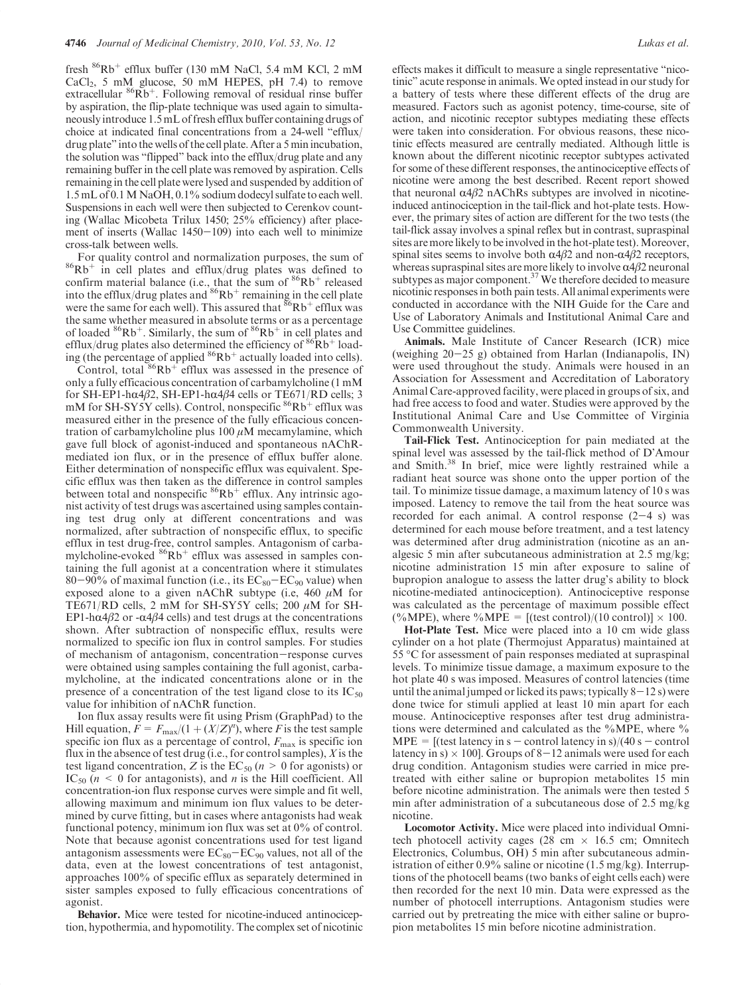fresh  ${}^{86}Rb^+$  efflux buffer (130 mM NaCl, 5.4 mM KCl, 2 mM  $CaCl<sub>2</sub>$ , 5 mM glucose, 50 mM HEPES, pH 7.4) to remove extracellular  $86Rb^+$ . Following removal of residual rinse buffer by aspiration, the flip-plate technique was used again to simultaneously introduce 1.5 mL of fresh efflux buffer containing drugs of choice at indicated final concentrations from a 24-well "efflux/ drug plate" into the wells of the cell plate. After a 5 min incubation, the solution was "flipped" back into the efflux/drug plate and any remaining buffer in the cell plate was removed by aspiration. Cells remaining in the cell plate were lysed and suspended by addition of 1.5 mL of 0.1M NaOH, 0.1% sodium dodecyl sulfate to each well. Suspensions in each well were then subjected to Cerenkov counting (Wallac Micobeta Trilux 1450; 25% efficiency) after placement of inserts (Wallac 1450-109) into each well to minimize cross-talk between wells.

For quality control and normalization purposes, the sum of  ${}^{86}Rb^+$  in cell plates and efflux/drug plates was defined to confirm material balance (i.e., that the sum of  $86Rb^+$  released into the efflux/drug plates and  $86Rb^+$  remaining in the cell plate were the same for each well). This assured that  ${}^{86}Rb^+$  efflux was the same whether measured in absolute terms or as a percentage of loaded  ${}^{86}Rb^+$ . Similarly, the sum of  ${}^{86}Rb^+$  in cell plates and efflux/drug plates also determined the efficiency of  ${}^{86}Rb^+$  loading (the percentage of applied  ${}^{86}Rb^+$  actually loaded into cells).

Control, total  $86Rb<sup>+</sup>$  efflux was assessed in the presence of only a fully efficacious concentration of carbamylcholine (1 mM for SH-EP1-hα4β2, SH-EP1-hα4β4 cells or TE671/RD cells; 3 mM for SH-SY5Y cells). Control, nonspecific <sup>86</sup>Rb<sup>+</sup> efflux was measured either in the presence of the fully efficacious concentration of carbamylcholine plus  $100 \mu$ M mecamylamine, which gave full block of agonist-induced and spontaneous nAChRmediated ion flux, or in the presence of efflux buffer alone. Either determination of nonspecific efflux was equivalent. Specific efflux was then taken as the difference in control samples between total and nonspecific  ${}^{86}Rb^+$  efflux. Any intrinsic agonist activity of test drugs was ascertained using samples containing test drug only at different concentrations and was normalized, after subtraction of nonspecific efflux, to specific efflux in test drug-free, control samples. Antagonism of carbamylcholine-evoked  ${}^{86}Rb$ <sup>+</sup> efflux was assessed in samples containing the full agonist at a concentration where it stimulates 80-90% of maximal function (i.e., its  $EC_{80}-EC_{90}$  value) when exposed alone to a given nAChR subtype (i.e, 460  $\mu$ M for TE671/RD cells, 2 mM for SH-SY5Y cells; 200  $\mu$ M for SH-EP1-h $\alpha$ 4 $\beta$ 2 or - $\alpha$ 4 $\beta$ 4 cells) and test drugs at the concentrations shown. After subtraction of nonspecific efflux, results were normalized to specific ion flux in control samples. For studies of mechanism of antagonism, concentration-response curves were obtained using samples containing the full agonist, carbamylcholine, at the indicated concentrations alone or in the presence of a concentration of the test ligand close to its  $IC_{50}$ value for inhibition of nAChR function.

Ion flux assay results were fit using Prism (GraphPad) to the Hill equation,  $F = F_{\text{max}}/(1 + (X/Z)^n)$ , where F is the test sample specific ion flux as a percentage of control,  $F_{\text{max}}$  is specific ion flux in the absence of test drug (i.e., for control samples),  $X$  is the test ligand concentration, Z is the  $EC_{50}$  ( $n > 0$  for agonists) or  $IC_{50}$  ( $n \leq 0$  for antagonists), and *n* is the Hill coefficient. All concentration-ion flux response curves were simple and fit well, allowing maximum and minimum ion flux values to be determined by curve fitting, but in cases where antagonists had weak functional potency, minimum ion flux was set at 0% of control. Note that because agonist concentrations used for test ligand antagonism assessments were  $EC_{80}-EC_{90}$  values, not all of the data, even at the lowest concentrations of test antagonist, approaches 100% of specific efflux as separately determined in sister samples exposed to fully efficacious concentrations of agonist.

Behavior. Mice were tested for nicotine-induced antinociception, hypothermia, and hypomotility. The complex set of nicotinic effects makes it difficult to measure a single representative "nicotinic" acute response in animals.We opted instead in our study for a battery of tests where these different effects of the drug are measured. Factors such as agonist potency, time-course, site of action, and nicotinic receptor subtypes mediating these effects were taken into consideration. For obvious reasons, these nicotinic effects measured are centrally mediated. Although little is known about the different nicotinic receptor subtypes activated for some of these different responses, the antinociceptive effects of nicotine were among the best described. Recent report showed that neuronal  $α4β2$  nAChRs subtypes are involved in nicotineinduced antinociception in the tail-flick and hot-plate tests. However, the primary sites of action are different for the two tests (the tail-flick assay involves a spinal reflex but in contrast, supraspinal sites are more likely to be involved in the hot-plate test). Moreover, spinal sites seems to involve both  $\alpha$ 4β2 and non- $\alpha$ 4β2 receptors, whereas supraspinal sites are more likely to involve  $\alpha$ 4 $\beta$ 2 neuronal subtypes as major component. $37$  We therefore decided to measure nicotinic responses in both pain tests. All animal experiments were conducted in accordance with the NIH Guide for the Care and Use of Laboratory Animals and Institutional Animal Care and Use Committee guidelines.

Animals. Male Institute of Cancer Research (ICR) mice (weighing 20-25 g) obtained from Harlan (Indianapolis, IN) were used throughout the study. Animals were housed in an Association for Assessment and Accreditation of Laboratory Animal Care-approved facility, were placed in groups of six, and had free access to food and water. Studies were approved by the Institutional Animal Care and Use Committee of Virginia Commonwealth University.

Tail-Flick Test. Antinociception for pain mediated at the spinal level was assessed by the tail-flick method of D'Amour and Smith.<sup>38</sup> In brief, mice were lightly restrained while a radiant heat source was shone onto the upper portion of the tail. To minimize tissue damage, a maximum latency of 10 s was imposed. Latency to remove the tail from the heat source was recorded for each animal. A control response  $(2-4 s)$  was determined for each mouse before treatment, and a test latency was determined after drug administration (nicotine as an analgesic 5 min after subcutaneous administration at 2.5 mg/kg; nicotine administration 15 min after exposure to saline of bupropion analogue to assess the latter drug's ability to block nicotine-mediated antinociception). Antinociceptive response was calculated as the percentage of maximum possible effect  $(\%MPE)$ , where  $\%MPE = [(\text{test control})/(10 \text{ control})] \times 100$ .

Hot-Plate Test. Mice were placed into a 10 cm wide glass cylinder on a hot plate (Thermojust Apparatus) maintained at 55 °C for assessment of pain responses mediated at supraspinal levels. To minimize tissue damage, a maximum exposure to the hot plate 40 s was imposed. Measures of control latencies (time until the animal jumped or licked its paws; typically  $8-12$  s) were done twice for stimuli applied at least 10 min apart for each mouse. Antinociceptive responses after test drug administrations were determined and calculated as the %MPE, where %  $MPE = [(test latency in s - control latency in s)/(40 s - control]$ latency in s)  $\times$  100]. Groups of 8–12 animals were used for each drug condition. Antagonism studies were carried in mice pretreated with either saline or bupropion metabolites 15 min before nicotine administration. The animals were then tested 5 min after administration of a subcutaneous dose of 2.5 mg/kg nicotine.

Locomotor Activity. Mice were placed into individual Omnitech photocell activity cages (28 cm  $\times$  16.5 cm; Omnitech Electronics, Columbus, OH) 5 min after subcutaneous administration of either 0.9% saline or nicotine (1.5 mg/kg). Interruptions of the photocell beams (two banks of eight cells each) were then recorded for the next 10 min. Data were expressed as the number of photocell interruptions. Antagonism studies were carried out by pretreating the mice with either saline or bupropion metabolites 15 min before nicotine administration.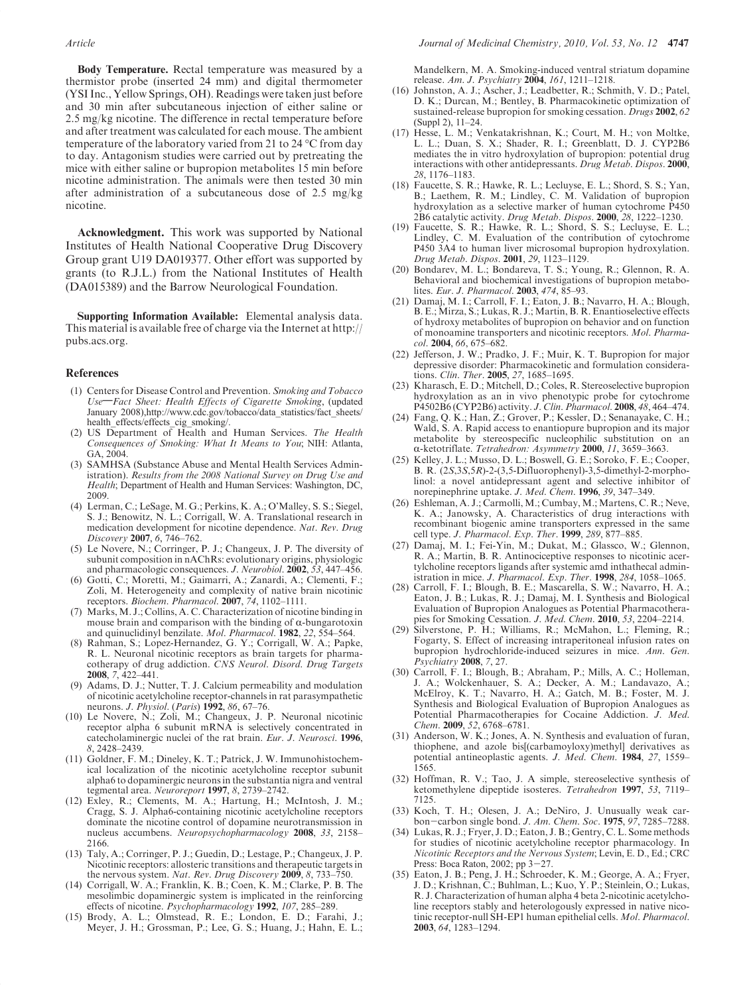Body Temperature. Rectal temperature was measured by a thermistor probe (inserted 24 mm) and digital thermometer (YSI Inc., Yellow Springs, OH). Readings were taken just before and 30 min after subcutaneous injection of either saline or 2.5 mg/kg nicotine. The difference in rectal temperature before and after treatment was calculated for each mouse. The ambient temperature of the laboratory varied from 21 to 24 °C from day to day. Antagonism studies were carried out by pretreating the mice with either saline or bupropion metabolites 15 min before nicotine administration. The animals were then tested 30 min after administration of a subcutaneous dose of 2.5 mg/kg nicotine.

Acknowledgment. This work was supported by National Institutes of Health National Cooperative Drug Discovery Group grant U19 DA019377. Other effort was supported by grants (to R.J.L.) from the National Institutes of Health (DA015389) and the Barrow Neurological Foundation.

Supporting Information Available: Elemental analysis data. This material is available free of charge via the Internet at http:// pubs.acs.org.

#### References

- (1) Centers for Disease Control and Prevention. Smoking and Tobacco Use-Fact Sheet: Health Effects of Cigarette Smoking, (updated January 2008),http://www.cdc.gov/tobacco/data\_statistics/fact\_sheets/ health\_effects/effects\_cig\_smoking/.
- (2) US Department of Health and Human Services. The Health Consequences of Smoking: What It Means to You; NIH: Atlanta, GA, 2004.
- (3) SAMHSA (Substance Abuse and Mental Health Services Administration). Results from the 2008 National Survey on Drug Use and Health; Department of Health and Human Services: Washington, DC, 2009.
- (4) Lerman, C.; LeSage, M. G.; Perkins, K. A.; O'Malley, S. S.; Siegel, S. J.; Benowitz, N. L.; Corrigall, W. A. Translational research in medication development for nicotine dependence. Nat. Rev. Drug Discovery 2007, 6, 746–762.
- (5) Le Novere, N.; Corringer, P. J.; Changeux, J. P. The diversity of subunit composition in nAChRs: evolutionary origins, physiologic and pharmacologic consequences. J. Neurobiol. 2002, 53, 447-456.
- (6) Gotti, C.; Moretti, M.; Gaimarri, A.; Zanardi, A.; Clementi, F.; Zoli, M. Heterogeneity and complexity of native brain nicotinic receptors. Biochem. Pharmacol. 2007, 74, 1102-1111.
- (7) Marks, M. J.; Collins, A. C. Characterization of nicotine binding in mouse brain and comparison with the binding of  $\alpha$ -bungarotoxin and quinuclidinyl benzilate. Mol. Pharmacol. 1982, 22, 554–564.
- Rahman, S.; Lopez-Hernandez, G. Y.; Corrigall, W. A.; Papke, R. L. Neuronal nicotinic receptors as brain targets for pharmacotherapy of drug addiction. CNS Neurol. Disord. Drug Targets 2008, 7, 422–441.
- (9) Adams, D. J.; Nutter, T. J. Calcium permeability and modulation of nicotinic acetylcholine receptor-channels in rat parasympathetic neurons. *J. Physiol.* (*Paris*) **1992**, 86, 67–76.
- (10) Le Novere, N.; Zoli, M.; Changeux, J. P. Neuronal nicotinic receptor alpha 6 subunit mRNA is selectively concentrated in catecholaminergic nuclei of the rat brain. Eur. J. Neurosci. 1996, 8, 2428–2439.
- (11) Goldner, F. M.; Dineley, K. T.; Patrick, J. W. Immunohistochemical localization of the nicotinic acetylcholine receptor subunit alpha6 to dopaminergic neurons in the substantia nigra and ventral tegmental area. Neuroreport 1997, 8, 2739–2742.
- (12) Exley, R.; Clements, M. A.; Hartung, H.; McIntosh, J. M.; Cragg, S. J. Alpha6-containing nicotinic acetylcholine receptors dominate the nicotine control of dopamine neurotransmission in nucleus accumbens. Neuropsychopharmacology 2008, 33, 2158– 2166.
- (13) Taly, A.; Corringer, P. J.; Guedin, D.; Lestage, P.; Changeux, J. P. Nicotinic receptors: allosteric transitions and therapeutic targets in the nervous system. Nat. Rev. Drug Discovery 2009, 8, 733-750.
- (14) Corrigall, W. A.; Franklin, K. B.; Coen, K. M.; Clarke, P. B. The mesolimbic dopaminergic system is implicated in the reinforcing effects of nicotine. Psychopharmacology 1992, 107, 285–289.
- (15) Brody, A. L.; Olmstead, R. E.; London, E. D.; Farahi, J.; Meyer, J. H.; Grossman, P.; Lee, G. S.; Huang, J.; Hahn, E. L.;

Mandelkern, M. A. Smoking-induced ventral striatum dopamine release. Am. J. Psychiatry 2004, 161, 1211–1218.

- (16) Johnston, A. J.; Ascher, J.; Leadbetter, R.; Schmith, V. D.; Patel, D. K.; Durcan, M.; Bentley, B. Pharmacokinetic optimization of sustained-release bupropion for smoking cessation. Drugs 2002, 62 (Suppl 2), 11–24.
- (17) Hesse, L. M.; Venkatakrishnan, K.; Court, M. H.; von Moltke, L. L.; Duan, S. X.; Shader, R. I.; Greenblatt, D. J. CYP2B6 mediates the in vitro hydroxylation of bupropion: potential drug interactions with other antidepressants. Drug Metab. Dispos. 2000, 28, 1176–1183.
- (18) Faucette, S. R.; Hawke, R. L.; Lecluyse, E. L.; Shord, S. S.; Yan, B.; Laethem, R. M.; Lindley, C. M. Validation of bupropion hydroxylation as a selective marker of human cytochrome P450 2B6 catalytic activity. Drug Metab. Dispos. 2000, 28, 1222–1230.
- (19) Faucette, S. R.; Hawke, R. L.; Shord, S. S.; Lecluyse, E. L.; Lindley, C. M. Evaluation of the contribution of cytochrome P450 3A4 to human liver microsomal bupropion hydroxylation. Drug Metab. Dispos. 2001, 29, 1123–1129.
- (20) Bondarev, M. L.; Bondareva, T. S.; Young, R.; Glennon, R. A. Behavioral and biochemical investigations of bupropion metabolites. Eur. J. Pharmacol. 2003, 474, 85–93.
- (21) Damaj, M. I.; Carroll, F. I.; Eaton, J. B.; Navarro, H. A.; Blough, B. E.; Mirza, S.; Lukas, R. J.; Martin, B. R. Enantioselective effects of hydroxy metabolites of bupropion on behavior and on function of monoamine transporters and nicotinic receptors. Mol. Pharmacol. 2004, 66, 675–682.
- (22) Jefferson, J. W.; Pradko, J. F.; Muir, K. T. Bupropion for major depressive disorder: Pharmacokinetic and formulation considerations. Clin. Ther. 2005, 27, 1685–1695.
- (23) Kharasch, E. D.; Mitchell, D.; Coles, R. Stereoselective bupropion hydroxylation as an in vivo phenotypic probe for cytochrome P4502B6 (CYP2B6) activity. J. Clin. Pharmacol. 2008, 48, 464–474.
- (24) Fang, Q. K.; Han, Z.; Grover, P.; Kessler, D.; Senanayake, C. H.; Wald, S. A. Rapid access to enantiopure bupropion and its major metabolite by stereospecific nucleophilic substitution on an α-ketotriflate. Tetrahedron: Asymmetry 2000, 11, 3659-3663.
- (25) Kelley, J. L.; Musso, D. L.; Boswell, G. E.; Soroko, F. E.; Cooper, B. R. (2S,3S,5R)-2-(3,5-Difluorophenyl)-3,5-dimethyl-2-morpholinol: a novel antidepressant agent and selective inhibitor of norepinephrine uptake. J. Med. Chem. 1996, 39, 347–349.
- (26) Eshleman, A. J.; Carmolli, M.; Cumbay, M.; Martens, C. R.; Neve, K. A.; Janowsky, A. Characteristics of drug interactions with recombinant biogenic amine transporters expressed in the same cell type. *J. Pharmacol. Exp. Ther.* 1999, 289, 877–885.
- (27) Damaj, M. I.; Fei-Yin, M.; Dukat, M.; Glassco, W.; Glennon, R. A.; Martin, B. R. Antinociceptive responses to nicotinic acertylcholine receptors ligands after systemic amd inthathecal administration in mice. J. Pharmacol. Exp. Ther. 1998, 284, 1058–1065.
- (28) Carroll, F. I.; Blough, B. E.; Mascarella, S. W.; Navarro, H. A.; Eaton, J. B.; Lukas, R. J.; Damaj, M. I. Synthesis and Biological Evaluation of Bupropion Analogues as Potential Pharmacotherapies for Smoking Cessation. J. Med. Chem. 2010, 53, 2204–2214.
- (29) Silverstone, P. H.; Williams, R.; McMahon, L.; Fleming, R.; Fogarty, S. Effect of increasing intraperitoneal infusion rates on bupropion hydrochloride-induced seizures in mice. Ann. Gen. Psychiatry 2008, 7, 27.
- (30) Carroll, F. I.; Blough, B.; Abraham, P.; Mills, A. C.; Holleman, J. A.; Wolckenhauer, S. A.; Decker, A. M.; Landavazo, A.; McElroy, K. T.; Navarro, H. A.; Gatch, M. B.; Foster, M. J. Synthesis and Biological Evaluation of Bupropion Analogues as Potential Pharmacotherapies for Cocaine Addiction. J. Med. Chem. 2009, 52, 6768–6781.
- (31) Anderson, W. K.; Jones, A. N. Synthesis and evaluation of furan, thiophene, and azole bis[(carbamoyloxy)methyl] derivatives as potential antineoplastic agents. J. Med. Chem. 1984, 27, 1559-1565.
- (32) Hoffman, R. V.; Tao, J. A simple, stereoselective synthesis of ketomethylene dipeptide isosteres. Tetrahedron 1997, 53, 7119-7125.
- (33) Koch, T. H.; Olesen, J. A.; DeNiro, J. Unusually weak carbon-carbon single bond. J. Am. Chem. Soc. 1975, 97, 7285-7288.
- (34) Lukas, R. J.; Fryer, J. D.; Eaton, J. B.; Gentry, C. L. Some methods for studies of nicotinic acetylcholine receptor pharmacology. In Nicotinic Receptors and the Nervous System; Levin, E. D., Ed.; CRC Press: Boca Raton, 2002; pp 3-27.
- (35) Eaton, J. B.; Peng, J. H.; Schroeder, K. M.; George, A. A.; Fryer, J. D.; Krishnan, C.; Buhlman, L.; Kuo, Y. P.; Steinlein, O.; Lukas, R. J. Characterization of human alpha 4 beta 2-nicotinic acetylcholine receptors stably and heterologously expressed in native nicotinic receptor-null SH-EP1 human epithelial cells. Mol. Pharmacol. 2003, 64, 1283–1294.